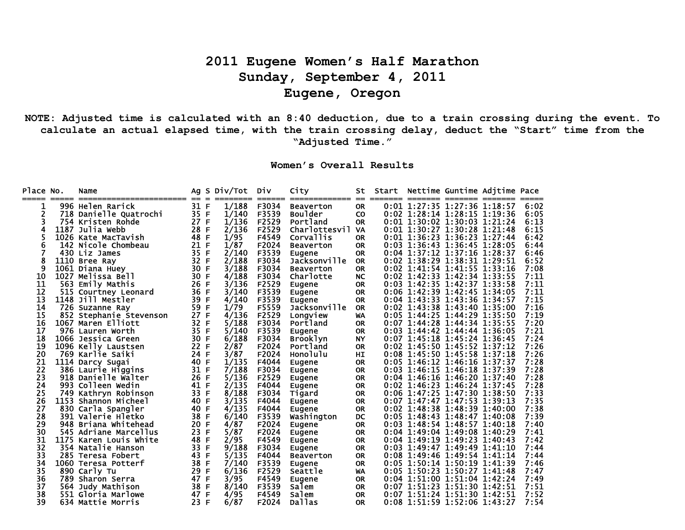## **2011 Eugene Women's Half Marathon Sunday, September 4, 2011 Eugene, Oregon**

**NOTE: Adjusted time is calculated with an 8:40 deduction, due to a train crossing during the event. To calculate an actual elapsed time, with the train crossing delay, deduct the "Start" time from the "Adjusted Time."** 

**Women's Overall Results**

| Place No. | ===== | Name<br>======================== | $== =$ | Ag S Div/Tot<br>_________ | Div<br>====== | City<br>============== | St<br>$=$ | Start Nettime Guntime Adjtime Pace<br>======= ====== ======= ====== |  |      |
|-----------|-------|----------------------------------|--------|---------------------------|---------------|------------------------|-----------|---------------------------------------------------------------------|--|------|
| 1         |       | 996 Helen Rarick                 | 31 F   | 1/188                     | F3034         | <b>Beaverton</b>       | <b>OR</b> | 0:01 1:27:35 1:27:36 1:18:57                                        |  | 6:02 |
| 2         |       | 718 Danielle Quatrochi           | 35 F   | 1/140                     | F3539         | <b>Boulder</b>         | <b>CO</b> | 0:02 1:28:14 1:28:15 1:19:36                                        |  | 6:05 |
| 3         |       | 754 Kristen Rohde                | 27 F   | 1/136                     | F2529         | Portland               | <b>OR</b> | 0:01 1:30:02 1:30:03 1:21:24                                        |  | 6:13 |
| 4         |       | 1187 Julia Webb                  | 28 F   | 2/136                     | F2529         | <b>Charlottesvil</b>   | <b>VA</b> | 0:01 1:30:27 1:30:28 1:21:48                                        |  | 6:15 |
|           |       | 1026 Kate MacTavish              | 48 F   | 1/95                      | F4549         | Corvallis              | <b>OR</b> | 0:01 1:36:23 1:36:23 1:27:44                                        |  | 6:42 |
| 6         |       | 142 Nicole Chombeau              | 21 F   | 1/87                      | F2024         | <b>Beaverton</b>       | <b>OR</b> | 0:03 1:36:43 1:36:45 1:28:05                                        |  | 6:44 |
|           |       | 430 Liz James                    | 35 F   | 2/140                     | F3539         | Eugene                 | <b>OR</b> | 0:04 1:37:12 1:37:16 1:28:37                                        |  | 6:46 |
| 8         |       | 1110 Bree Ray                    | 32 F   | 2/188                     | F3034         | Jacksonville           | <b>OR</b> | 0:02 1:38:29 1:38:31 1:29:51                                        |  | 6:52 |
| 9         |       | 1061 Diana Huey                  | 30 F   | 3/188                     | F3034         | <b>Beaverton</b>       | <b>OR</b> | 0:02 1:41:54 1:41:55 1:33:16                                        |  | 7:08 |
| 10        |       | 1027 Melissa Bell                | 30 F   | 4/188                     | F3034         | Charlotte              | <b>NC</b> | 0:02 1:42:33 1:42:34 1:33:55                                        |  | 7:11 |
| 11        |       | 563 Emily Mathis                 | 26 F   | 3/136                     | F2529         | Eugene                 | <b>OR</b> | 0:03 1:42:35 1:42:37 1:33:58                                        |  | 7:11 |
| 12        |       | 515 Courtney Leonard             | 36 F   | 3/140                     | F3539         | Eugene                 | <b>OR</b> | 0:06 1:42:39 1:42:45 1:34:05                                        |  | 7:11 |
| 13        |       | 1148 Jill Mestler                | 39 F   | 4/140                     | F3539         | Eugene                 | <b>OR</b> | 0:04 1:43:33 1:43:36 1:34:57                                        |  | 7:15 |
| 14        |       | 726 Suzanne Ray                  | 59 F   | 1/79                      | F5559         | Jacksonville           | <b>OR</b> | $0:02$ 1:43:38 1:43:40 1:35:00                                      |  | 7:16 |
| 15        |       | 852 Stephanie Stevenson          | 27 F   | 4/136                     | F2529         | Longview               | WA        | 0:05 1:44:25 1:44:29 1:35:50                                        |  | 7:19 |
| 16        |       | 1067 Maren Elliott               | 32 F   | 5/188                     | F3034         | Portland               | <b>OR</b> | 0:07 1:44:28 1:44:34 1:35:55                                        |  | 7:20 |
| 17        |       | 976 Lauren Worth                 | 35 F   | 5/140                     | F3539         | Eugene                 | <b>OR</b> | $0:03$ 1:44:42 1:44:44 1:36:05                                      |  | 7:21 |
| 18        |       | 1066 Jessica Green               | 30 F   | 6/188                     | F3034         | <b>Brooklyn</b>        | <b>NY</b> | 0:07 1:45:18 1:45:24 1:36:45                                        |  | 7:24 |
| 19        |       | 1096 Kelly Laustsen              | 22 F   | 2/87                      | F2024         | Portland               | <b>OR</b> | 0:02 1:45:50 1:45:52 1:37:12                                        |  | 7:26 |
| 20        |       | 769 Karlie Saiki                 | 24 F   | 3/87                      | F2024         | Honolulu               | HI        | 0:08 1:45:50 1:45:58 1:37:18                                        |  | 7:26 |
| 21        |       | 1114 Darcy Sugai                 | 40 F   | 1/135                     | F4044         | Eugene                 | <b>OR</b> | 0:05 1:46:12 1:46:16 1:37:37                                        |  | 7:28 |
| 22        |       | 386 Laurie Higgins               | 31 F   | 7/188                     | F3034         | Eugene                 | <b>OR</b> | 0:03 1:46:15 1:46:18 1:37:39                                        |  | 7:28 |
| 23        |       | 918 Danielle Walter              | 26 F   | 5/136                     | F2529         | Eugene                 | <b>OR</b> | 0:04 1:46:16 1:46:20 1:37:40                                        |  | 7:28 |
| 24        |       | 993 Colleen Wedin                | 41 F   | 2/135                     | F4044         | Eugene                 | <b>OR</b> | 0:02 1:46:23 1:46:24 1:37:45                                        |  | 7:28 |
| 25        |       | 749 Kathryn Robinson             | 33 F   | 8/188                     | F3034         | Tigard                 | <b>OR</b> | 0:06 1:47:25 1:47:30 1:38:50                                        |  | 7:33 |
| 26        |       | 1153 Shannon Micheel             | 40 F   | 3/135                     | F4044         | Eugene                 | <b>OR</b> | $0:07$ 1:47:47 1:47:53 1:39:13                                      |  | 7:35 |
| 27        |       | 830 Carla Spangler               | 40 F   | 4/135                     | F4044         | Eugene                 | <b>OR</b> | 0:02 1:48:38 1:48:39 1:40:00                                        |  | 7:38 |
| 28        |       | 391 Valerie Hletko               | 38 F   | 6/140                     | F3539         | Washington             | DC        | 0:05 1:48:43 1:48:47 1:40:08                                        |  | 7:39 |
| 29        |       | 948 Briana Whitehead             | 20 F   | 4/87                      | F2024         | Eugene                 | <b>OR</b> | 0:03 1:48:54 1:48:57 1:40:18                                        |  | 7:40 |
| 30        |       | 545 Adriane Marcellus            | 23 F   | 5/87                      | F2024         | Eugene                 | <b>OR</b> | $0:04$ 1:49:04 1:49:08 1:40:29                                      |  | 7:41 |
| 31        |       | 1175 Karen Louis White           | 48 F   | 2/95                      | F4549         | Eugene                 | <b>OR</b> | 0:04 1:49:19 1:49:23 1:40:43                                        |  | 7:42 |
| 32        |       | 354 Natalie Hanson               | 33 F   | 9/188                     | F3034         | Eugene                 | <b>OR</b> | 0:03 1:49:47 1:49:49 1:41:10                                        |  | 7:44 |
| 33        |       | 285 Teresa Fobert                | 43 F   | 5/135                     | F4044         | <b>Beaverton</b>       | <b>OR</b> | 0:08 1:49:46 1:49:54 1:41:14                                        |  | 7:44 |
| 34        |       | 1060 Teresa Potterf              | 38 F   | 7/140                     | F3539         | Eugene                 | <b>OR</b> | 0:05 1:50:14 1:50:19 1:41:39                                        |  | 7:46 |
| 35        |       | 890 Carly Tu                     | 29 F   | 6/136                     | F2529         | Seattle                | <b>WA</b> | 0:05 1:50:23 1:50:27 1:41:48                                        |  | 7:47 |
| 36        |       | 789 Sharon Serra                 | 47 F   | 3/95                      | F4549         | Eugene                 | <b>OR</b> | 0:04 1:51:00 1:51:04 1:42:24                                        |  | 7:49 |
| 37        |       | 564 Judy Mathison                | 38 F   | 8/140                     | F3539         | Salem                  | <b>OR</b> | 0:07 1:51:23 1:51:30 1:42:51                                        |  | 7:51 |
| 38        |       | 551 Gloria Marlowe               | 47 F   | 4/95                      | F4549         | Salem                  | <b>OR</b> | 0:07 1:51:24 1:51:30 1:42:51                                        |  | 7:52 |
| 39        |       | 634 Mattie Morris                | 23 F   | 6/87                      | F2024         | <b>Dallas</b>          | <b>OR</b> | 0:08 1:51:59 1:52:06 1:43:27                                        |  | 7:54 |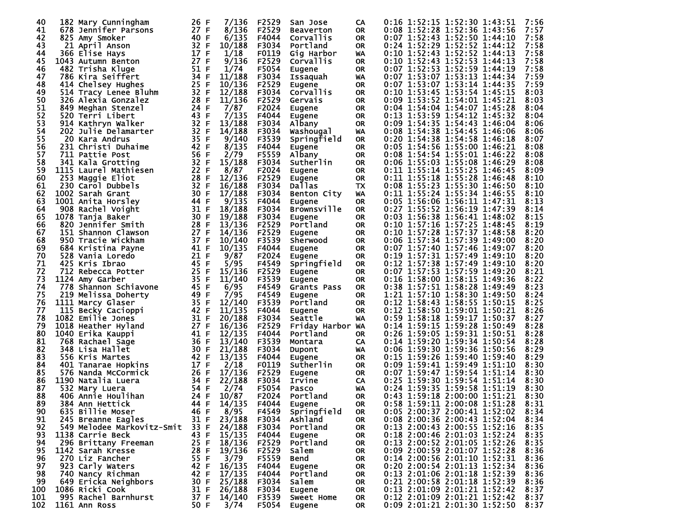| 40       | 182 Mary Cunningham                          | 26 F         | 7/136            | F2529          | San Jose              | CA                     | 0:16 1:52:15 1:52:30 1:43:51<br>7:56                                         |
|----------|----------------------------------------------|--------------|------------------|----------------|-----------------------|------------------------|------------------------------------------------------------------------------|
| 41       | 678 Jennifer Parsons                         | 27 F         | 8/136            | F2529          | <b>Beaverton</b>      | <b>OR</b>              | 0:08 1:52:28 1:52:36 1:43:56<br>7:57                                         |
| 42       | 825 Amy Smoker                               | 40 F         | 6/135            | F4044          | Corvallis             | <b>OR</b>              | 7:58<br>0:07 1:52:43 1:52:50 1:44:10                                         |
| 43       | 21 April Anson                               | 32 F         | 10/188           | F3034          | Portland              | <b>OR</b>              | 0:24 1:52:29 1:52:52 1:44:12<br>7:58                                         |
| 44       | 366 Elise Hays                               | 17 F         | 1/18             | F0119          | Gig Harbor            | WA                     | 7:58<br>0:10 1:52:43 1:52:52 1:44:13                                         |
| 45       | 1043 Autumn Benton                           | 27 F         | 9/136            | F2529          | Corvallis             | <b>OR</b>              | 0:10 1:52:43 1:52:53 1:44:13<br>7:58                                         |
| 46       | 482 Trisha Kluge                             | 51 F         | 1/74             | F5054          | <b>Eugene</b>         | <b>OR</b>              | 7:58<br>0:07 1:52:53 1:52:59 1:44:19<br>0:07 1:53:07 1:53:13 1:44:34         |
| 47       | 786 Kira Seiffert                            | 34 F<br>25 F | 11/188<br>10/136 | F3034          | Issaquah              | WA                     | 7:59<br>0:07 1:53:07 1:53:14 1:44:35                                         |
| 48<br>49 | 414 Chelsey Hughes                           | 32 F         | 12/188           | F2529<br>F3034 | Eugene<br>Corvallis   | <b>OR</b><br><b>OR</b> | 7:59<br>0:10 1:53:45 1:53:54 1:45:15<br>8:03                                 |
| 50       | 514 Tracy Lenee Bluhm<br>326 Alexia Gonzalez | 28 F         | 11/136           | F2529          | Gervais               | <b>OR</b>              | 8:03<br>0:09 1:53:52 1:54:01 1:45:21                                         |
| 51       | 849 Meghan Stenzel                           | 24 F         | 7/87             | F2024          | Eugene                | <b>OR</b>              | 0:04 1:54:04 1:54:07 1:45:28<br>8:04                                         |
| 52       | 520 Terri Libert                             | 43 F         | 7/135            | F4044          | Eugene                | <b>OR</b>              | 0:13 1:53:59 1:54:12 1:45:32<br>8:04                                         |
| 53       | 914 Kathryn Walker                           | 32 F         | 13/188           | F3034          | Albany                | <b>OR</b>              | 0:09 1:54:35 1:54:43 1:46:04<br>8:06                                         |
| 54       | 202 Julie Delamarter                         | 32 F         | 14/188           | F3034          | Washougal             | WA                     | 0:08 1:54:38 1:54:45 1:46:06<br>8:06                                         |
| 55       | 20 Kara Andrus                               | 35 F         | 9/140            | F3539          | Springfield           | <b>OR</b>              | 0:20 1:54:38 1:54:58 1:46:18<br>8:07                                         |
| 56       | 231 Christi Duhaime                          | 42 F         | 8/135            | F4044          | <b>Eugene</b>         | <b>OR</b>              | 0:05 1:54:56 1:55:00 1:46:21<br>8:08                                         |
| 57       | 711 Pattie Post                              | 56 F         | 2/79             | F5559          | Albany                | <b>OR</b>              | 0:08 1:54:54 1:55:01 1:46:22<br>8:08                                         |
| 58       | 341 Kala Grotting                            | 32 F         | 15/188           | F3034          | Sutherlin             | <b>OR</b>              | 0:06 1:55:03 1:55:08 1:46:29<br>8:08                                         |
| 59       | 1115 Laurel Mathiesen                        | 22 F         | 8/87             | F2024          | Eugene                | <b>OR</b>              | 0:11 1:55:14 1:55:25 1:46:45<br>8:09                                         |
| 60       | 253 Maggie Eliot                             | 28 F         | 12/136           | F2529          | <b>Eugene</b>         | <b>OR</b>              | 0:11 1:55:18 1:55:28 1:46:48<br>8:10                                         |
| 61       | 230 Carol Dubbels                            | 32 F         | 16/188           | F3034          | Dallas                | TX                     | 0:08 1:55:23 1:55:30 1:46:50<br>8:10                                         |
| 62       | 1002 Sarah Grant                             | 30 F         | 17/188           | F3034          | Benton City           | WA                     | 0:11 1:55:24 1:55:34 1:46:55<br>8:10                                         |
| 63<br>64 | 1001 Anita Horsley                           | 44 F         | 9/135<br>18/188  | F4044          | Eugene                | <b>OR</b>              | 0:05 1:56:06 1:56:11 1:47:31<br>8:13                                         |
| 65       | 908 Rachel Voight<br>1078 Tanja Baker        | 31 F<br>30 F | 19/188           | F3034<br>F3034 | <b>Brownsville</b>    | <b>OR</b><br><b>OR</b> | 0:27 1:55:52 1:56:19 1:47:39<br>8:14<br>0:03 1:56:38 1:56:41 1:48:02<br>8:15 |
| 66       | 820 Jennifer Smith                           | 28 F         | 13/136           | F2529          | Eugene<br>Portland    | <b>OR</b>              | 0:10 1:57:16 1:57:25 1:48:45<br>8:19                                         |
| 67       | 151 Shannon Clawson                          | 27 F         | 14/136           | F2529          | Eugene                | <b>OR</b>              | 0:10 1:57:28 1:57:37 1:48:58<br>8:20                                         |
| 68       | 950 Tracie Wickham                           | 37 F         | 10/140           | F3539          | Sherwood              | OR                     | 0:06 1:57:34 1:57:39 1:49:00<br>8:20                                         |
| 69       | 684 Kristina Payne                           | 41 F         | 10/135           | F4044          | Eugene                | <b>OR</b>              | 0:07 1:57:40 1:57:46 1:49:07<br>8:20                                         |
| 70       | 528 Vania Loredo                             | 21 F         | 9/87             | F2024          | <b>Eugene</b>         | <b>OR</b>              | 0:19 1:57:31 1:57:49 1:49:10<br>8:20                                         |
| 71       | 425 Kris Ibrao                               | 45 F         | 5/95             | F4549          | Springfield           | <b>OR</b>              | 0:12 1:57:38 1:57:49 1:49:10<br>8:20                                         |
| 72       | 712 Rebecca Potter                           | 25 F         | 15/136           | F2529          | <b>Eugene</b>         | <b>OR</b>              | 0:07 1:57:53 1:57:59 1:49:20<br>8:21                                         |
| 73       | 1124 Amy Garber                              | 35 F         | 11/140           | F3539          | <b>Eugene</b>         | <b>OR</b>              | 0:16 1:58:00 1:58:15 1:49:36<br>8:22                                         |
| 74       | 778 Shannon Schiavone                        | 45 F         | 6/95             | F4549          | Grants Pass           | <b>OR</b>              | 8:23<br>0:38 1:57:51 1:58:28 1:49:49                                         |
| 75       | 219 Melissa Doherty                          | 49 F         | 7/95             | F4549          | <b>Eugene</b>         | <b>OR</b>              | 1:21 1:57:10 1:58:30 1:49:50<br>8:24                                         |
| 76       | 1111 Marcy Glaser                            | 35 F         | 12/140           | F3539          | Portland              | <b>OR</b>              | 0:12 1:58:43 1:58:55 1:50:15<br>8:25                                         |
| 77       | 115 Becky Cacioppi                           | 42 F         | 11/135           | F4044          | Eugene                | <b>OR</b>              | 0:12 1:58:50 1:59:01 1:50:21<br>8:26                                         |
| 78       | 1082 Emilie Jones                            | 31 F         | 20/188           | F3034          | Seattle               | WA                     | 0:59 1:58:18 1:59:17 1:50:37<br>8:27                                         |
| 79<br>80 | 1018 Heather Hyland                          | 27 F<br>41 F | 16/136           | F2529          | Friday Harbor WA      |                        | 0:14 1:59:15 1:59:28 1:50:49<br>8:28                                         |
| 81       | 1040 Erika Kauppi<br>768 Rachael Sage        | 36 F         | 12/135<br>13/140 | F4044<br>F3539 | Portland<br>Montara   | 0R<br>CA               | 0:26 1:59:05 1:59:31 1:50:51<br>8:28<br>0:14 1:59:20 1:59:34 1:50:54<br>8:28 |
| 82       | 348 Lisa Hallet                              | 30 F         | 21/188           | F3034          | Dupont                | WA                     | 0:06 1:59:30 1:59:36 1:50:56<br>8:29                                         |
| 83       | 556 Kris Martes                              | 42 F         | 13/135           | F4044          | Eugene                | <b>OR</b>              | 0:15 1:59:26 1:59:40 1:59:40<br>8:29                                         |
| 84       | 401 Tanarae Hopkins                          | 17 F         | 2/18             | F0119          | Sutherlin             | OR                     | 0:09 1:59:41 1:59:49 1:51:10<br>8:30                                         |
| 85       | 576 Nanda McCormick                          | 26 F         | 17/136           | F2529          | <b>Eugene</b>         | <b>OR</b>              | 0:07 1:59:47 1:59:54 1:51:14<br>8:30                                         |
| 86       | 1190 Natalia Luera                           | 34 F         | 22/188           | F3034          | Irvine                | CA                     | 0:25 1:59:30 1:59:54 1:51:14<br>8:30                                         |
| 87       | 532 Mary Luera                               | 54 F         | 2/74             | F5054          | <b>Pasco</b>          | WA                     | 0:24 1:59:35 1:59:58 1:51:19<br>8:30                                         |
| 88       | 406 Annie Houlihan                           | 24 F         | 10/87            | F2024          | Portland              | <b>OR</b>              | 0:43 1:59:18 2:00:00 1:51:21<br>8:30                                         |
| 89       | 384 Ann Hettick                              | 44 F         | 14/135           | F4044          | Eugene                | <b>OR</b>              | 0:58 1:59:11 2:00:08 1:51:28<br>8:31                                         |
| 90       | 635 Billie Moser                             | 46 F         | 8/95             | F4549          | Springfield           | 0R                     | 0:05 2:00:37 2:00:41 1:52:02<br>8:34                                         |
| 91       | 245 Breanne Eagles                           | 31 F         | 23/188           | F3034          | Ashland               | OR                     | 0:08 2:00:36 2:00:43 1:52:04<br>8:34                                         |
| 92       | 549 Melodee Markovitz-Smit                   | 33 F         | 24/188           | F3034          | Portland              | 0R                     | 0:13 2:00:43 2:00:55 1:52:16<br>8:35                                         |
| 93       | 1138 Carrie Beck                             | 43 F         | 15/135           | F4044          | Eugene                | OR                     | 0:18 2:00:46 2:01:03 1:52:24<br>8:35                                         |
| 94       | 296 Brittany Freeman                         | 25 F         | 18/136           | F2529          | Portland              | 0R                     | 0:13 2:00:52 2:01:05 1:52:26<br>8:35                                         |
| 95       | 1142 Sarah Kresse                            | 28 F<br>55 F | 19/136           | F2529          | Salem                 | OR                     | 0:09 2:00:59 2:01:07 1:52:28<br>8:36<br>0:14 2:00:56 2:01:10 1:52:31         |
| 96<br>97 | 270 Liz Fancher<br>923 Carly Waters          | 42 F         | 3/79<br>16/135   | F5559<br>F4044 | <b>Bend</b><br>Eugene | <b>OR</b><br>OR        | 8:36<br>0:20 2:00:54 2:01:13 1:52:34<br>8:36                                 |
| 98       | 740 Nancy Richman                            | 42 F         | 17/135           | F4044          | Portland              | 0R                     | 0:13 2:01:06 2:01:18 1:52:39<br>8:36                                         |
| 99       | 649 Ericka Neighbors                         | 30 F         | 25/188           | F3034          | Salem                 | 0R                     | $0:21$ 2:00:58 2:01:18 1:52:39<br>8:36                                       |
| 100      | 1086 Ricki Cook                              | 31 F         | 26/188           | F3034          | Eugene                | <b>OR</b>              | 0:13 2:01:09 2:01:21 1:52:42<br>8:37                                         |
| 101      | 995 Rachel Barnhurst                         | 37 F         | 14/140           | F3539          | Sweet Home            | OR.                    | 0:12 2:01:09 2:01:21 1:52:42<br>8:37                                         |
| 102      | 1161 Ann Ross                                | 50 F         | 3/74             | F5054          | <b>Eugene</b>         | <b>OR</b>              | 0:09 2:01:21 2:01:30 1:52:50<br>8:37                                         |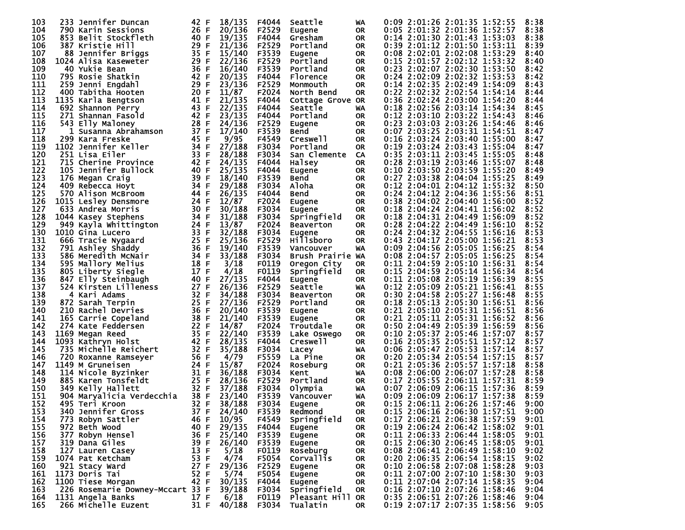| 103        | 233 Jennifer Duncan              | 42 F         | 18/135       | F4044 | Seattle          | WA        |  | 0:09 2:01:26 2:01:35 1:52:55                                 | 8:38         |
|------------|----------------------------------|--------------|--------------|-------|------------------|-----------|--|--------------------------------------------------------------|--------------|
| 104        | 790 Karin Sessions               | 26 F         | 20/136       | F2529 | Eugene           | 0R        |  | 0:05 2:01:32 2:01:36 1:52:57                                 | 8:38         |
| 105        | 853 Belit Stockfleth             | 40 F         | 19/135       | F4044 | Gresham          | 0R        |  | 0:14 2:01:30 2:01:43 1:53:03                                 | 8:38         |
| 106        | 387 Kristie Hill                 | 29 F         | 21/136       | F2529 | Portland         | 0R        |  | 0:39 2:01:12 2:01:50 1:53:11                                 | 8:39         |
| 107        | 88 Jennifer Briggs               | 35 F         | 15/140       | F3539 | Eugene           | <b>OR</b> |  | 0:08 2:02:01 2:02:08 1:53:29                                 | 8:40         |
| 108        | 1024 Alisa Kaseweter             | 29 F         | 22/136       | F2529 | Portland         | <b>OR</b> |  | 0:15 2:01:57 2:02:12 1:53:32                                 | 8:40         |
| 109        | 40 Yukie Bean                    | 36 F         | 16/140       | F3539 | Portland         | <b>OR</b> |  | 0:23 2:02:07 2:02:30 1:53:50                                 | 8:42         |
| 110        | 795 Rosie Shatkin                | 42 F         | 20/135       | F4044 | Florence         | <b>OR</b> |  | 0:24 2:02:09 2:02:32 1:53:53                                 | 8:42         |
| 111        | 259 Jenni Engdahl                | 29 F         | 23/136       | F2529 | Monmouth         | <b>OR</b> |  | 0:14 2:02:35 2:02:49 1:54:09                                 | 8:43         |
| 112        | 400 Tabitha Hooten               | 20 F         | 11/87        | F2024 | North Bend       | <b>OR</b> |  | 0:22 2:02:32 2:02:54 1:54:14                                 | 8:44         |
| 113        | 1135 Karla Bengtson              | 41 F         | 21/135       | F4044 | Cottage Grove OR |           |  | 0:36 2:02:24 2:03:00 1:54:20                                 | 8:44         |
| 114        | 692 Shannon Perry                | 43 F         | 22/135       | F4044 | Seattle          | WA        |  | 0:18 2:02:56 2:03:14 1:54:34                                 | 8:45         |
| 115        | 271 Shannan Fasold               | 42 F         | 23/135       | F4044 | Portland         | <b>OR</b> |  | 0:12 2:03:10 2:03:22 1:54:43                                 | 8:46         |
| 116        | 543 Elly Maloney                 | 28 F         | 24/136       | F2529 | Eugene           | 0R        |  | 0:23 2:03:03 2:03:26 1:54:46                                 | 8:46         |
| 117        | 1 Susanna Abrahamson             | 37 F         | 17/140       | F3539 | Bend             | <b>OR</b> |  | 0:07 2:03:25 2:03:31 1:54:51                                 | 8:47         |
| 118        | 299 Kara Freske                  | 45 F         | 9/95         | F4549 | Creswell         | <b>OR</b> |  | 0:16 2:03:24 2:03:40 1:55:00                                 | 8:47         |
| 119        | 1102 Jennifer Keller             | 34 F         | 27/188       | F3034 | Portland         | <b>OR</b> |  | 0:19 2:03:24 2:03:43 1:55:04                                 | 8:47         |
| 120        | 251 Lisa Eiler                   | 33 F         | 28/188       | F3034 | San Clemente     | CA        |  | 0:35 2:03:11 2:03:45 1:55:05                                 | 8:48         |
| 121        | 715 Cherine Province             | 42 F         | 24/135       | F4044 | Halsey           | <b>OR</b> |  | 0:28 2:03:19 2:03:46 1:55:07                                 | 8:48         |
| 122        | 105 Jennifer Bullock             | 40 F         | 25/135       | F4044 |                  | 0R        |  | 0:10 2:03:50 2:03:59 1:55:20                                 | 8:49         |
| 123        | 176 Megan Craig                  | 39 F         | 18/140       | F3539 | Eugene           | <b>OR</b> |  | 0:27 2:03:38 2:04:04 1:55:25                                 | 8:49         |
| 124        | 409 Rebecca Hoyt                 | 34 F         | 29/188       | F3034 | Bend<br>Aloha    |           |  | 0:12 2:04:01 2:04:12 1:55:32                                 | 8:50         |
| 125        | 570 Alison McBroom               |              | 26/135       |       |                  | 0R        |  |                                                              | 8:51         |
| 126        |                                  | 44 F         | 12/87        | F4044 | Bend             | <b>OR</b> |  | 0:24 2:04:12 2:04:36 1:55:56                                 |              |
| 127        | 1015 Lesley Densmore             | 24 F         |              | F2024 | Eugene           | OR.       |  | 0:38 2:04:02 2:04:40 1:56:00                                 | 8:52         |
| 128        | 633 Andrea Morris                | 30 F         | 30/188       | F3034 | <b>Eugene</b>    | <b>OR</b> |  | 0:18 2:04:24 2:04:41 1:56:02<br>0:18 2:04:31 2:04:49 1:56:09 | 8:52<br>8:52 |
|            | 1044 Kasey Stephens              | 34 F         | 31/188       | F3034 | Springfield      | <b>OR</b> |  |                                                              |              |
| 129        | 949 Kayla Whittington            | 24 F         | 13/87        | F2024 | <b>Beaverton</b> | <b>OR</b> |  | 0:28 2:04:22 2:04:49 1:56:10                                 | 8:52         |
| 130<br>131 | 1010 Gina Lucero                 | 33 F<br>25 F | 32/188       | F3034 | Eugene           | <b>OR</b> |  | 0:24 2:04:32 2:04:55 1:56:16                                 | 8:53<br>8:53 |
|            | 666 Tracie Nygaard               |              | 25/136       | F2529 | <b>Hillsboro</b> | <b>OR</b> |  | 0:43 2:04:17 2:05:00 1:56:21                                 |              |
| 132        | 791 Ashley Shaddy                | 36 F         | 19/140       | F3539 | Vancouver        | WA        |  | 0:09 2:04:56 2:05:05 1:56:25                                 | 8:54         |
| 133        | 586 Meredith McNair              | 34 F         | 33/188       | F3034 | Brush Prairie WA |           |  | 0:08 2:04:57 2:05:05 1:56:25                                 | 8:54         |
| 134        | 595 Mallory Melius               | 18 F         | 3/18         | F0119 | Oregon City      | OR        |  | 0:11 2:04:59 2:05:10 1:56:31                                 | 8:54         |
| 135        | 805 Liberty Siegle               | 17 F         | 4/18         | F0119 | Springfield      | <b>OR</b> |  | 0:15 2:04:59 2:05:14 1:56:34                                 | 8:54         |
| 136        | 847 Elly Steinbaugh              | 40 F         | 27/135       | F4044 | Eugene           | 0R        |  | 0:11 2:05:08 2:05:19 1:56:39                                 | 8:55         |
| 137        | 524 Kirsten Lilleness            | 27 F         | 26/136       | F2529 | Seattle          | WA        |  | 0:12 2:05:09 2:05:21 1:56:41                                 | 8:55         |
| 138        | 4 Kari Adams                     | 32 F         | 34/188       | F3034 | Beaverton        | <b>OR</b> |  | 0:30 2:04:58 2:05:27 1:56:48                                 | 8:55         |
| 139        | 872 Sarah Terpin                 | 25 F         | 27/136       | F2529 | Portland         | <b>OR</b> |  | 0:18 2:05:13 2:05:30 1:56:51                                 | 8:56         |
| 140        | 210 Rachel Devries               | 36 F         | 20/140       | F3539 | Eugene           | <b>OR</b> |  | 0:21 2:05:10 2:05:31 1:56:51                                 | 8:56         |
| 141        | 165 Carrie Copeland              | 38 F         | 21/140       | F3539 | Eugene           | <b>OR</b> |  | 0:21 2:05:11 2:05:31 1:56:52                                 | 8:56         |
| 142        | 274 Kate Feddersen               | 22 F         | 14/87        | F2024 | Troutdale        | <b>OR</b> |  | 0:50 2:04:49 2:05:39 1:56:59                                 | 8:56         |
| 143        | 1169 Megan Reed                  | 35 F         | 22/140       | F3539 | Lake Oswego      | <b>OR</b> |  | 0:10 2:05:37 2:05:46 1:57:07                                 | 8:57         |
| 144        | 1093 Kathryn Holst               | 42 F         | 28/135       | F4044 | Creswell         | <b>OR</b> |  | 0:16 2:05:35 2:05:51 1:57:12                                 | 8:57         |
| 145        | 735 Michelle Reichert            | 32 F         | 35/188       | F3034 | Lacey            | WA        |  | 0:06 2:05:47 2:05:53 1:57:14                                 | 8:57         |
| 146        | 720 Roxanne Ramseyer             | 56 F         | 4/79         | F5559 | La Pine          | 0R        |  | 0:20 2:05:34 2:05:54 1:57:15                                 | 8:57         |
| 147        | 1149 M Gruneisen                 | 24 F         | 15/87        | F2024 | Roseburg         | OR        |  | 0:21 2:05:36 2:05:57 1:57:18                                 | 8:58         |
| 148        | 114 Nicole Byzinker              | 31 F         | 36/188       | F3034 | Kent             | WA        |  | 0:08 2:06:00 2:06:07 1:57:28                                 | 8:58         |
| 149        | 885 Karen Tonsfeldt              | 25 F         | 28/136       | F2529 | Portland         | OR        |  | 0:17 2:05:55 2:06:11 1:57:31                                 | 8:59         |
| 150        | 349 Kelly Hallett                | 32 F         | 37/188       | F3034 | Olympia          | WA        |  | 0:07 2:06:09 2:06:15 1:57:36                                 | 8:59         |
| 151        | 904 Maryalicia Verdecchia        | 38 F         | 23/140       | F3539 | Vancouver        | WA        |  | 0:09 2:06:09 2:06:17 1:57:38                                 | 8:59         |
| 152        | 495 Teri Kroon                   | 32 F         | 38/188       | F3034 | Eugene           | <b>OR</b> |  | 0:15 2:06:11 2:06:26 1:57:46                                 | 9:00         |
| 153        | 340 Jennifer Gross               | 37 F         | 24/140 F3539 |       | Redmond          | 0R        |  | 0:15 2:06:16 2:06:30 1:57:51                                 | 9:00         |
| 154        | 773 Robyn Sattler                | 46 F         | 10/95        | F4549 | Springfield      | 0R.       |  | 0:17 2:06:21 2:06:38 1:57:59                                 | 9:01         |
| 155        | 972 Beth Wood                    | 40 F         | 29/135       | F4044 | Eugene           | 0R.       |  | 0:19 2:06:24 2:06:42 1:58:02                                 | 9:01         |
| 156        | 377 Robyn Hensel                 | 36 F         | 25/140       | F3539 | Eugene           | 0R.       |  | 0:11 2:06:33 2:06:44 1:58:05                                 | 9:01         |
| 157        | 319 Dana Giles                   | 39 F         | 26/140       | F3539 | Eugene           | 0R        |  | 0:15 2:06:30 2:06:45 1:58:05                                 | 9:01         |
| 158        | 127 Lauren Casey                 | 13 F         | 5/18         | F0119 | Roseburg         | 0R.       |  | 0:08 2:06:41 2:06:49 1:58:10                                 | 9:02         |
| 159        | 1074 Pat Ketcham                 | 53 F         | 4/74         | F5054 | Corvallis        | 0R        |  | 0:20 2:06:35 2:06:54 1:58:15                                 | 9:02         |
| 160        | 921 Stacy Ward                   | 27 F         | 29/136       | F2529 | Eugene           | OR.       |  | 0:10 2:06:58 2:07:08 1:58:28                                 | 9:03         |
| 161        | 1173 Doris Tai                   | 52 F         | 5/74         | F5054 | Eugene           | OR.       |  | 0:11 2:07:00 2:07:10 1:58:30                                 | 9:03         |
| 162        | 1100 Tiese Morgan                | 42 F         | 30/135       | F4044 | Eugene           | 0R.       |  | 0:11 2:07:04 2:07:14 1:58:35                                 | 9:04         |
| 163        | 226 Rosemarie Downey-Mccart 33 F |              | 39/188       | F3034 | Springfield      | OR.       |  | 0:16 2:07:10 2:07:26 1:58:46                                 | 9:04         |
| 164        | 1131 Angela Banks                | 17 F         | 6/18         | F0119 | Pleasant Hill OR |           |  | 0:35 2:06:51 2:07:26 1:58:46                                 | 9:04         |
| 165        | 266 Michelle Euzent              | 31 F         | 40/188 F3034 |       | Tualatin         | OR.       |  | 0:19 2:07:17 2:07:35 1:58:56                                 | 9:05         |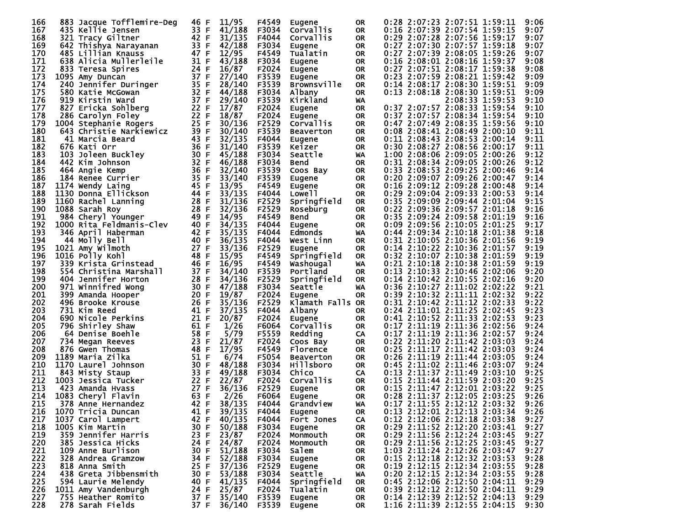| 166 | 883 Jacque Tofflemire-Deg | 46 F | 11/95  | F4549 | <b>Eugene</b>      | 0R        | 0:28 2:07:23 2:07:51 1:59:11<br>9:06         |
|-----|---------------------------|------|--------|-------|--------------------|-----------|----------------------------------------------|
| 167 | 435 Kellie Jensen         | 33 F | 41/188 | F3034 | Corvallis          | OR.       | 0:16 2:07:39 2:07:54 1:59:15<br>9:07         |
| 168 | 321 Tracy Giltner         | 42 F | 31/135 | F4044 | Corvallis          | 0R        | 0:29 2:07:28 2:07:56 1:59:17<br>9:07         |
| 169 | 642 Thishya Narayanan     | 33 F | 42/188 | F3034 |                    | OR.       | 0:27 2:07:30 2:07:57 1:59:18<br>9:07         |
| 170 |                           | 47 F | 12/95  | F4549 | Eugene<br>Tualatin | <b>OR</b> | 0:27 2:07:39 2:08:05 1:59:26<br>9:07         |
|     | 485 Lillian Knauss        |      |        |       |                    |           |                                              |
| 171 | 638 Alicia Mullerleile    | 31 F | 43/188 | F3034 | Eugene             | 0R        | 0:16 2:08:01 2:08:16 1:59:37<br>9:08         |
| 172 | 833 Teresa Spires         | 24 F | 16/87  | F2024 | Eugene             | <b>OR</b> | 0:27 2:07:51 2:08:17 1:59:38<br>9:08         |
| 173 | 1095 Amy Duncan           | 37 F | 27/140 | F3539 | Eugene             | OR.       | 0:23 2:07:59 2:08:21 1:59:42<br>9:09         |
| 174 | 240 Jennifer Duringer     | 35 F | 28/140 | F3539 | <b>Brownsville</b> | 0R        | 0:14 2:08:17 2:08:30 1:59:51<br>9:09         |
| 175 | 580 Katie McGowan         | 32 F | 44/188 | F3034 | Albany             | <b>OR</b> | 0:13 2:08:18 2:08:30 1:59:51<br>9:09         |
| 176 | 919 Kirstin Ward          | 37 F | 29/140 | F3539 | Kirkland           | WA        | 2:08:33 1:59:53<br>9:10                      |
| 177 | 827 Ericka Sohlberg       | 22 F | 17/87  | F2024 | Eugene             | <b>OR</b> | 0:37 2:07:57 2:08:33 1:59:54<br>9:10         |
| 178 | 286 Carolyn Foley         | 22 F | 18/87  | F2024 | Eugene             | <b>OR</b> | 0:37 2:07:57 2:08:34 1:59:54<br>9:10         |
| 179 | 1004 Stephanie Rogers     | 25 F | 30/136 | F2529 | Corvallis          | <b>OR</b> | 0:47 2:07:49 2:08:35 1:59:56<br>9:10         |
| 180 | 643 Christie Narkiewicz   | 39 F | 30/140 | F3539 | <b>Beaverton</b>   | <b>OR</b> | 9:11<br>$0:08$ 2:08:41 2:08:49 2:00:10       |
| 181 | 41 Marcia Beard           | 43 F | 32/135 | F4044 | <b>Eugene</b>      | 0R        | 9:11<br>0:11 2:08:43 2:08:53 2:00:14         |
| 182 | 676 Kati Orr              | 36 F | 31/140 | F3539 | Keizer             | <b>OR</b> | 9:11<br>0:30 2:08:27 2:08:56 2:00:17         |
| 183 | 103 Joleen Buckley        | 30 F | 45/188 | F3034 | Seattle            | WA        | 9:12<br>1:00 2:08:06 2:09:05 2:00:26         |
| 184 |                           | 32 F | 46/188 |       |                    |           | 9:12                                         |
|     | 442 Kim Johnson           |      |        | F3034 | Bend               | <b>OR</b> | 0:31 2:08:34 2:09:05 2:00:26                 |
| 185 | 464 Angie Kemp            | 36 F | 32/140 | F3539 | Coos Bay           | OR        | 9:14<br>0:33 2:08:53 2:09:25 2:00:46         |
| 186 | 184 Renee Currier         | 35 F | 33/140 | F3539 | Eugene             | <b>OR</b> | 0:20 2:09:07 2:09:26 2:00:47<br>9:14         |
| 187 | 1174 Wendy Laing          | 45 F | 13/95  | F4549 | Eugene             | 0R        | 0:16 2:09:12 2:09:28 2:00:48<br>9:14         |
| 188 | 1130 Donna Ellickson      | 44 F | 33/135 | F4044 | Lowe I I           | <b>OR</b> | 9:14<br>0:29 2:09:04 2:09:33 2:00:53         |
| 189 | 1160 Rachel Lanning       | 28 F | 31/136 | F2529 | Springfield        | 0R        | 0:35 2:09:09 2:09:44 2:01:04<br>9:15         |
| 190 | 1088 Sarah Roy            | 28 F | 32/136 | F2529 | Roseburg           | <b>OR</b> | 0:22 2:09:36 2:09:57 2:01:18<br>9:16         |
| 191 | 984 Cheryl Younger        | 49 F | 14/95  | F4549 | Bend               | <b>OR</b> | 0:35 2:09:24 2:09:58 2:01:19<br>9:16         |
| 192 | 1000 Rita Feldmanis-Clev  | 40 F | 34/135 | F4044 | Eugene             | <b>OR</b> | 9:17<br>0:09 2:09:56 2:10:05 2:01:25         |
| 193 | 346 April Haberman        | 42 F | 35/135 | F4044 | Edmonds            | WA        | 9:18<br>0:44 2:09:34 2:10:18 2:01:38         |
| 194 | 44 Molly Bell             | 40 F | 36/135 | F4044 | West Linn          | <b>OR</b> | 0:31 2:10:05 2:10:36 2:01:56<br>9:19         |
| 195 | 1021 Amy Wilmoth          | 27 F | 33/136 | F2529 | Eugene             | <b>OR</b> | 9:19<br>0:14 2:10:22 2:10:36 2:01:57         |
| 196 | 1016 Polly Kohl           | 48 F | 15/95  | F4549 | Springfield        | <b>OR</b> | 9:19<br>0:32 2:10:07 2:10:38 2:01:59         |
|     |                           | 46 F | 16/95  |       |                    |           | 0:21 2:10:18 2:10:38 2:01:59                 |
| 197 | 339 Krista Grinstead      |      |        | F4549 | Washougal          | WA        | 9:19                                         |
| 198 | 554 Christina Marshall    | 37 F | 34/140 | F3539 | Portland           | <b>OR</b> | 9:20<br>0:13 2:10:33 2:10:46 2:02:06         |
| 199 | 404 Jennifer Horton       | 28 F | 34/136 | F2529 | Springfield        | <b>OR</b> | 9:20<br>0:14 2:10:42 2:10:55 2:02:16         |
| 200 | 971 Winnifred Wong        | 30 F | 47/188 | F3034 | Seattle            | <b>WA</b> | 9:21<br>0:36 2:10:27 2:11:02 2:02:22         |
| 201 | 399 Amanda Hooper         | 20 F | 19/87  | F2024 | Eugene             | OR.       | 0:39 2:10:32 2:11:11 2:02:32<br>9:22         |
| 202 | 496 Brooke Krouse         | 26 F | 35/136 | F2529 | Klamath Falls OR   |           | 9:22<br>0:31 2:10:42 2:11:12 2:02:33         |
| 203 | 731 Kim Reed              | 41 F | 37/135 | F4044 | Albany             | 0R        | 0:24 2:11:01 2:11:25 2:02:45<br>9:23         |
| 204 | 690 Nicole Perkins        | 21 F | 20/87  | F2024 | <b>Eugene</b>      | <b>OR</b> | 9:23<br>0:41 2:10:52 2:11:33 2:02:53         |
| 205 | 796 Shirley Shaw          | 61 F | 1/26   | F6064 | Corvallis          | <b>OR</b> | 0:17 2:11:19 2:11:36 2:02:56<br>9:24         |
| 206 | 64 Denise Boehle          | 58 F | 5/79   | F5559 | Redding            | CA        | 9:24<br>0:17 2:11:19 2:11:36 2:02:57         |
| 207 | 734 Megan Reeves          | 23 F | 21/87  | F2024 | Coos Bay           | <b>OR</b> | 9:24<br>0:22 2:11:20 2:11:42 2:03:03         |
| 208 | 876 Gwen Thomas           | 48 F | 17/95  | F4549 | Florence           | <b>OR</b> | 9:24<br>0:25 2:11:17 2:11:42 2:03:03         |
| 209 | 1189 Maria Zilka          | 51 F | 6/74   | F5054 | Beaverton          | <b>OR</b> | 0:26 2:11:19 2:11:44 2:03:05<br>9:24         |
| 210 | 1170 Laurel Johnson       | 30 F | 48/188 | F3034 | Hillsboro          | <b>OR</b> | 9:24<br>0:45 2:11:02 2:11:46 2:03:07         |
| 211 | 843 Misty Staup           | 33 F | 49/188 | F3034 | Chi co             | CA        | 0:13 2:11:37 2:11:49 2:03:10<br>9:25         |
| 212 |                           | 22 F |        |       |                    |           | 9:25                                         |
|     | 1003 Jessica Tucker       |      | 22/87  | F2024 | Corvallis          | <b>OR</b> | 0:15 2:11:44 2:11:59 2:03:20                 |
| 213 | 423 Amanda Hvass          | 27 F | 36/136 | F2529 | Eugene             | 0R        | 0:15 2:11:47 2:12:01 2:03:22<br>9:25         |
| 214 | 1083 Cheryl Flavin        | 63 F | 2/26   | F6064 | Eugene             | <b>OR</b> | 9:26<br>0:28 2:11:37 2:12:05 2:03:25         |
| 215 | 378 Anne Hernandez        | 42 F | 38/135 | F4044 | Grandview          | WA        | $0:17$ $2:11:55$ $2:12:12$ $2:03:32$<br>9:26 |
| 216 | 1070 Tricia Duncan        | 41 F | 39/135 | F4044 | Eugene             | 0R        | 0:13 2:12:01 2:12:13 2:03:34<br>9:26         |
| 217 | 1037 Carol Lampert        | 42 F | 40/135 | F4044 | Fort Jones         | CA        | 0:12 2:12:06 2:12:18 2:03:38<br>9:27         |
| 218 | 1005 Kim Martin           | 30 F | 50/188 | F3034 | Eugene             | <b>OR</b> | 0:29 2:11:52 2:12:20 2:03:41<br>9:27         |
| 219 | 359 Jennifer Harris       | 23 F | 23/87  | F2024 | Monmouth           | 0R.       | 0:29 2:11:56 2:12:24 2:03:45<br>9:27         |
| 220 | 385 Jessica Hicks         | 24 F | 24/87  | F2024 | Monmouth           | 0R        | 0:29 2:11:56 2:12:25 2:03:45<br>9:27         |
| 221 | 109 Anne Burlison         | 30 F | 51/188 | F3034 | Salem              | 0R.       | 1:03 2:11:24 2:12:26 2:03:47<br>9:27         |
| 222 | 328 Andrea Gramzow        | 34 F | 52/188 | F3034 | Eugene             | 0R        | 0:15 2:12:18 2:12:32 2:03:53<br>9:28         |
| 223 | 818 Anna Smith            | 25 F | 37/136 | F2529 | Eugene             | 0R.       | 0:19 2:12:15 2:12:34 2:03:55<br>9:28         |
| 224 | 438 Greta Jibbensmith     | 30 F | 53/188 | F3034 | Seattle            | WA        | 0:20 2:12:15 2:12:34 2:03:55<br>9:28         |
| 225 |                           |      |        |       |                    |           |                                              |
|     | 594 Laurie Melendy        | 40 F | 41/135 | F4044 | Springfield        | 0R.       | 0:45 2:12:06 2:12:50 2:04:11<br>9:29         |
| 226 | 1011 Amy Vandenburgh      | 24 F | 25/87  | F2024 | Tualatin           | <b>OR</b> | 0:39 2:12:12 2:12:50 2:04:11<br>9:29         |
| 227 | 755 Heather Romito        | 37 F | 35/140 | F3539 | Eugene             | OR.       | 0:14 2:12:39 2:12:52 2:04:13<br>9:29         |
| 228 | 278 Sarah Fields          | 37 F | 36/140 | F3539 | Eugene             | OR.       | 1:16 2:11:39 2:12:55 2:04:15<br>9:30         |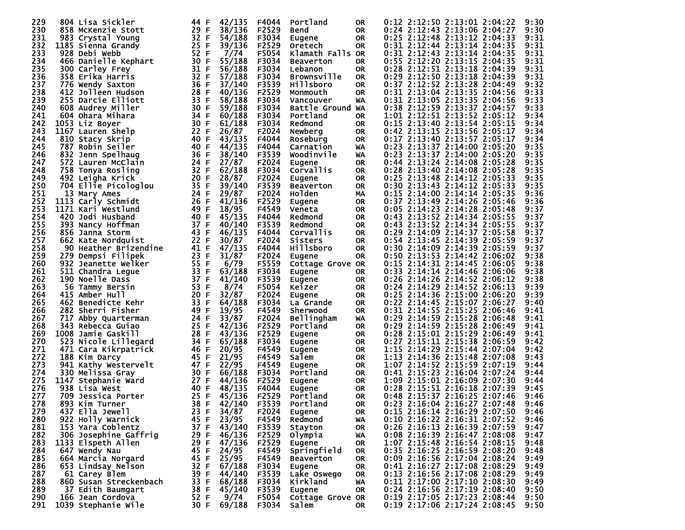| 229        |     | 804 Lisa Sickler       | 44 F         | 42/135          | F4044 | Portland           | <b>OR</b> |  | 0:12 2:12:50 2:13:01 2:04:22 | 9:30         |
|------------|-----|------------------------|--------------|-----------------|-------|--------------------|-----------|--|------------------------------|--------------|
| 230        |     | 858 McKenzie Stott     | 29 F         | 38/136          | F2529 | <b>Bend</b>        | <b>OR</b> |  | 0:24 2:12:43 2:13:06 2:04:27 | 9:30         |
| 231        |     | 983 Crystal Young      | 32 F         | 54/188          | F3034 | Eugene             | <b>OR</b> |  | 0:25 2:12:48 2:13:12 2:04:33 | 9:31         |
| 232        |     | 1185 Sienna Grandy     | 25 F         | 39/136          | F2529 | <b>Oretech</b>     | <b>OR</b> |  | 0:31 2:12:44 2:13:14 2:04:35 | 9:31         |
| 233        |     | 928 Debi Webb          | 52 F         | 7/74            | F5054 | Klamath Falls OR   |           |  | 0:31 2:12:43 2:13:14 2:04:35 | 9:31         |
| 234        |     | 466 Danielle Kephart   | 30 F         | 55/188          | F3034 | <b>Beaverton</b>   | <b>OR</b> |  | 0:55 2:12:20 2:13:15 2:04:35 | 9:31         |
| 235        |     | 300 Carley Frey        | 31 F         | 56/188          | F3034 | Lebanon            | <b>OR</b> |  | 0:28 2:12:51 2:13:18 2:04:39 | 9:31         |
| 236        |     | 358 Erika Harris       | 32 F         | 57/188          | F3034 | <b>Brownsville</b> | <b>OR</b> |  | 0:29 2:12:50 2:13:18 2:04:39 | 9:31         |
| 237        |     | 776 Wendy Saxton       | 36 F         | 37/140          | F3539 | <b>Hillsboro</b>   | <b>OR</b> |  | 0:37 2:12:52 2:13:28 2:04:49 | 9:32         |
| 238        |     | 412 Jolleen Hudson     | 28 F         | 40/136          | F2529 | Monmouth           | <b>OR</b> |  | 0:31 2:13:04 2:13:35 2:04:56 | 9:33         |
| 239        |     | 255 Darcie Elliott     | 33 F         | 58/188          | F3034 | Vancouver          | WA        |  | 0:31 2:13:05 2:13:35 2:04:56 | 9:33         |
| 240        |     | 608 Audrey Miller      | 30 F         | 59/188          | F3034 | Battle Ground WA   |           |  | 0:38 2:12:59 2:13:37 2:04:57 | 9:33         |
| 241        |     | 604 Ohara Mihara       | 34 F         | 60/188          | F3034 | Portland           | 0R        |  | 1:01 2:12:51 2:13:52 2:05:12 | 9:34         |
| 242        |     | 1053 Liz Boyer         | 30 F         | 61/188          | F3034 | Redmond            | <b>OR</b> |  | 0:15 2:13:40 2:13:54 2:05:15 | 9:34         |
| 243        |     | 1167 Lauren Shelp      | 22 F         | 26/87           | F2024 | Newberg            | <b>OR</b> |  | 0:42 2:13:15 2:13:56 2:05:17 | 9:34         |
| 244        |     | 810 Stacy Skrip        | 40 F         | 43/135          | F4044 | Roseburg           | <b>OR</b> |  | 0:17 2:13:40 2:13:57 2:05:17 | 9:34         |
| 245        |     | 787 Robin Seiler       | 40 F         | 44/135          | F4044 | Carnation          | WA        |  | 0:23 2:13:37 2:14:00 2:05:20 | 9:35         |
| 246        |     | 832 Jenn Spelhaug      | 36 F         | 38/140          | F3539 | Woodinvile         | WA        |  | 0:23 2:13:37 2:14:00 2:05:20 | 9:35         |
| 247        |     | 572 Lauren McClain     | 24 F         | 27/87           | F2024 | <b>Eugene</b>      | <b>OR</b> |  | 0:44 2:13:24 2:14:08 2:05:28 | 9:35         |
| 248        |     | 758 Tonya Rosling      | 32 F         | 62/188          | F3034 | Corvallis          | <b>OR</b> |  | 0:28 2:13:40 2:14:08 2:05:28 | 9:35         |
| 249        |     | 492 Leigha Krick       | 20 F         | 28/87           | F2024 | Eugene             | <b>OR</b> |  | 0:25 2:13:48 2:14:12 2:05:33 | 9:35         |
| 250        |     | 704 Ellie Picologlou   | 35 F         | 39/140          | F3539 | <b>Beaverton</b>   | <b>OR</b> |  | 0:30 2:13:43 2:14:12 2:05:33 | 9:35         |
| 251        |     | 13 Mary Ames           | 24 F         | 29/87           | F2024 | <b>Holden</b>      | MA        |  | 0:15 2:14:00 2:14:14 2:05:35 | 9:36         |
| 252        |     | 1113 Carly Schmidt     | 26 F         | 41/136          | F2529 | Eugene             | <b>OR</b> |  | 0:37 2:13:49 2:14:26 2:05:46 | 9:36         |
| 253        |     | 1171 Kari Westlund     | 49 F         | 18/95           | F4549 |                    | <b>OR</b> |  | 0:05 2:14:23 2:14:28 2:05:48 | 9:37         |
|            |     | 420 Jodi Husband       |              |                 |       | Veneta             |           |  | 0:43 2:13:52 2:14:34 2:05:55 | 9:37         |
| 254<br>255 |     |                        | 40 F<br>37 F | 45/135          | F4044 | Redmond            | <b>OR</b> |  |                              |              |
|            |     | 393 Nancy Hoffman      |              | 40/140          | F3539 | Redmond            | <b>OR</b> |  | 0:43 2:13:52 2:14:34 2:05:55 | 9:37         |
| 256<br>257 |     | 856 Janna Storm        | 43 F<br>22 F | 46/135          | F4044 | Corvallis          | <b>OR</b> |  | 0:29 2:14:09 2:14:37 2:05:58 | 9:37<br>9:37 |
|            |     | 662 Kate Nordquist     |              | 30/87<br>47/135 | F2024 | Sisters            | <b>OR</b> |  | 0:54 2:13:45 2:14:39 2:05:59 | 9:37         |
| 258<br>259 |     | 90 Heather Brizendine  | 41 F<br>23 F |                 | F4044 | Hillsboro          | <b>OR</b> |  | 0:30 2:14:09 2:14:39 2:05:59 | 9:38         |
|            |     | 279 Dempsi Filipek     |              | 31/87           | F2024 | Eugene             | <b>OR</b> |  | 0:50 2:13:53 2:14:42 2:06:02 |              |
| 260        |     | 932 Jeanette Welker    | 55 F         | 6/79            | F5559 | Cottage Grove OR   |           |  | 0:15 2:14:31 2:14:45 2:06:05 | 9:38         |
| 261        |     | 511 Chandra Legue      | 33 F         | 63/188          | F3034 | Eugene             | OR        |  | 0:33 2:14:14 2:14:46 2:06:06 | 9:38         |
| 262        |     | 190 Noelle Dass        | 37 F<br>53 F | 41/140          | F3539 | <b>Eugene</b>      | <b>OR</b> |  | 0:26 2:14:26 2:14:52 2:06:12 | 9:38         |
| 263        |     | 56 Tammy Bersin        |              | 8/74            | F5054 | Keizer             | <b>OR</b> |  | 0:24 2:14:29 2:14:52 2:06:13 | 9:39         |
| 264        |     | 415 Amber Hull         | 20 F<br>33 F | 32/87           | F2024 | Eugene             | <b>OR</b> |  | 0:25 2:14:36 2:15:00 2:06:20 | 9:39         |
| 265        |     | 462 Benedicte Kehr     |              | 64/188          | F3034 | La Grande          | <b>OR</b> |  | 0:22 2:14:45 2:15:07 2:06:27 | 9:40         |
| 266        |     | 282 Sherri Fisher      | 49 F         | 19/95           | F4549 | Sherwood           | <b>OR</b> |  | 0:31 2:14:55 2:15:25 2:06:46 | 9:41         |
| 267        | 717 | Abby Quarterman        | 24 F         | 33/87           | F2024 | Bellingham         | WA        |  | 0:29 2:14:59 2:15:28 2:06:48 | 9:41         |
| 268        |     | 343 Rebecca Guiao      | 25 F         | 42/136          | F2529 | Portland           | <b>OR</b> |  | 0:29 2:14:59 2:15:28 2:06:49 | 9:41         |
| 269        |     | 1008 Jamie Gaskill     | 28 F         | 43/136          | F2529 | Eugene             | <b>OR</b> |  | 0:28 2:15:01 2:15:29 2:06:49 | 9:41         |
| 270        |     | 523 Nicole Lillegard   | 34 F         | 65/188          | F3034 | Eugene             | <b>OR</b> |  | 0:27 2:15:11 2:15:38 2:06:59 | 9:42         |
| 271        |     | 471 Cara Kikrpatrick   | 46 F         | 20/95           | F4549 | Eugene             | <b>OR</b> |  | 1:15 2:14:29 2:15:44 2:07:04 | 9:42         |
| 272        |     | 188 Kim Darcy          | 45 F         | 21/95           | F4549 | Salem              | 0R        |  | 1:13 2:14:36 2:15:48 2:07:08 | 9:43         |
| 273        |     | 941 Kathy Westervelt   | 47 F         | 22/95           | F4549 | Eugene             | <b>OR</b> |  | 1:07 2:14:52 2:15:59 2:07:19 | 9:44         |
| 274        |     | 330 Melissa Gray       | 30 F         | 66/188          | F3034 | Portland           | <b>OR</b> |  | 0:41 2:15:23 2:16:04 2:07:24 | 9:44         |
| 275        |     | 1147 Stephanie Ward    | 27 F         | 44/136          | F2529 | Eugene             | <b>OR</b> |  | 1:09 2:15:01 2:16:09 2:07:30 | 9:44         |
| 276        |     | 938 Lisa West          | 40 F         | 48/135          | F4044 | Eugene             | <b>OR</b> |  | 0:28 2:15:51 2:16:18 2:07:39 | 9:45         |
| 277        |     | 709 Jessica Porter     | 25 F         | 45/136          | F2529 | Portland           | <b>OR</b> |  | 0:48 2:15:37 2:16:25 2:07:46 | 9:46         |
| 278        |     | 893 Kim Turner         | 38 F         | 42/140          | F3539 | Portland           | OR.       |  | 0:23 2:16:04 2:16:27 2:07:48 | 9:46         |
| 279        |     | 437 Ella Jewell        | 23 F         | 34/87           | F2024 | Eugene             | <b>OR</b> |  | 0:15 2:16:14 2:16:29 2:07:50 | 9:46         |
| 280        |     | 922 Holly Warnick      | 45 F         | 23/95           | F4549 | Redmond            | WA        |  | 0:10 2:16:22 2:16:31 2:07:52 | 9:46         |
| 281        |     | 153 Yara Coblentz      | 37<br>F      | 43/140          | F3539 | Stayton            | OR.       |  | 0:26 2:16:13 2:16:39 2:07:59 | 9:47         |
| 282        |     | 306 Josephine Gaffrig  | 29 F         | 46/136          | F2529 | Olympia            | WA        |  | 0:08 2:16:39 2:16:47 2:08:08 | 9:47         |
| 283        |     | 1133 Elspeth Allen     | 29<br>F      | 47/136          | F2529 | Eugene             | 0R        |  | 1:07 2:15:48 2:16:54 2:08:15 | 9:48         |
| 284        |     | 647 Wendy Nau          | 45 F         | 24/95           | F4549 | Springfield        | 0R        |  | 0:35 2:16:25 2:16:59 2:08:20 | 9:48         |
| 285        |     | 664 Marcia Norgard     | 45<br>F      | 25/95           | F4549 | <b>Beaverton</b>   | <b>OR</b> |  | 0:09 2:16:56 2:17:04 2:08:24 | 9:49         |
| 286        |     | 653 Lindsay Nelson     | 32 F         | 67/188          | F3034 | Eugene             | 0R        |  | 0:41 2:16:27 2:17:08 2:08:29 | 9:49         |
| 287        |     | 61 Carey Blem          | 39<br>F      | 44/140          | F3539 | Lake Oswego        | <b>OR</b> |  | 0:13 2:16:56 2:17:08 2:08:29 | 9:49         |
| 288        |     | 860 Susan Streckenbach | 33 F         | 68/188          | F3034 | Kirkland           | WA        |  | 0:11 2:17:00 2:17:10 2:08:30 | 9:49         |
| 289        |     | 37 Edith Baumgart      | 38 F         | 45/140          | F3539 | Eugene             | 0R        |  | 0:24 2:16:56 2:17:19 2:08:40 | 9:50         |
| 290        |     | 166 Jean Cordova       | 52 F         | 9/74            | F5054 | Cottage Grove OR   |           |  | 0:19 2:17:05 2:17:23 2:08:44 | 9:50         |
| 291        |     | 1039 Stephanie Wile    | 30 F         | 69/188          | F3034 | Salem              | OR.       |  | 0:19 2:17:06 2:17:24 2:08:45 | 9:50         |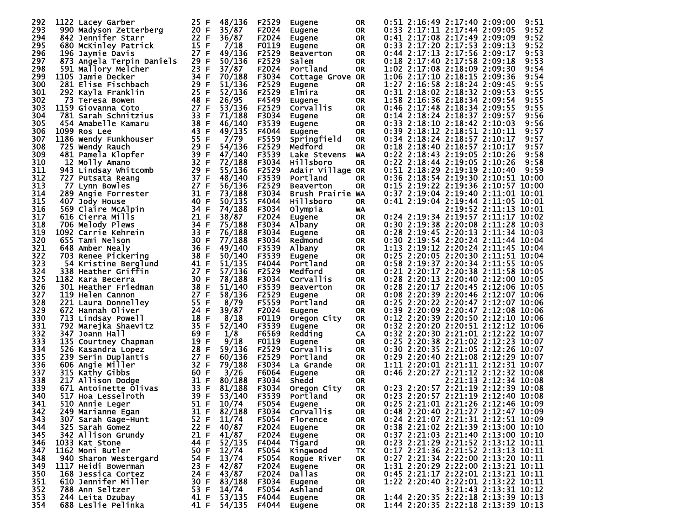| 292        | 1122 Lacey Garber                         | 25 F         | 48/136            | F2529          | Eugene                            | 0R              | 0:51 2:16:49 2:17:40 2:09:00<br>9:51                                     |
|------------|-------------------------------------------|--------------|-------------------|----------------|-----------------------------------|-----------------|--------------------------------------------------------------------------|
| 293        | 990 Madyson Zetterberg                    | 20 F         | 35/87             | F2024          | Eugene                            | OR              | 0:33 2:17:11 2:17:44 2:09:05<br>9:52                                     |
| 294        | 842 Jennifer Starr                        | 22 F         | 36/87             | F2024          | Eugene                            | 0R              | 0:41 2:17:08 2:17:49 2:09:09<br>9:52                                     |
| 295        | 680 McKinley Patrick                      | 15 F         | 7/18              | F0119          | <b>Eugene</b>                     | <b>OR</b>       | 9:52<br>0:33 2:17:20 2:17:53 2:09:13                                     |
| 296        | 196 Jaymie Davis                          | 27 F         | 49/136            | F2529          | <b>Beaverton</b>                  | 0R              | 0:44 2:17:13 2:17:56 2:09:17<br>9:53                                     |
| 297        | 873 Angela Terpin Daniels                 | 29 F         | 50/136            | F2529          | Salem                             | OR.             | 0:18 2:17:40 2:17:58 2:09:18<br>9:53                                     |
| 298        | 591 Mallory Melcher                       | 23 F         | 37/87             | F2024          | Portland                          | <b>OR</b>       | 9:54<br>1:02 2:17:08 2:18:09 2:09:30                                     |
| 299        | 1105 Jamie Decker                         | 34 F         | 70/188            | F3034          | Cottage Grove OR                  |                 | 1:06 2:17:10 2:18:15 2:09:36<br>9:54                                     |
| 300        | 281 Elise Fischbach                       | 29 F         | 51/136            | F2529          | Eugene                            | 0R              | 1:27 2:16:58 2:18:24 2:09:45<br>9:55                                     |
| 301        | 292 Kayla Franklin                        | 25 F         | 52/136            | F2529          | Elmira                            | 0R              | 0:31 2:18:02 2:18:32 2:09:53<br>9:55                                     |
| 302        | 73 Teresa Bowen                           | 48 F         | 26/95             | F4549          |                                   | 0R              | 1:58 2:16:36 2:18:34 2:09:54<br>9:55                                     |
| 303        | 1159 Giovanna Coto                        | 27 F         | 53/136            | F2529          | <b>Eugene</b><br><b>Corvallis</b> | 0R              | 0:46 2:17:48 2:18:34 2:09:55<br>9:55                                     |
| 304        | 781 Sarah Schnitzius                      | 33 F         | 71/188            | F3034          |                                   | <b>OR</b>       | 0:14 2:18:24 2:18:37 2:09:57<br>9:56                                     |
| 305        | 454 Amabelle Kamaru                       | 38 F         | 46/140            |                | <b>Eugene</b>                     |                 | 0:33 2:18:10 2:18:42 2:10:03<br>9:56                                     |
| 306        |                                           | 43 F         | 49/135            | F3539<br>F4044 | Eugene                            | 0R<br><b>OR</b> | 0:39 2:18:12 2:18:51 2:10:11<br>9:57                                     |
| 307        | 1099 Ros Lee<br>1186 Wendy Funkhouser     | 55 F         | 7/79              | F5559          | Eugene                            |                 | 9:57<br>0:34 2:18:24 2:18:57 2:10:17                                     |
| 308        |                                           | 29 F         | 54/136            |                | Springfield                       | OR.             | 9:57                                                                     |
|            | 725 Wendy Rauch                           | 39 F         |                   | F2529          | Medford                           | <b>OR</b>       | 0:18 2:18:40 2:18:57 2:10:17                                             |
| 309<br>310 | 481 Pamela Klopfer                        | 32 F         | 47/140            | F3539          | Lake Stevens                      | WA              | 0:22 2:18:43 2:19:05 2:10:26<br>9:58                                     |
|            | 12 Molly Amano                            |              | 72/188<br>55/136  | F3034          | Hillsboro                         | <b>OR</b>       | 0:22 2:18:44 2:19:05 2:10:26<br>9:58                                     |
| 311        | 943 Lindsay Whitcomb                      | 29 F         |                   | F2529          | Adair Village OR                  |                 | 0:51 2:18:29 2:19:19 2:10:40<br>9:59                                     |
| 312        | 727 Putsata Reang                         | 37 F         | 48/140            | F3539          | Portland                          | 0R              | 0:36 2:18:54 2:19:30 2:10:51 10:00                                       |
| 313        | 77 Lynn Bowles                            | 27 F         | 56/136            | F2529          | <b>Beaverton</b>                  | OR              | 0:15 2:19:22 2:19:36 2:10:57 10:00                                       |
| 314        | 289 Angie Forrester                       | 31 F         | 73/188            | F3034          | Brush Prairie WA                  |                 | 0:37 2:19:04 2:19:40 2:11:01 10:01                                       |
| 315        | 407 Jody House                            | 40 F         | 50/135            | F4044          | <b>Hillsboro</b>                  | 0R              | 0:41 2:19:04 2:19:44 2:11:05 10:01                                       |
| 316        | 569 Claire McAlpin                        | 34 F         | 74/188            | F3034          | Olympia                           | WA              | 2:19:52 2:11:13 10:01                                                    |
| 317        | 616 Cierra Mills                          | 21 F         | 38/87             | F2024          | Eugene                            | 0R              | 0:24 2:19:34 2:19:57 2:11:17 10:02                                       |
| 318        | 706 Melody Plews                          | 34 F         | 75/188            | F3034          | Albany                            | <b>OR</b>       | 0:30 2:19:38 2:20:08 2:11:28 10:03                                       |
| 319        | 1092 Carrie Kehrein                       | 33 F         | 76/188            | F3034          | Eugene                            | 0R              | 0:28 2:19:45 2:20:13 2:11:34 10:03                                       |
| 320        | 655 Tami Nelson                           | 30 F         | 77/188            | F3034          | Redmond                           | <b>OR</b>       | 0:30 2:19:54 2:20:24 2:11:44 10:04                                       |
| 321        | 648 Amber Nealy                           | 36 F         | 49/140            | F3539          | Albany                            | 0R              | 1:13 2:19:12 2:20:24 2:11:45 10:04                                       |
| 322        | 703 Renee Pickering                       | 38 F         | 50/140            | F3539          | Eugene                            | <b>OR</b>       | 0:25 2:20:05 2:20:30 2:11:51 10:04                                       |
| 323        | 54 Kristine Berglund                      | 41 F         | 51/135            | F4044          | Portland                          | 0R              | 0:58 2:19:37 2:20:34 2:11:55 10:05                                       |
| 324        | 338 Heather Griffin                       | 27 F         | 57/136            | F2529          | Medford                           | <b>OR</b>       | 0:21 2:20:17 2:20:38 2:11:58 10:05                                       |
| 325        | 1182 Kara Becerra                         | 30 F         | 78/188            | F3034          | Corvallis                         | 0R              | 0:28 2:20:13 2:20:40 2:12:00 10:05                                       |
| 326        | 301 Heather Friedman                      | 38 F         | 51/140            | F3539          | <b>Beaverton</b>                  | <b>OR</b>       | 0:28 2:20:17 2:20:45 2:12:06 10:05                                       |
| 327        | 119 Helen Cannon                          | 27 F         | 58/136            | F2529          | Eugene                            | 0R              | 0:08 2:20:39 2:20:46 2:12:07 10:06                                       |
| 328        | 221 Laura Donnelley                       | 55 F         | 8/79              | F5559          | Portland                          | <b>OR</b>       | 0:25 2:20:22 2:20:47 2:12:07 10:06                                       |
| 329        | 672 Hannah Oliver                         | 24 F         | 39/87             | F2024          | Eugene                            | 0R              | 0:39 2:20:09 2:20:47 2:12:08 10:06                                       |
| 330        | 713 Lindsay Powell                        | 18 F         | 8/18              | F0119          | Oregon City                       | <b>OR</b>       | 0:12 2:20:39 2:20:50 2:12:10 10:06                                       |
| 331        | 792 Marejka Shaevitz                      | 35 F         | 52/140            | F3539          | <b>Eugene</b>                     | 0R              | 0:32 2:20:20 2:20:51 2:12:12 10:06                                       |
| 332        | 347 Joann Hall                            | 69 F         | 1/8               | F6569          | Redding                           | CA              | 0:32 2:20:30 2:21:01 2:12:22 10:07                                       |
| 333        | 135 Courtney Chapman                      | 19 F         | 9/18              | F0119          | Eugene                            | <b>OR</b>       | 0:25 2:20:38 2:21:02 2:12:23 10:07                                       |
| 334        | 526 Kasandra Lopez                        | 28 F         | 59/136            | F2529          | Corvallis                         | <b>OR</b>       | 0:30 2:20:35 2:21:05 2:12:26 10:07                                       |
| 335<br>336 | 239 Serin Duplantis                       | 27 F<br>32 F | 60/136            | F2529          | Portland                          | <b>OR</b>       | 0:29 2:20:40 2:21:08 2:12:29 10:07                                       |
|            | 606 Angie Miller                          | 60 F         | 79/188            | F3034          | La Grande                         | <b>OR</b>       | 1:11 2:20:01 2:21:11 2:12:31 10:07<br>0:46 2:20:27 2:21:12 2:12:32 10:08 |
| 337        | 315 Kathy Gibbs                           |              | 3/26              | F6064          | <b>Eugene</b>                     | 0R              |                                                                          |
| 338<br>339 | 217 Allison Dodge                         | 31 F         | 80/188            | F3034          | Shedd                             | <b>OR</b>       | 2:21:13 2:12:34<br>10:08<br>0:23 2:20:57 2:21:19 2:12:39 10:08           |
| 340        | 671 Antoinette Olivas                     | 33 F<br>39 F | 81/188            | F3034          | Oregon City                       | 0R              | 0:23 2:20:57 2:21:19 2:12:40 10:08                                       |
| 341        | 517 Hoa Lesselroth                        |              | 53/140<br>10/74   | F3539          | Portland                          | <b>OR</b>       | 0:25 2:21:01 2:21:26 2:12:46 10:09                                       |
|            | 510 Annie Leger                           | 51 F         |                   | F5054          | Eugene                            | <b>OR</b>       | 0:48 2:20:40 2:21:27 2:12:47 10:09                                       |
| 342        | 249 Marianne Egan                         |              | 31 F 82/188 F3034 |                | Corvallis                         | 0R              | 0:24 2:21:07 2:21:31 2:12:51 10:09                                       |
| 343<br>344 | 307 Sarah Gage-Hunt<br>325 Sarah Gomez    | 52 F<br>22 F | 11/74<br>40/87    | F5054<br>F2024 | Florence                          | OR.             | 0:38 2:21:02 2:21:39 2:13:00 10:10                                       |
| 345        |                                           |              | 41/87             | F2024          | Eugene                            | 0R              | 0:37 2:21:03 2:21:40 2:13:00 10:10                                       |
|            | 342 Allison Grundy                        | 21 F         | 52/135            |                | Eugene                            | 0R.             | 0:23 2:21:29 2:21:52 2:13:12 10:11                                       |
| 346        | 1033 Kat Stone                            | 44 F         | 12/74             | F4044          | Tigard                            | OR.             | $0:17$ 2:21:36 2:21:52 2:13:13 10:11                                     |
| 347<br>348 | 1162 Moni Butler                          | 50 F         |                   | F5054          | Kingwood                          | TX              | 0:27 2:21:34 2:22:00 2:13:20 10:11                                       |
|            | 940 Sharon Westergard                     | 54 F         | 13/74             | F5054          | Rogue River                       | OR.             | 1:31 2:20:29 2:22:00 2:13:21 10:11                                       |
| 349        | 1117 Heidi Bowerman                       | 23 F         | 42/87             | F2024          | Eugene                            | OR.             |                                                                          |
| 350        | 168 Jessica Cortez<br>610 Jennifer Miller | 24 F         | 43/87<br>83/188   | F2024          | Dallas                            | 0R              | 0:45 2:21:17 2:22:01 2:13:21 10:11                                       |
| 351<br>352 | 788 Ann Seltzer                           | 30 F         |                   | F3034          | Eugene                            | 0R              | 1:22 2:20:40 2:22:01 2:13:22 10:11                                       |
| 353        |                                           | 53 F         | 14/74             | F5054          | Ashland                           | 0R              | 3:21:43 2:13:31 10:12<br>1:44 2:20:35 2:22:18 2:13:39 10:13              |
| 354        | 244 Leita Dzubay                          | 41 F         | 53/135            | F4044          | Eugene                            | OR.             | 1:44 2:20:35 2:22:18 2:13:39 10:13                                       |
|            | 688 Leslie Pelinka                        | 41 F         | 54/135            | F4044          | Eugene                            | OR.             |                                                                          |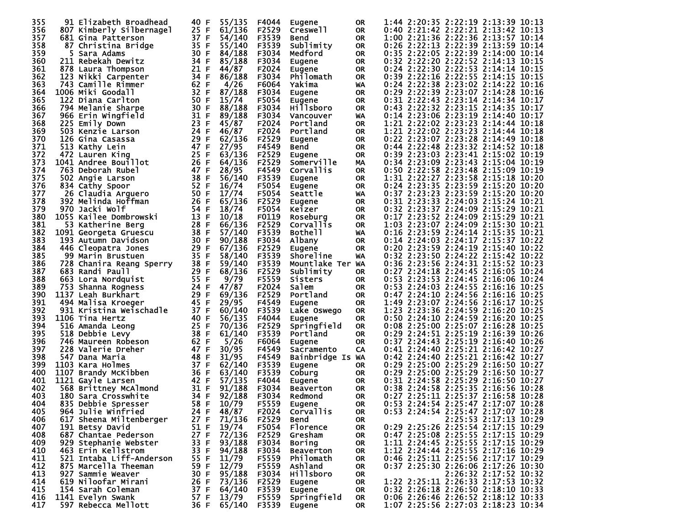| 355 | 91 Elizabeth Broadhead   | 40 F         | 55/135       | F4044 | Eugene              | 0R        | 1:44 2:20:35 2:22:19 2:13:39 10:13 |
|-----|--------------------------|--------------|--------------|-------|---------------------|-----------|------------------------------------|
| 356 | 807 Kimberly Silbernagel | 25 F         | 61/136       | F2529 | Creswell            | OR.       | 0:40 2:21:42 2:22:21 2:13:42 10:13 |
| 357 | 681 Gina Patterson       | 37 F         | 54/140       | F3539 | <b>Bend</b>         | 0R        | 1:00 2:21:36 2:22:36 2:13:57 10:14 |
| 358 | 87 Christina Bridge      | 35 F         | 55/140       | F3539 | Sublimity           | 0R        | 0:26 2:22:13 2:22:39 2:13:59 10:14 |
| 359 | 5 Sara Adams             | 30 F         | 84/188       | F3034 | Medford             | <b>OR</b> | 0:35 2:22:05 2:22:39 2:14:00 10:14 |
| 360 | 211 Rebekah Dewitz       | 34 F         | 85/188       | F3034 | Eugene              | <b>OR</b> | 0:32 2:22:20 2:22:52 2:14:13 10:15 |
| 361 | 878 Laura Thompson       | 21 F         | 44/87        | F2024 | Eugene              | <b>OR</b> | 0:24 2:22:30 2:22:53 2:14:14 10:15 |
|     |                          |              |              |       |                     |           | 0:39 2:22:16 2:22:55 2:14:15 10:15 |
| 362 | 123 Nikki Carpenter      | 34 F         | 86/188       | F3034 | Philomath           | 0R        |                                    |
| 363 | 743 Camille Rimmer       | 62 F         | 4/26         | F6064 | Yakima              | WA        | 0:24 2:22:38 2:23:02 2:14:22 10:16 |
| 364 | 1006 Miki Goodall        | 32 F         | 87/188       | F3034 | Eugene              | 0R        | 0:29 2:22:39 2:23:07 2:14:28 10:16 |
| 365 | 122 Diana Carlton        | 50 F         | 15/74        | F5054 | Eugene              | <b>OR</b> | 0:31 2:22:43 2:23:14 2:14:34 10:17 |
| 366 | 794 Melanie Sharpe       | 30 F         | 88/188       | F3034 | <b>Hillsboro</b>    | 0R        | 0:43 2:22:32 2:23:15 2:14:35 10:17 |
| 367 | 966 Erin Wingfield       | 31 F         | 89/188       | F3034 | Vancouver           | WA        | 0:14 2:23:06 2:23:19 2:14:40 10:17 |
| 368 | 225 Emily Down           | 23 F         | 45/87        | F2024 | Portland            | 0R        | 1:21 2:22:02 2:23:23 2:14:44 10:18 |
| 369 | 503 Kenzie Larson        | 24 F         | 46/87        | F2024 | Portland            | <b>OR</b> | 1:21 2:22:02 2:23:23 2:14:44 10:18 |
| 370 | 126 Gina Casassa         | 29 F         | 62/136       | F2529 | Eugene              | 0R        | 0:22 2:23:07 2:23:28 2:14:49 10:18 |
| 371 | 513 Kathy Lein           | 47 F         | 27/95        | F4549 | Bend                | 0R        | 0:44 2:22:48 2:23:32 2:14:52 10:18 |
| 372 | 472 Lauren King          | 25 F         | 63/136       | F2529 | Eugene              | 0R        | 0:39 2:23:03 2:23:41 2:15:02 10:19 |
| 373 | 1041 Andree Bouillot     | 26 F         | 64/136       | F2529 | Somerville          | MA        | 0:34 2:23:09 2:23:43 2:15:04 10:19 |
| 374 | 763 Deborah Rubel        | 47 F         | 28/95        | F4549 | Corvallis           | <b>OR</b> | 0:50 2:22:58 2:23:48 2:15:09 10:19 |
| 375 | 502 Angie Larson         | 38 F         | 56/140       | F3539 | <b>Eugene</b>       | <b>OR</b> | 1:31 2:22:27 2:23:58 2:15:18 10:20 |
| 376 | 834 Cathy Spoor          | 52 F         | 16/74        | F5054 | Eugene              | 0R        | 0:24 2:23:35 2:23:59 2:15:20 10:20 |
| 377 | 26 Claudia Arguero       | 50 F         | 17/74        | F5054 | <b>Seattle</b>      | WA        | 0:37 2:23:23 2:23:59 2:15:20 10:20 |
| 378 | 392 Melinda Hoffman      | 26 F         | 65/136       | F2529 | Eugene              | 0R        | 0:31 2:23:33 2:24:03 2:15:24 10:21 |
| 379 | 970 Jacki Wolf           | 54 F         | 18/74        | F5054 | Keizer              | 0R        | 0:32 2:23:37 2:24:09 2:15:29 10:21 |
| 380 | 1055 Kailee Dombrowski   | 13 F         | 10/18        | F0119 | Roseburg            | 0R        | 0:17 2:23:52 2:24:09 2:15:29 10:21 |
| 381 | 53 Katherine Berg        | 28 F         | 66/136       | F2529 | <b>Corvallis</b>    | <b>OR</b> | 1:03 2:23:07 2:24:09 2:15:30 10:21 |
| 382 | 1091 Georgeta Gruescu    | 38 F         | 57/140       | F3539 | Bothe <sub>11</sub> | WA        | 0:16 2:23:59 2:24:14 2:15:35 10:21 |
| 383 |                          | 30 F         | 90/188       | F3034 |                     | <b>OR</b> | 0:14 2:24:03 2:24:17 2:15:37 10:22 |
|     | 193 Autumn Davidson      |              | 67/136       |       | Albany              |           | 0:20 2:23:59 2:24:19 2:15:40 10:22 |
| 384 | 446 Cleopatra Jones      | 29 F<br>35 F |              | F2529 | Eugene              | 0R        |                                    |
| 385 | 99 Marin Brustuen        |              | 58/140       | F3539 | Shoreline           | WA        | 0:32 2:23:50 2:24:22 2:15:42 10:22 |
| 386 | 728 Chanira Reang Sperry | 38 F         | 59/140       | F3539 | Mountlake Ter WA    |           | 0:36 2:23:56 2:24:31 2:15:52 10:23 |
| 387 | 683 Randi Paull          | 29 F         | 68/136       | F2529 | Sublimity           | <b>OR</b> | 0:27 2:24:18 2:24:45 2:16:05 10:24 |
| 388 | 663 Lora Nordquist       | 55 F         | 9/79         | F5559 | Sisters             | 0R        | 0:53 2:23:53 2:24:45 2:16:06 10:24 |
| 389 | 753 Shanna Rogness       | 24 F         | 47/87        | F2024 | Salem               | <b>OR</b> | 0:53 2:24:03 2:24:55 2:16:16 10:25 |
| 390 | 1137 Leah Burkhart       | 29 F         | 69/136       | F2529 | Portland            | <b>OR</b> | 0:47 2:24:10 2:24:56 2:16:16 10:25 |
| 391 | 494 Malisa Kroeger       | 45 F         | 29/95        | F4549 | <b>Eugene</b>       | <b>OR</b> | 1:49 2:23:07 2:24:56 2:16:17 10:25 |
| 392 | 931 Kristina Weischadle  | 37 F         | 60/140       | F3539 | Lake Oswego         | 0R        | 1:23 2:23:36 2:24:59 2:16:20 10:25 |
| 393 | 1106 Tina Hertz          | 40 F         | 56/135       | F4044 | <b>Eugene</b>       | <b>OR</b> | 0:50 2:24:10 2:24:59 2:16:20 10:25 |
| 394 | 516 Amanda Leong         | 25 F         | 70/136       | F2529 | Springfield         | 0R        | 0:08 2:25:00 2:25:07 2:16:28 10:25 |
| 395 | 518 Debbie Levy          | 38 F         | 61/140       | F3539 | Portland            | <b>OR</b> | 0:29 2:24:51 2:25:19 2:16:39 10:26 |
| 396 | 746 Maureen Robeson      | 62 F         | 5/26         | F6064 | Eugene              | 0R        | 0:37 2:24:43 2:25:19 2:16:40 10:26 |
| 397 | 228 Valerie Dreher       | 47 F         | 30/95        | F4549 | Sacramento          | CA        | 0:41 2:24:40 2:25:21 2:16:42 10:27 |
| 398 | 547 Dana Maria           | 48 F         | 31/95        | F4549 | Bainbridge Is WA    |           | 0:42 2:24:40 2:25:21 2:16:42 10:27 |
| 399 | 1103 Kara Holmes         | 37 F         | 62/140       | F3539 | Eugene              | <b>OR</b> | 0:29 2:25:00 2:25:29 2:16:50 10:27 |
| 400 | 1107 Brandy McKibben     | 36 F         | 63/140       | F3539 | Coburg              | 0R        | 0:29 2:25:00 2:25:29 2:16:50 10:27 |
| 401 | 1121 Gayle Larsen        | 42 F         | 57/135       | F4044 | <b>Eugene</b>       | 0R        | 0:31 2:24:58 2:25:29 2:16:50 10:27 |
| 402 | 568 Brittney McAlmond    | 31 F         | 91/188       | F3034 | Beaverton           | 0R        | 0:38 2:24:58 2:25:35 2:16:56 10:28 |
| 403 | 180 Sara Crosswhite      | 34 F         | 92/188       | F3034 | Redmond             | <b>OR</b> | 0:27 2:25:11 2:25:37 2:16:58 10:28 |
| 404 | 835 Debbie Spresser      | 58 F         | 10/79        | F5559 | Eugene              | <b>OR</b> | 0:53 2:24:54 2:25:47 2:17:07 10:28 |
| 405 | 964 Julie Winfried       | 24 F         | 48/87        | F2024 | <b>COTVALLIS</b>    | 0R        | 0:53 2:24:54 2:25:47 2:17:07 10:28 |
| 406 | 617 Sheena Miltenberger  | 27 F         | 71/136       | F2529 | Bend                | OR.       | 2:25:53 2:17:13 10:29              |
| 407 | 191 Betsy David          | 51 F         | 19/74        | F5054 | Florence            | OR        | 0:29 2:25:26 2:25:54 2:17:15 10:29 |
| 408 | 687 Chantae Pederson     | 27 F         | 72/136       | F2529 | Gresham             | 0R.       | 0:47 2:25:08 2:25:55 2:17:15 10:29 |
| 409 | 929 Stephanie Webster    | 33 F         | 93/188       | F3034 | <b>Boring</b>       | 0R        | 1:11 2:24:45 2:25:55 2:17:15 10:29 |
| 410 | 463 Erin Kellstrom       | 33 F         | 94/188       | F3034 | <b>Beaverton</b>    | 0R.       | 1:12 2:24:44 2:25:55 2:17:16 10:29 |
| 411 | 521 Intaba Liff-Anderson | 55 F         | 11/79        | F5559 | Philomath           |           | 0:46 2:25:11 2:25:56 2:17:17 10:29 |
| 412 | 875 Marcella Theeman     |              | 12/79        |       |                     | 0R        | 0:37 2:25:30 2:26:06 2:17:26 10:30 |
|     |                          | 59 F         |              | F5559 | Ashland             | 0R.       |                                    |
| 413 | 927 Sammie Weaver        | 30 F         | 95/188       | F3034 | <b>Hillsboro</b>    | OR        | 2:26:32 2:17:52 10:32              |
| 414 | 619 Niloofar Mirani      | 26 F         | 73/136       | F2529 | Eugene              | 0R        | 1:22 2:25:11 2:26:33 2:17:53 10:32 |
| 415 | 154 Sarah Coleman        | 37 F         | 64/140       | F3539 | Eugene              | <b>OR</b> | 0:32 2:26:18 2:26:50 2:18:10 10:33 |
| 416 | 1141 Evelyn Swank        | 57 F         | 13/79        | F5559 | Springfield         | 0R.       | 0:06 2:26:46 2:26:52 2:18:12 10:33 |
| 417 | 597 Rebecca Mellott      | 36 F         | 65/140 F3539 |       | Eugene              | OR.       | 1:07 2:25:56 2:27:03 2:18:23 10:34 |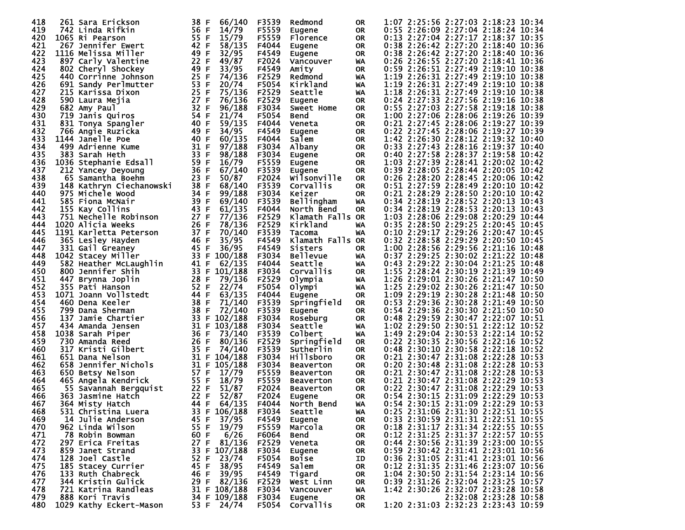| 418 | 261 Sara Erickson                          | 38 F<br>66/140                 | F3539 | Redmond                    | <b>OR</b> | 1:07 2:25:56 2:27:03 2:18:23 10:34                                            |
|-----|--------------------------------------------|--------------------------------|-------|----------------------------|-----------|-------------------------------------------------------------------------------|
| 419 | 742 Linda Rifkin                           | 56 F<br>14/79                  | F5559 | Eugene                     | <b>OR</b> | 0:55 2:26:09 2:27:04 2:18:24 10:34                                            |
| 420 | 1065 Ri Pearson                            | 55 F<br>15/79                  | F5559 | Florence                   | <b>OR</b> | 0:13 2:27:04 2:27:17 2:18:37 10:35                                            |
| 421 | 267 Jennifer Ewert                         | 42 F<br>58/135                 | F4044 | Eugene                     | <b>OR</b> | 0:38 2:26:42 2:27:20 2:18:40 10:36                                            |
| 422 | 1116 Melissa Miller                        | 49 F<br>32/95                  | F4549 | Eugene                     | <b>OR</b> | 0:38 2:26:42 2:27:20 2:18:40 10:36                                            |
| 423 | 897 Carly Valentine                        | 22 F<br>49/87                  | F2024 | Vancouver                  | WA        | 0:26 2:26:55 2:27:20 2:18:41 10:36                                            |
| 424 | 802 Cheryl Shockey                         | 49<br>F<br>33/95               | F4549 | Amity                      | <b>OR</b> | 0:59 2:26:51 2:27:49 2:19:10 10:38                                            |
| 425 | 440 Corrinne Johnson                       | 25 F<br>74/136                 | F2529 | Redmond                    | WA        | 1:19 2:26:31 2:27:49 2:19:10 10:38                                            |
| 426 | 691 Sandy Perlmutter                       | 53<br>F<br>20/74               | F5054 | Kirkland                   | WA        | 1:19 2:26:31 2:27:49 2:19:10<br>10:38                                         |
| 427 | 215 Karissa Dixon                          | 25 F<br>75/136                 | F2529 | Seattle                    | WA        | 1:18 2:26:31 2:27:49 2:19:10 10:38                                            |
| 428 | 590 Laura Mejia                            | 27 F<br>76/136                 | F2529 | <b>Eugene</b>              | <b>OR</b> | 0:24 2:27:33 2:27:56 2:19:16<br>10:38                                         |
| 429 | 682 Amy Paul                               | 32 F<br>96/188                 | F3034 | <b>Sweet Home</b>          | <b>OR</b> | 0:55 2:27:03 2:27:58 2:19:18 10:38                                            |
| 430 | 719 Janis Quiros                           | 54 F<br>21/74                  | F5054 | <b>Bend</b>                | <b>OR</b> | 1:00 2:27:06 2:28:06 2:19:26<br>10:39                                         |
| 431 | 831 Tonya Spangler                         | 40 F<br>59/135                 | F4044 | Veneta                     | <b>OR</b> | 0:21 2:27:45 2:28:06 2:19:27 10:39                                            |
| 432 | 766 Angie Ruzicka                          | 49 F<br>34/95                  | F4549 | Eugene                     | <b>OR</b> | 0:22 2:27:45 2:28:06 2:19:27 10:39                                            |
| 433 | 1144 Janelle Poe                           | 40 F<br>60/135                 | F4044 | Salem                      | 0R        | 1:42 2:26:30 2:28:12 2:19:32 10:40                                            |
| 434 | 499 Adrienne Kume                          | 31 F<br>97/188                 | F3034 | Albany                     | 0R        | 0:33 2:27:43 2:28:16 2:19:37<br>10:40                                         |
| 435 | 383 Sarah Heth                             | 33 F<br>98/188                 | F3034 | Eugene                     | 0R        | 0:40 2:27:58 2:28:37 2:19:58 10:42                                            |
| 436 | 1036 Stephanie Edsall                      | 59 F<br>16/79                  | F5559 | Eugene                     | <b>OR</b> | 1:03 2:27:39 2:28:41 2:20:02 10:42                                            |
| 437 | 212 Yancey Deyoung                         | 36 F<br>67/140                 | F3539 | Eugene                     | <b>OR</b> | 0:39 2:28:05 2:28:44 2:20:05 10:42                                            |
| 438 | 65 Samantha Boehm                          | 23 F<br>50/87                  | F2024 | Wilsonville                | <b>OR</b> | 0:26 2:28:20 2:28:45 2:20:06 10:42                                            |
| 439 | 148 Kathryn Ciechanowski                   | 38 F<br>68/140                 | F3539 | Corvallis                  | <b>OR</b> | 0:51 2:27:59 2:28:49 2:20:10 10:42                                            |
| 440 | 975 Michele Wood                           | 34 F<br>99/188                 | F3034 | Keizer                     | <b>OR</b> | 0:21 2:28:29 2:28:50 2:20:10 10:42                                            |
| 441 | 585 Fiona McNair                           | 39 F<br>69/140                 | F3539 | <b>Bellingham</b>          | WA        | 0:34 2:28:19 2:28:52 2:20:13 10:43                                            |
| 442 | 155 Kay Collins                            | 43<br>F<br>61/135              | F4044 | North Bend                 | <b>OR</b> | 0:34 2:28:19 2:28:53 2:20:13 10:43                                            |
| 443 | 751 Nechelle Robinson                      | 27 F<br>77/136                 | F2529 | Klamath Falls OR           |           | 1:03 2:28:06 2:29:08 2:20:29 10:44                                            |
| 444 | 1020 Alicia Weeks                          | 26 F<br>78/136                 | F2529 | Kirkland                   | WA        | 0:35 2:28:50 2:29:25 2:20:45 10:45                                            |
| 445 | 1191 Karletta Peterson                     | 37 F<br>70/140                 | F3539 | Tacoma                     | WA        | 0:10 2:29:17 2:29:26 2:20:47 10:45                                            |
| 446 | 365 Lesley Hayden                          | 46 F<br>35/95                  | F4549 | Klamath Falls OR           |           | 0:32 2:28:58 2:29:29 2:20:50 10:45                                            |
| 447 | 331 Gail Greaney                           | 45 F<br>36/95                  | F4549 | Sisters                    | <b>OR</b> | 1:00 2:28:56 2:29:56 2:21:16 10:48                                            |
| 448 | 1042 Stacey Miller                         | 33<br>F<br>100/188             | F3034 | <b>Bellevue</b>            | WA        | 0:37 2:29:25 2:30:02 2:21:22 10:48                                            |
| 449 | 582 Heather McLaughlin                     | 41 F<br>62/135                 | F4044 | Seattle                    | WA        | 0:43 2:29:22 2:30:04 2:21:25 10:48                                            |
| 450 | 800 Jennifer Shih                          | 33<br>F<br>101/188             | F3034 | Corvallis                  | <b>OR</b> | 1:55 2:28:24 2:30:19 2:21:39 10:49                                            |
| 451 | 447 Brynna Joplin                          | 28 F<br>79/136                 | F2529 | Olympia                    | WA        | 1:26 2:29:01 2:30:26 2:21:47 10:50                                            |
| 452 | 355 Pati Hanson                            | 52 F<br>22/74                  | F5054 | Olympi                     | WA        | 1:25 2:29:02 2:30:26 2:21:47 10:50                                            |
| 453 | 1071 Joann Vollstedt                       | 44 F<br>63/135                 | F4044 | Eugene                     | <b>OR</b> | 1:09 2:29:19 2:30:28 2:21:48 10:50                                            |
| 454 | 460 Dena Keeler                            | 38 F<br>71/140                 | F3539 | Springfield                | <b>OR</b> | 0:53 2:29:36 2:30:28 2:21:49 10:50                                            |
| 455 | 799 Dana Sherman                           | 38 F<br>72/140                 | F3539 | Eugene                     | <b>OR</b> | 0:54 2:29:36 2:30:30 2:21:50 10:50                                            |
| 456 | 137<br>Jamie Chartier                      | 33<br>102/188<br>F             | F3034 | Roseburg                   | <b>OR</b> | 0:48 2:29:59 2:30:47 2:22:07 10:51                                            |
| 457 | 434 Amanda Jensen                          | 31 F<br>103/188                | F3034 | Seattle                    | WA        | 1:02 2:29:50 2:30:51 2:22:12 10:52                                            |
| 458 | 1038 Sarah Piper                           | 36 F<br>73/140                 | F3539 | Colbert                    | WA        | 1:49 2:29:04 2:30:53 2:22:14 10:52                                            |
| 459 | 730 Amanda Reed                            | 26 F<br>80/136                 | F2529 | Springfield                | 0R        | 0:22 2:30:35 2:30:56 2:22:16 10:52                                            |
| 460 | 317 Kristi Gilbert                         | 35<br>74/140<br>F              | F3539 | Sutherlin                  | <b>OR</b> | 0:48 2:30:10 2:30:58 2:22:18<br>10:52                                         |
| 461 | 651 Dana Nelson                            | 31 F<br>104/188                | F3034 | <b>Hillsboro</b>           | <b>OR</b> | 0:21 2:30:47 2:31:08 2:22:28 10:53                                            |
| 462 | 658<br>Jennifer Nichols                    | 31 F<br>105/188                | F3034 | <b>Beaverton</b>           | <b>OR</b> | 0:20 2:30:48 2:31:08 2:22:28<br>10:53                                         |
| 463 | 650 Betsy Nelson                           | 57 F<br>17/79                  | F5559 | <b>Beaverton</b>           | <b>OR</b> | 0:21 2:30:47 2:31:08 2:22:28 10:53                                            |
| 464 | 465 Angela Kendrick                        | 55 F<br>18/79                  | F5559 | <b>Beaverton</b>           | <b>OR</b> | 0:21 2:30:47 2:31:08 2:22:29<br>10:53                                         |
| 465 | 55 Savannah Bergquist                      | 22 F<br>51/87                  | F2024 | <b>Beaverton</b>           | <b>OR</b> | 0:22 2:30:47 2:31:08 2:22:29<br>10:53                                         |
| 466 | 363 Jasmine Hatch                          | 22 F<br>52/87                  | F2024 | Eugene                     | <b>OR</b> | 0:54 2:30:15 2:31:09 2:22:29<br>10:53<br>$0:54$ 2:30:15 2:31:09 2:22:29 10:53 |
| 467 | 364 Mistv Hatch                            | 44 F<br>64/135                 | F4044 | North Bend                 | WA        |                                                                               |
| 468 | 531 Christina Luera                        | 33 F 106/188                   | F3034 | Seattle                    | WA        | 0:25 2:31:06 2:31:30 2:22:51 10:55                                            |
| 469 | 14 Julie Anderson                          | 45 F<br>37/95                  | F4549 | Eugene                     | OR.       | 0:33 2:30:59 2:31:31 2:22:51 10:55                                            |
| 470 | 962 Linda Wilson                           | 19/79<br>55 F                  | F5559 | Marcola                    | 0R        | 0:18 2:31:17 2:31:34 2:22:55 10:55                                            |
| 471 | 78 Robin Bowman                            | 6/26<br>60 F                   | F6064 | <b>Bend</b>                | 0R        | 0:12 2:31:25 2:31:37 2:22:57 10:55                                            |
| 472 | 297 Erica Freitas                          | 27 F<br>81/136                 | F2529 | Veneta                     | 0R        | 0:44 2:30:56 2:31:39 2:23:00 10:55                                            |
| 473 | 859 Janet Strand                           | 107/188<br>33 F                | F3034 | Eugene                     | 0R        | 0:59 2:30:42 2:31:41 2:23:01 10:56                                            |
| 474 | 128 Joel Castle                            | 52 F<br>23/74                  | F5054 | <b>Boise</b>               | ID        | 0:36 2:31:05 2:31:41 2:23:01 10:56                                            |
| 475 | 185 Stacey Currier                         | 45 F<br>38/95                  | F4549 | Salem                      | 0R        | 0:12 2:31:35 2:31:46 2:23:07 10:56                                            |
| 476 | 133 Ruth Chabreck                          | 39/95<br>46 F                  | F4549 | Tigard                     | 0R        | 1:04 2:30:50 2:31:54 2:23:14 10:56<br>0:39 2:31:26 2:32:04 2:23:25 10:57      |
| 477 | 344 Kristin Gulick<br>721 Katrina Randleas | 29 F<br>82/136<br>31 F 108/188 | F2529 | West Linn                  | 0R        |                                                                               |
| 478 |                                            |                                | F3034 | Vancouver                  | WA        | 1:42 2:30:26 2:32:07 2:23:28 10:58<br>2:32:08 2:23:28 10:58                   |
| 479 | 888 Kori Travis                            | 34 F 109/188                   | F3034 | Eugene<br><b>Corvallis</b> | OR        | 1:20 2:31:03 2:32:23 2:23:43 10:59                                            |
| 480 | 1029 Kathy Eckert-Mason                    | 53 F 24/74                     | F5054 |                            | OR        |                                                                               |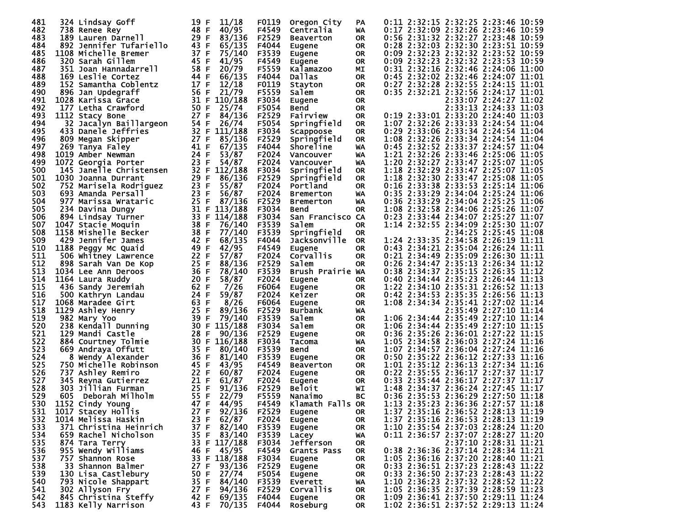| 481 | 324 Lindsay Goff        | 11/18<br>19 F        | F0119 | Oregon City      | PA        | 0:11 2:32:15 2:32:25 2:23:46 10:59 |
|-----|-------------------------|----------------------|-------|------------------|-----------|------------------------------------|
| 482 |                         | 48 F<br>40/95        | F4549 | Centralia        | WA        | 0:17 2:32:09 2:32:26 2:23:46 10:59 |
| 483 | 738 Renee Rey           | 29 F<br>83/136       | F2529 |                  |           | 0:56 2:31:32 2:32:27 2:23:48 10:59 |
|     | 189 Lauren Darnell      |                      |       | <b>Beaverton</b> | <b>OR</b> |                                    |
| 484 | 892 Jennifer Tufariello | 43 F<br>65/135       | F4044 | Eugene           | 0R.       | 0:28 2:32:03 2:32:30 2:23:51 10:59 |
| 485 | 1108 Michelle Bremer    | 37 F<br>75/140       | F3539 | Eugene           | <b>OR</b> | 0:09 2:32:23 2:32:32 2:23:52 10:59 |
| 486 | 320 Sarah Gillem        | 45 F<br>41/95        | F4549 | Eugene           | <b>OR</b> | 0:09 2:32:23 2:32:32 2:23:53 10:59 |
| 487 | 351 Joan Hannadarrell   | 58 F<br>20/79        | F5559 | Kalamazoo        | MΙ        | 0:31 2:32:16 2:32:46 2:24:06 11:00 |
| 488 | 169 Leslie Cortez       | 44 F<br>66/135       | F4044 | Dallas           | OR.       | 0:45 2:32:02 2:32:46 2:24:07 11:01 |
| 489 | 152 Samantha Coblentz   | 17 F<br>12/18        | F0119 | Stayton          | 0R        | 0:27 2:32:28 2:32:55 2:24:15 11:01 |
| 490 | 896 Jan Updegraff       | 56 F<br>21/79        | F5559 | Salem            | 0R        | 0:35 2:32:21 2:32:56 2:24:17 11:01 |
| 491 |                         | 31 F<br>110/188      |       |                  |           |                                    |
|     | 1028 Karissa Grace      |                      | F3034 | <b>Eugene</b>    | 0R        | 2:33:07 2:24:27 11:02              |
| 492 | 177 Letha Crawford      | 50 F<br>25/74        | F5054 | Bend             | <b>OR</b> | 2:33:13 2:24:33 11:03              |
| 493 | 1112 Stacy Bone         | 27 F<br>84/136       | F2529 | Fairview         | 0R        | 0:19 2:33:01 2:33:20 2:24:40 11:03 |
| 494 | 32 Jacalyn Baillargeon  | 54 F<br>26/74        | F5054 | Springfield      | 0R        | 1:07 2:32:26 2:33:33 2:24:54 11:04 |
| 495 | 433 Danele Jeffries     | 32 F<br>111/188      | F3034 | Scappoose        | 0R        | 0:29 2:33:06 2:33:34 2:24:54 11:04 |
| 496 | 809 Megan Skipper       | 27 F<br>85/136       | F2529 | Springfield      | 0R        | 1:08 2:32:26 2:33:34 2:24:54 11:04 |
| 497 | 269 Tanya Faley         | 41 F<br>67/135       | F4044 | Shoreline        | WA        | 0:45 2:32:52 2:33:37 2:24:57 11:04 |
| 498 | 1019 Amber Newman       | 24 F<br>53/87        | F2024 | Vancouver        | WA        | 1:21 2:32:26 2:33:46 2:25:06 11:05 |
| 499 | 1072 Georgia Porter     | 23 F<br>54/87        | F2024 | Vancouver        | WA        | 1:20 2:32:27 2:33:47 2:25:07 11:05 |
| 500 | 145 Janelle Christensen |                      |       |                  |           | 1:18 2:32:29 2:33:47 2:25:07 11:05 |
|     |                         | 32 F<br>112/188      | F3034 | Springfield      | <b>OR</b> |                                    |
| 501 | 1030 Joanna Durrant     | 29<br>F<br>86/136    | F2529 | Springfield      | 0R        | 1:18 2:32:30 2:33:47 2:25:08 11:05 |
| 502 | 752 Marisela Rodriguez  | 23 F<br>55/87        | F2024 | Portland         | 0R        | 0:16 2:33:38 2:33:53 2:25:14 11:06 |
| 503 | 693 Amanda Persall      | 23 F<br>56/87        | F2024 | <b>Bremerton</b> | WA        | 0:35 2:33:29 2:34:04 2:25:24 11:06 |
| 504 | 977 Marissa Wrataric    | 25 F<br>87/136       | F2529 | <b>Bremerton</b> | WA        | 0:36 2:33:29 2:34:04 2:25:25 11:06 |
| 505 | 234 Davina Dungy        | 31 F<br>113/188      | F3034 | <b>Bend</b>      | OR.       | 1:08 2:32:58 2:34:06 2:25:26 11:07 |
| 506 | 894 Lindsay Turner      | 33 F<br>114/188      | F3034 | San Francisco CA |           | 0:23 2:33:44 2:34:07 2:25:27 11:07 |
| 507 | 1047 Stacie Moquin      | 38 F<br>76/140       | F3539 | Salem            | 0R        | 1:14 2:32:55 2:34:09 2:25:30 11:07 |
| 508 | 1158 Mishelle Becker    | 38 F<br>77/140       | F3539 | Springfield      | 0R        | 2:34:25 2:25:45 11:08              |
| 509 |                         | 42 F                 |       |                  |           | 1:24 2:33:35 2:34:58 2:26:19 11:11 |
|     | 429 Jennifer James      | 68/135               | F4044 | Jacksonville     | <b>OR</b> |                                    |
| 510 | 1188 Peggy Mc Quaid     | 49 F<br>42/95        | F4549 | Eugene           | <b>OR</b> | 0:43 2:34:21 2:35:04 2:26:24 11:11 |
| 511 | 506 Whitney Lawrence    | 22 F<br>57/87        | F2024 | Corvallis        | <b>OR</b> | 0:21 2:34:49 2:35:09 2:26:30 11:11 |
| 512 | 898 Sarah Van De Kop    | 25 F<br>88/136       | F2529 | Salem            | OR.       | 0:26 2:34:47 2:35:13 2:26:34 11:12 |
| 513 | 1034 Lee Ann Deroos     | 36 F<br>78/140       | F3539 | Brush Prairie WA |           | 0:38 2:34:37 2:35:15 2:26:35 11:12 |
| 514 | 1164 Laura Ruddy        | 20 F<br>58/87        | F2024 | Eugene           | 0R        | 0:40 2:34:44 2:35:23 2:26:44 11:13 |
| 515 | 436 Sandy Jeremiah      | 62 F<br>7/26         | F6064 | <b>Eugene</b>    | 0R        | 1:22 2:34:10 2:35:31 2:26:52 11:13 |
| 516 | 500 Kathryn Landau      | 24 F<br>59/87        | F2024 | Keizer           | OR.       | 0:42 2:34:53 2:35:35 2:26:56 11:13 |
| 517 | 1068 Maradee Girt       | 63 F<br>8/26         | F6064 | Eugene           | 0R        | 1:08 2:34:34 2:35:41 2:27:02 11:14 |
| 518 | 1129 Ashley Henry       | 25 F<br>89/136       | F2529 | Burbank          | WA        | 2:35:49 2:27:10 11:14              |
|     |                         |                      |       |                  |           | 1:06 2:34:44 2:35:49 2:27:10 11:14 |
| 519 | 982 Mary Yoo            | 39<br>F<br>79/140    | F3539 | Salem            | 0R        |                                    |
| 520 | 238 Kendall Dunning     | 115/188<br>30 F      | F3034 | Salem            | 0R        | 1:06 2:34:44 2:35:49 2:27:10 11:15 |
| 521 | 129 Mandi Castle        | 28 F<br>90/136       | F2529 | <b>Eugene</b>    | 0R        | 0:36 2:35:26 2:36:01 2:27:22 11:15 |
| 522 | 884 Courtney Tolmie     | 30 F<br>116/188      | F3034 | Tacoma           | WA        | 1:05 2:34:58 2:36:03 2:27:24 11:16 |
| 523 | 669 Andraya Offutt      | 35 F<br>80/140       | F3539 | <b>Bend</b>      | 0R        | 1:07 2:34:57 2:36:04 2:27:24 11:16 |
| 524 | 8 Wendy Alexander       | 36 F<br>81/140       | F3539 | Eugene           | 0R        | 0:50 2:35:22 2:36:12 2:27:33 11:16 |
| 525 | 750 Michelle Robinson   | 45 F<br>43/95        | F4549 | <b>Beaverton</b> | 0R        | 1:01 2:35:12 2:36:13 2:27:34 11:16 |
| 526 | 737 Ashley Remiro       | 22 F<br>60/87        | F2024 | <b>Eugene</b>    | 0R        | 0:22 2:35:55 2:36:17 2:27:37 11:17 |
| 527 | 345 Reyna Gutierrez     | 21 F<br>61/87        | F2024 | <b>Eugene</b>    | <b>OR</b> | 0:33 2:35:44 2:36:17 2:27:37 11:17 |
| 528 | 303 Jillian Furman      | 25 F<br>91/136       | F2529 | <b>Beloit</b>    | WI        | 1:48 2:34:37 2:36:24 2:27:45 11:17 |
|     |                         |                      |       |                  |           |                                    |
| 529 | 605<br>Deborah Milholm  | 55 F<br>22/79        | F5559 | Nanaimo          | BС        | 0:36 2:35:53 2:36:29 2:27:50 11:18 |
| 530 | 1152 Cindy Young        | 47 F<br>44/95        | F4549 | Klamath Falls OR |           | 1:13 2:35:23 2:36:36 2:27:57 11:18 |
| 531 | 1017 Stacey Hollis      | 92/136 F2529<br>27 F |       | Eugene           | <b>OR</b> | 1:37 2:35:16 2:36:52 2:28:13 11:19 |
| 532 | 1014 Melissa Haskin     | 23 F<br>62/87        | F2024 | Eugene           | 0R        | 1:37 2:35:16 2:36:53 2:28:13 11:19 |
| 533 | 371 Christina Heinrich  | 37 F<br>82/140       | F3539 | Eugene           | 0R        | 1:10 2:35:54 2:37:03 2:28:24 11:20 |
| 534 | 659 Rachel Nicholson    | 35 F 83/140          | F3539 | Lacey            | WA        | 0:11 2:36:57 2:37:07 2:28:27 11:20 |
| 535 | 874 Tara Terry          | 33 F 117/188         | F3034 | Jefferson        | OR.       | 2:37:10 2:28:31 11:21              |
| 536 | 955 Wendy Williams      | 46 F 45/95           | F4549 | Grants Pass      | OR.       | 0:38 2:36:36 2:37:14 2:28:34 11:21 |
| 537 | 757 Shannon Rose        | 33 F 118/188         | F3034 | <b>Eugene</b>    | <b>OR</b> | 1:05 2:36:16 2:37:20 2:28:40 11:21 |
| 538 |                         | 93/136               |       |                  |           | 0:33 2:36:51 2:37:23 2:28:43 11:22 |
|     | 33 Shannon Balmer       | 27 F                 | F2529 | Eugene           | OR.       |                                    |
| 539 | 130 Lisa Castlebury     | 50 F<br>27/74        | F5054 | Eugene           | 0R        | 0:33 2:36:50 2:37:23 2:28:43 11:22 |
| 540 | 793 Nicole Shappart     | 84/140<br>35 F       | F3539 | Everett          | WA        | 1:10 2:36:23 2:37:32 2:28:52 11:22 |
| 541 | 302 Allyson Fry         | 94/136<br>27 F       | F2529 | Corvallis        | 0R        | 1:05 2:36:35 2:37:39 2:28:59 11:23 |
| 542 | 845 Christina Steffy    | 69/135<br>42 F       | F4044 | Eugene           | OR.       | 1:09 2:36:41 2:37:50 2:29:11 11:24 |
| 543 | 1183 Kelly Narrison     | 43 F 70/135 F4044    |       | Roseburg         | OR        | 1:02 2:36:51 2:37:52 2:29:13 11:24 |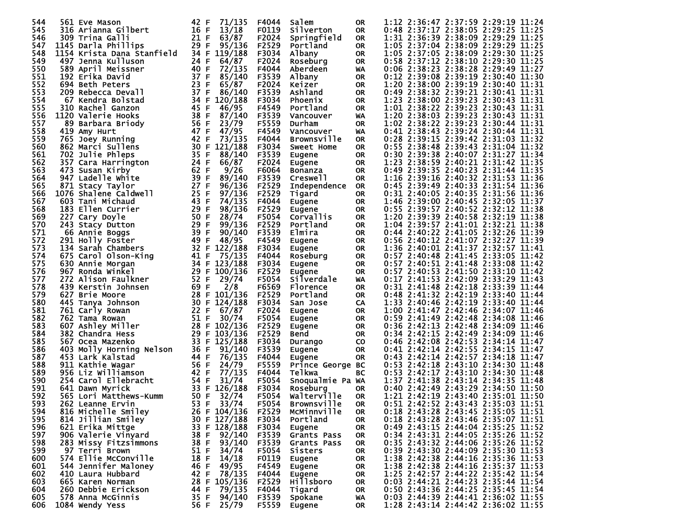| 544 | 561 Eve Mason              | 71/135<br>42 F  | F4044 | Salem               | 0R        | 1:12 2:36:47 2:37:59 2:29:19 11:24                                       |
|-----|----------------------------|-----------------|-------|---------------------|-----------|--------------------------------------------------------------------------|
| 545 | 316 Arianna Gilbert        | 16 F<br>13/18   | F0119 | Silverton           | OR.       | 0:48 2:37:17 2:38:05 2:29:25 11:25                                       |
| 546 | 309 Trina Galli            | 21 F<br>63/87   | F2024 | Springfield         | 0R        | 1:31 2:36:39 2:38:09 2:29:29 11:25                                       |
| 547 | 1145 Darla Phillips        | 29 F<br>95/136  | F2529 | Portland            | OR.       | 1:05 2:37:04 2:38:09 2:29:29 11:25                                       |
| 548 | 1154 Krista Dana Stanfield | 34 F<br>119/188 | F3034 | Albany              | <b>OR</b> | 1:05 2:37:05 2:38:09 2:29:30 11:25                                       |
| 549 | 497 Jenna Kulluson         | 64/87<br>24 F   | F2024 | Roseburg            | <b>OR</b> | 0:58 2:37:12 2:38:10 2:29:30 11:25                                       |
| 550 | 589 April Meissner         | 40 F<br>72/135  | F4044 | Aberdeen            | WA        | 0:06 2:38:23 2:38:28 2:29:49 11:27                                       |
| 551 |                            | 37 F<br>85/140  |       |                     |           | 0:12 2:39:08 2:39:19 2:30:40 11:30                                       |
|     | 192 Erika David            |                 | F3539 | Albany              | <b>OR</b> |                                                                          |
| 552 | 694 Beth Peters            | 23 F<br>65/87   | F2024 | Keizer              | <b>OR</b> | 1:20 2:38:00 2:39:19 2:30:40 11:31                                       |
| 553 | 209 Rebecca Devall         | 37 F<br>86/140  | F3539 | Ashland             | <b>OR</b> | 0:49 2:38:32 2:39:21 2:30:41 11:31                                       |
| 554 | 67 Kendra Bolstad          | 34 F<br>120/188 | F3034 | Phoenix             | <b>OR</b> | 1:23 2:38:00 2:39:23 2:30:43 11:31                                       |
| 555 | 310 Rachel Ganzon          | 45 F<br>46/95   | F4549 | Portland            | <b>OR</b> | 1:01 2:38:22 2:39:23 2:30:43 11:31                                       |
| 556 | 1120 Valerie Hooks         | 38 F<br>87/140  | F3539 | Vancouver           | WA        | 1:20 2:38:03 2:39:23 2:30:43 11:31                                       |
| 557 | 89 Barbara Briody          | 56 F<br>23/79   | F5559 | Durham              | 0R        | 1:02 2:38:22 2:39:23 2:30:44 11:31                                       |
| 558 | 419 Amy Hurt               | 47 F<br>47/95   | F4549 | Vancouver           | WA        | 0:41 2:38:43 2:39:24 2:30:44 11:31                                       |
| 559 | 765 Joey Running           | 73/135<br>42 F  | F4044 | <b>Brownsville</b>  | 0R        | 0:28 2:39:15 2:39:42 2:31:03 11:32                                       |
| 560 | 862 Marci Sullens          | 30 F<br>121/188 | F3034 | Sweet Home          | <b>OR</b> | 0:55 2:38:48 2:39:43 2:31:04 11:32                                       |
| 561 | 702 Julie Phleps           | 35 F<br>88/140  | F3539 | Eugene              | 0R        | 0:30 2:39:38 2:40:07 2:31:27 11:34                                       |
| 562 | 357 Cara Harrington        | 24 F<br>66/87   | F2024 | Eugene              | <b>OR</b> | 1:23 2:38:59 2:40:21 2:31:42 11:35                                       |
| 563 | 473 Susan Kirby            | 62 F<br>9/26    | F6064 | Bonanza             | 0R        | 0:49 2:39:35 2:40:23 2:31:44 11:35                                       |
| 564 | 947 Ladelle White          | 39 F<br>89/140  | F3539 | Creswell            | 0R        | 1:16 2:39:16 2:40:32 2:31:53 11:36                                       |
| 565 | 871 Stacy Taylor           | 27 F<br>96/136  | F2529 | <b>Independence</b> | OR.       | 0:45 2:39:49 2:40:33 2:31:54 11:36                                       |
| 566 | 1076 Shalene Caldwell      | 25 F<br>97/136  | F2529 | Tigard              | <b>OR</b> | 0:31 2:40:05 2:40:35 2:31:56 11:36                                       |
| 567 | 603 Tani Michaud           | 43 F<br>74/135  | F4044 | Eugene              | 0R        | 1:46 2:39:00 2:40:45 2:32:05 11:37                                       |
| 568 | 183 Ellen Currier          | 29 F<br>98/136  | F2529 | Eugene              | <b>OR</b> | 0:55 2:39:57 2:40:52 2:32:12 11:38                                       |
| 569 | 227 Cary Doyle             | 50 F<br>28/74   | F5054 | Corvallis           | 0R        | 1:20 2:39:39 2:40:58 2:32:19 11:38                                       |
| 570 | 243 Stacy Dutton           | 29 F<br>99/136  | F2529 | Portland            | <b>OR</b> | 1:04 2:39:57 2:41:01 2:32:21 11:38                                       |
| 571 | 66 Annie Boggs             | 39 F<br>90/140  | F3539 | Elmira              | <b>OR</b> | 0:44 2:40:22 2:41:05 2:32:26 11:39                                       |
| 572 | 291 Holly Foster           | 49 F<br>48/95   | F4549 | Eugene              | <b>OR</b> | 0:56 2:40:12 2:41:07 2:32:27 11:39                                       |
| 573 | 134 Sarah Chambers         | 122/188<br>32 F | F3034 |                     | 0R        | 1:36 2:40:01 2:41:37 2:32:57 11:41                                       |
| 574 | 675 Carol Olson-King       | 41 F<br>75/135  | F4044 | Eugene              |           | 0:57 2:40:48 2:41:45 2:33:05 11:42                                       |
|     |                            |                 |       | Roseburg            | 0R        | 0:57 2:40:51 2:41:48 2:33:08 11:42                                       |
| 575 | 630 Annie Morgan           | 34 F 123/188    | F3034 | Eugene              | 0R        |                                                                          |
| 576 | 967 Ronda Winkel           | 29 F<br>100/136 | F2529 | Eugene              | <b>OR</b> | 0:57 2:40:53 2:41:50 2:33:10 11:42                                       |
| 577 | 272 Alison Faulkner        | 52 F<br>29/74   | F5054 | Silverdale          | WA        | 0:17 2:41:53 2:42:09 2:33:29 11:43                                       |
| 578 | 439 Kerstin Johnsen        | 69 F<br>2/8     | F6569 | Florence            | <b>OR</b> | 0:31 2:41:48 2:42:18 2:33:39 11:44                                       |
| 579 | 627 Brie Moore             | 28 F 101/136    | F2529 | Portland            | <b>OR</b> | 0:48 2:41:32 2:42:19 2:33:40 11:44                                       |
| 580 | 445 Tanya Johnson          | 30 F<br>124/188 | F3034 | San Jose            | CA        | 1:33 2:40:46 2:42:19 2:33:40 11:44                                       |
| 581 | 761 Carly Rowan            | 22 F<br>67/87   | F2024 | <b>Eugene</b>       | 0R        | 1:00 2:41:47 2:42:46 2:34:07 11:46                                       |
| 582 | 762 Tama Rowan             | 51 F<br>30/74   | F5054 | Eugene              | OR        | 0:59 2:41:49 2:42:48 2:34:08 11:46                                       |
| 583 | 607 Ashley Miller          | 28 F 102/136    | F2529 | <b>Eugene</b>       | 0R        | 0:36 2:42:13 2:42:48 2:34:09 11:46                                       |
| 584 | 382 Chandra Hess           | 29 F<br>103/136 | F2529 | Bend                | OR        | 0:34 2:42:15 2:42:49 2:34:09 11:46                                       |
| 585 | 567 Ocea Mazenko           | 33 F 125/188    | F3034 | Durango             | CO.       | 0:46 2:42:08 2:42:53 2:34:14 11:47                                       |
| 586 | 403 Molly Horning Nelson   | 36 F<br>91/140  | F3539 | Eugene              | <b>OR</b> | 0:41 2:42:14 2:42:55 2:34:15 11:47                                       |
| 587 | 453 Lark Kalstad           | 44 F<br>76/135  | F4044 | Eugene              | 0R        | 0:43 2:42:14 2:42:57 2:34:18 11:47                                       |
| 588 | 911 Kathie Wagar           | 56 F<br>24/79   | F5559 | Prince George BC    |           | 0:53 2:42:18 2:43:10 2:34:30 11:48                                       |
| 589 | 956 Liz Williamson         | 42 F<br>77/135  | F4044 | Telkwa              | BC        | 0:53 2:42:17 2:43:10 2:34:30 11:48                                       |
| 590 | 254 Carol Ellebracht       | 54 F<br>31/74   | F5054 | Snoqualmie Pa WA    |           | 1:37 2:41:38 2:43:14 2:34:35 11:48                                       |
| 591 | 641 Dawn Myrick            | 33 F 126/188    | F3034 | Roseburg            | 0R        | 0:40 2:42:49 2:43:29 2:34:50 11:50                                       |
| 592 | 565 Lori Matthews-Kumm     | 50 F<br>32/74   | F5054 | Walterville         | <b>OR</b> | 1:21 2:42:19 2:43:40 2:35:01 11:50                                       |
| 593 | 262 Leanne Ervin           | 53 F 33/74      | F5054 | <b>Brownsville</b>  | <b>OR</b> | 0:51 2:42:52 2:43:43 2:35:03 11:51                                       |
| 594 | 816 Michelle Smiley        | 26 F 104/136    | F2529 | McMinnville         | 0R        | 0:18 2:43:28 2:43:45 2:35:05 11:51                                       |
| 595 | 814 Jillian Smiley         | 30 F 127/188    | F3034 | Portland            | 0R.       | 0:18 2:43:28 2:43:46 2:35:07 11:51                                       |
| 596 | 621 Erika Mittge           | 33 F 128/188    | F3034 | Eugene              | <b>OR</b> | 0:49 2:43:15 2:44:04 2:35:25 11:52                                       |
| 597 | 906 Valerie Vinyard        | 92/140<br>38 F  | F3539 | Grants Pass         | 0R.       | 0:34 2:43:31 2:44:05 2:35:26 11:52                                       |
| 598 | 283 Missy Fitzsimmons      | 38 F<br>93/140  | F3539 | Grants Pass         | <b>OR</b> | 0:35 2:43:32 2:44:06 2:35:26 11:52                                       |
| 599 | 97 Terri Brown             | 34/74<br>51 F   | F5054 | Sisters             | 0R.       | 0:39 2:43:30 2:44:09 2:35:30 11:53                                       |
| 600 | 574 Ellie McConville       | 14/18<br>18 F   | F0119 | Eugene              | 0R        | 1:38 2:42:38 2:44:16 2:35:36 11:53                                       |
| 601 | 544 Jennifer Maloney       | 49/95<br>46 F   | F4549 |                     | 0R.       | 1:38 2:42:38 2:44:16 2:35:37 11:53                                       |
| 602 | 410 Laura Hubbard          | 78/135<br>42 F  | F4044 | Eugene<br>Eugene    | 0R        | 1:25 2:42:57 2:44:22 2:35:42 11:54                                       |
| 603 | 665 Karen Norman           | 28 F 105/136    | F2529 | <b>Hillsboro</b>    |           | 0:03 2:44:21 2:44:23 2:35:44 11:54                                       |
|     | 260 Debbie Erickson        |                 |       |                     | 0R.       |                                                                          |
| 604 |                            | 44 F<br>79/135  | F4044 | Tigard              | 0R        | 0:50 2:43:36 2:44:25 2:35:45 11:54<br>0:03 2:44:39 2:44:41 2:36:02 11:55 |
| 605 | 578 Anna McGinnis          | 94/140<br>35 F  | F3539 | Spokane             | WA        |                                                                          |
| 606 | 1084 Wendy Yess            | 56 F<br>25/79   | F5559 | Eugene              | OR.       | 1:28 2:43:14 2:44:42 2:36:02 11:55                                       |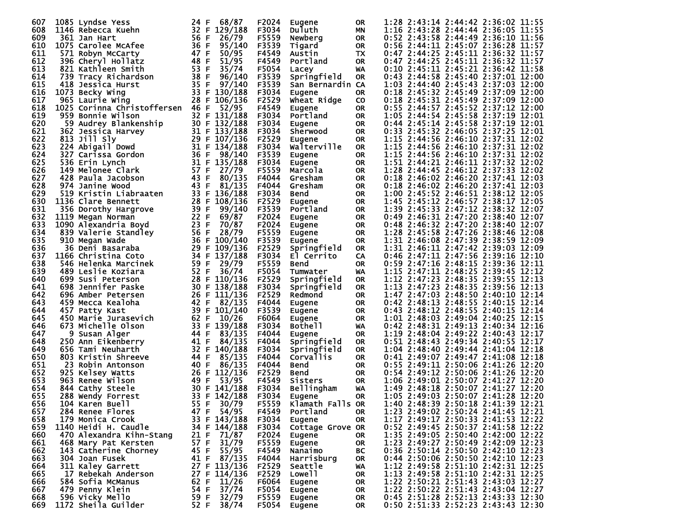| 607 | 1085 Lyndse Yess            | 24 F    | 68/87         | F2024 | Eugene              | 0R        | 1:28 2:43:14 2:44:42 2:36:02 11:55 |  |       |
|-----|-----------------------------|---------|---------------|-------|---------------------|-----------|------------------------------------|--|-------|
| 608 | 1146 Rebecca Kuehn          | 32 F    | 129/188       | F3034 | Duluth              |           | 1:16 2:43:28 2:44:44 2:36:05 11:55 |  |       |
|     |                             | 56 F    |               |       |                     | ΜN        |                                    |  |       |
| 609 | 361 Jan Hart                |         | 26/79         | F5559 | Newberg             | 0R        | 0:52 2:43:58 2:44:49 2:36:10 11:56 |  |       |
| 610 | 1075 Carolee McAfee         | 36 F    | 95/140        | F3539 | Tigard              | 0R.       | 0:56 2:44:11 2:45:07 2:36:28 11:57 |  |       |
| 611 | 571 Robyn McCarty           | 47 F    | 50/95         | F4549 | Austin              | TX        | 0:47 2:44:25 2:45:11 2:36:32 11:57 |  |       |
| 612 | 396 Cheryl Hollatz          | 48 F    | 51/95         | F4549 | Portland            | <b>OR</b> | 0:47 2:44:25 2:45:11 2:36:32 11:57 |  |       |
| 613 | 821 Kathleen Smith          | 53 F    | 35/74         | F5054 | Lacey               | WA        | 0:10 2:45:11 2:45:21 2:36:42 11:58 |  |       |
| 614 | 739 Tracy Richardson        | 38 F    | 96/140        | F3539 | Springfield         | <b>OR</b> | 0:43 2:44:58 2:45:40 2:37:01 12:00 |  |       |
| 615 | 418 Jessica Hurst           | 35 F    | 97/140        | F3539 | San Bernardin CA    |           | 1:03 2:44:40 2:45:43 2:37:03 12:00 |  |       |
| 616 | 1073 Becky Wing             | 33 F    | 130/188       | F3034 | <b>Eugene</b>       | <b>OR</b> | 0:18 2:45:32 2:45:49 2:37:09 12:00 |  |       |
| 617 | 965 Laurie Wing             | 28 F    | 106/136       | F2529 | Wheat Ridge         | <b>CO</b> | 0:18 2:45:31 2:45:49 2:37:09 12:00 |  |       |
| 618 |                             | 46 F    |               |       |                     |           | 0:55 2:44:57 2:45:52 2:37:12 12:00 |  |       |
|     | 1025 Corinna Christoffersen |         | 52/95         | F4549 | <b>Eugene</b>       | <b>OR</b> |                                    |  |       |
| 619 | 959 Bonnie Wilson           |         | 32 F 131/188  | F3034 | Portland            | <b>OR</b> | 1:05 2:44:54 2:45:58 2:37:19 12:01 |  |       |
| 620 | 59 Audrey Blankenship       |         | 30 F 132/188  | F3034 | Eugene              | <b>OR</b> | 0:44 2:45:14 2:45:58 2:37:19 12:01 |  |       |
| 621 | 362 Jessica Harvey          | 31 F    | 133/188       | F3034 | Sherwood            | <b>OR</b> | 0:33 2:45:32 2:46:05 2:37:25 12:01 |  |       |
| 622 | 813 Jill Sly                | 29 F    | 107/136       | F2529 | Eugene              | <b>OR</b> | 1:15 2:44:56 2:46:10 2:37:31 12:02 |  |       |
| 623 | 224 Abigail Dowd            | 31 F    | 134/188       | F3034 | Walterville         | <b>OR</b> | 1:15 2:44:56 2:46:10 2:37:31 12:02 |  |       |
| 624 | 327 Carissa Gordon          | 36 F    | 98/140        | F3539 | <b>Eugene</b>       | <b>OR</b> | 1:15 2:44:56 2:46:10 2:37:31 12:02 |  |       |
| 625 | 536 Erin Lynch              | 31<br>E | 135/188       | F3034 | Eugene              | <b>OR</b> | 1:51 2:44:21 2:46:11 2:37:32 12:02 |  |       |
| 626 | 149 Melonee Clark           | 57 F    | 27/79         | F5559 | Marcola             | <b>OR</b> | 1:28 2:44:45 2:46:12 2:37:33 12:02 |  |       |
| 627 | 428 Paula Jacobson          | 43<br>F | 80/135        | F4044 | Gresham             | <b>OR</b> | 0:18 2:46:02 2:46:20 2:37:41 12:03 |  |       |
|     |                             |         |               |       |                     |           |                                    |  |       |
| 628 | 974 Janine Wood             | 43 F    | 81/135        | F4044 | Gresham             | <b>OR</b> | 0:18 2:46:02 2:46:20 2:37:41 12:03 |  |       |
| 629 | 519 Kristin Liabraaten      | 33 F    | 136/188       | F3034 | <b>Bend</b>         | <b>OR</b> | 1:00 2:45:52 2:46:51 2:38:12 12:05 |  |       |
| 630 | 1136 Clare Bennett          | 28 F    | 108/136       | F2529 | Eugene              | <b>OR</b> | 1:45 2:45:12 2:46:57 2:38:17 12:05 |  |       |
| 631 | 356 Dorothy Hargrove        | 39 F    | 99/140        | F3539 | Portland            | <b>OR</b> | 1:39 2:45:33 2:47:12 2:38:32 12:07 |  |       |
| 632 | 1119 Megan Norman           | 22 F    | 69/87         | F2024 | Eugene              | OR        | 0:49 2:46:31 2:47:20 2:38:40 12:07 |  |       |
| 633 | 1090 Alexandria Boyd        | 23 F    | 70/87         | F2024 | Eugene              | <b>OR</b> | 0:48 2:46:32 2:47:20 2:38:40 12:07 |  |       |
| 634 | 839 Valerie Standley        | 56 F    | 28/79         | F5559 | Eugene              | OR.       | 1:28 2:45:58 2:47:26 2:38:46 12:08 |  |       |
| 635 | 910 Megan Wade              | 36 F    | 100/140       | F3539 | <b>Eugene</b>       | <b>OR</b> | 1:31 2:46:08 2:47:39 2:38:59 12:09 |  |       |
| 636 | 36 Deni Basaraba            | 29 F    | 109/136       | F2529 | Springfield         | <b>OR</b> | 1:31 2:46:11 2:47:42 2:39:03 12:09 |  |       |
| 637 | 1166 Christina Coto         | 34 F    | 137/188       | F3034 |                     |           | 0:46 2:47:11 2:47:56 2:39:16 12:10 |  |       |
|     |                             |         |               |       | El Cerrito          | CA        |                                    |  |       |
| 638 | 546 Helenka Marcinek        | 59 F    | 29/79         | F5559 | <b>Bend</b>         | <b>OR</b> | 0:59 2:47:16 2:48:15 2:39:36 12:11 |  |       |
| 639 | 489 Leslie Koziara          | 52 F    | 36/74         | F5054 | Tumwater            | WA        | 1:15 2:47:11 2:48:25 2:39:45 12:12 |  |       |
| 640 | 699 Susi Peterson           | 28 F    | 110/136       | F2529 | Springfield         | <b>OR</b> | 1:12 2:47:23 2:48:35 2:39:55 12:13 |  |       |
| 641 | 698 Jennifer Paske          | 30 F    | 138/188       | F3034 | Springfield         | <b>OR</b> | 1:13 2:47:23 2:48:35 2:39:56 12:13 |  |       |
| 642 | 696 Amber Petersen          | 26 F    | 111/136       | F2529 | Redmond             | <b>OR</b> | 1:47 2:47:03 2:48:50 2:40:10 12:14 |  |       |
| 643 | 459 Mecca Kealoha           | 42 F    | 82/135        | F4044 | <b>Eugene</b>       | <b>OR</b> | 0:42 2:48:13 2:48:55 2:40:15 12:14 |  |       |
| 644 | 457 Patty Kast              | 39 F    | 101/140       | F3539 | Eugene              | OR        | 0:43 2:48:12 2:48:55 2:40:15 12:14 |  |       |
| 645 | 450 Marie Jurasevich        | 62 F    | 10/26         | F6064 | Eugene              | <b>OR</b> | 1:01 2:48:03 2:49:04 2:40:25 12:15 |  |       |
| 646 | 673 Michelle Olson          | 33 F    | 139/188       | F3034 | Bothe <sub>11</sub> | WA        | 0:42 2:48:31 2:49:13 2:40:34 12:16 |  |       |
| 647 | 9 Susan Alger               | 44 F    | 83/135        | F4044 | <b>Eugene</b>       | <b>OR</b> | 1:19 2:48:04 2:49:22 2:40:43 12:17 |  |       |
| 648 | 250 Ann Eikenberry          | 41 F    | 84/135        | F4044 | Springfield         | 0R        | 0:51 2:48:43 2:49:34 2:40:55 12:17 |  |       |
| 649 | 656 Tami Neuharth           | 32 F    | 140/188       | F3034 |                     | <b>OR</b> | 1:04 2:48:40 2:49:44 2:41:04 12:18 |  |       |
|     |                             |         |               |       | Springfield         |           |                                    |  |       |
| 650 | 803 Kristin Shreeve         | 44 F    | 85/135        | F4044 | <b>Corvallis</b>    | <b>OR</b> | 0:41 2:49:07 2:49:47 2:41:08 12:18 |  |       |
| 651 | 23 Robin Antonson           | 40 F    | 86/135        | F4044 | Bend                | <b>OR</b> | 0:55 2:49:11 2:50:06 2:41:26 12:20 |  |       |
| 652 | 925 Kelsey Watts            | 26 F    | 112/136       | F2529 | Bend                | <b>OR</b> | 0:54 2:49:12 2:50:06 2:41:26 12:20 |  |       |
| 653 | 963 Renee Wilson            | 49<br>F | 53/95         | F4549 | Sisters             | <b>OR</b> | 1:06 2:49:01 2:50:07 2:41:27 12:20 |  |       |
| 654 | 844 Cathy Steele            | 30 F    | 141/188       | F3034 | <b>Bellingham</b>   | WA        | 1:49 2:48:18 2:50:07 2:41:27 12:20 |  |       |
| 655 | 288 Wendy Forrest           | 33<br>F | 142/188       | F3034 | Eugene              | <b>OR</b> | 1:05 2:49:03 2:50:07 2:41:28       |  | 12:20 |
| 656 | 104 Karen Buell             |         | 55 F 30/79    | F5559 | Klamath Falls OR    |           | 1:40 2:48:39 2:50:18 2:41:39 12:21 |  |       |
| 657 | 284 Renee Flores            |         | 47 F 54/95    | F4549 | Portland            | 0R        | 1:23 2:49:02 2:50:24 2:41:45 12:21 |  |       |
| 658 | 179 Monica Crook            |         | 33 F 143/188  | F3034 | Eugene              | OR        | 1:17 2:49:17 2:50:33 2:41:53 12:22 |  |       |
| 659 | 1140 Heidi H. Caudle        |         | 34 F 144/188  | F3034 | Cottage Grove OR    |           | 0:52 2:49:45 2:50:37 2:41:58 12:22 |  |       |
| 660 | 470 Alexandra Kihn-Stang    |         | 21 F 71/87    | F2024 | Eugene              | OR.       | 1:35 2:49:05 2:50:40 2:42:00 12:22 |  |       |
| 661 | 468 Mary Pat Kersten        | 57 F    | 31/79         | F5559 |                     | 0R        | 1:23 2:49:27 2:50:49 2:42:09 12:23 |  |       |
|     |                             |         |               |       | Eugene              |           |                                    |  |       |
| 662 | 143 Catherine Chorney       |         | 45 F 55/95    | F4549 | Nanaimo             | BC        | 0:36 2:50:14 2:50:50 2:42:10 12:23 |  |       |
| 663 | 304 Joan Fusek              |         | 41 F $87/135$ | F4044 | Harrisburg          | <b>OR</b> | 0:44 2:50:06 2:50:50 2:42:10 12:23 |  |       |
| 664 | 311 Kaley Garrett           |         | 27 F 113/136  | F2529 | Seattle             | WA        | 1:12 2:49:58 2:51:10 2:42:31 12:25 |  |       |
| 665 | 17 Rebekah Anderson         |         | 27 F 114/136  | F2529 | Lowe <sup>11</sup>  | <b>OR</b> | 1:13 2:49:58 2:51:10 2:42:31 12:25 |  |       |
| 666 | 584 Sofia McManus           |         | 62 F $11/26$  | F6064 | Eugene              | OR        | 1:22 2:50:21 2:51:43 2:43:03 12:27 |  |       |
| 667 | 479 Penny Klein             | 54 F    | 37/74         | F5054 | Eugene              | OR        | 1:22 2:50:22 2:51:43 2:43:04 12:27 |  |       |
| 668 | 596 Vicky Mello             |         | 59 F 32/79    | F5559 | Eugene              | OR.       | 0:45 2:51:28 2:52:13 2:43:33 12:30 |  |       |
| 669 | 1172 Sheila Guilder         |         | 52 F 38/74    | F5054 | Eugene              | OR.       | 0:50 2:51:33 2:52:23 2:43:43 12:30 |  |       |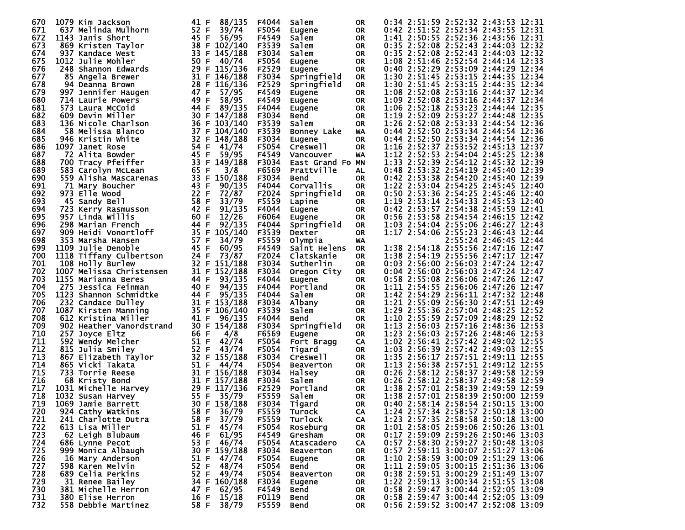| 670 | 1079 Kim Jackson         | 41 F<br>88/135  | F4044 | Salem            | 0R.       | 0:34 2:51:59 2:52:32 2:43:53 12:31    |
|-----|--------------------------|-----------------|-------|------------------|-----------|---------------------------------------|
| 671 | 637 Melinda Mulhorn      | 52 F<br>39/74   | F5054 | Eugene           | OR.       | 0:42 2:51:52 2:52:34 2:43:55 12:31    |
| 672 | 1143 Janis Short         | 45 F<br>56/95   | F4549 | Salem            | OR.       | 1:41 2:50:55 2:52:36 2:43:56 12:31    |
| 673 | 869 Kristen Taylor       | 38 F 102/140    | F3539 | Salem            | <b>OR</b> | 0:35 2:52:08 2:52:43 2:44:03 12:32    |
| 674 | 937 Kandace West         | 33 F<br>145/188 | F3034 | Salem            | 0R        | 0:35 2:52:08 2:52:43 2:44:03 12:32    |
| 675 | 1012 Julie Mohler        | 50 F<br>40/74   | F5054 | Eugene           | OR.       | 1:08 2:51:46 2:52:54 2:44:14 12:33    |
| 676 | 248 Shannon Edwards      | 29 F 115/136    | F2529 | Eugene           | OR.       | 0:40 2:52:29 2:53:09 2:44:29 12:34    |
| 677 |                          |                 |       |                  |           | 1:30 2:51:45 2:53:15 2:44:35 12:34    |
|     | 85 Angela Brewer         | 31 F 146/188    | F3034 | Springfield      | OR.       |                                       |
| 678 | 94 Deanna Brown          | 28 F<br>116/136 | F2529 | Springfield      | <b>OR</b> | 1:30 2:51:45 2:53:15 2:44:35 12:34    |
| 679 | 997 Jennifer Haugen      | 57/95<br>47 F   | F4549 | Eugene           | OR.       | 1:08 2:52:08 2:53:16 2:44:37 12:34    |
| 680 | 714 Laurie Powers        | 49 F<br>58/95   | F4549 | <b>Eugene</b>    | 0R        | 1:09 2:52:08 2:53:16 2:44:37 12:34    |
| 681 | 573 Laura McCoid         | 44 F<br>89/135  | F4044 | Eugene           | 0R        | 1:06 2:52:18 2:53:23 2:44:44 12:35    |
| 682 | 609 Devin Miller         | 30 F 147/188    | F3034 | Bend             | 0R        | 1:19 2:52:09 2:53:27 2:44:48 12:35    |
| 683 | 136 Nicole Charlson      | 36 F 103/140    | F3539 | Salem            | 0R        | 1:26 2:52:08 2:53:33 2:44:54 12:36    |
| 684 | 58 Melissa Blanco        | 37 F<br>104/140 | F3539 | Bonney Lake      | WA        | 0:44 2:52:50 2:53:34 2:44:54 12:36    |
| 685 | 946 Kristin White        | 32 F 148/188    | F3034 | <b>Eugene</b>    | OR.       | 0:44 2:52:50 2:53:34 2:44:54 12:36    |
| 686 | 1097 Janet Rose          | 54 F<br>41/74   | F5054 | Creswell         | <b>OR</b> | 1:16 2:52:37 2:53:52 2:45:13 12:37    |
| 687 | 72 Alita Bowder          | 45 F<br>59/95   | F4549 | Vancouver        | WA        | 1:12 2:52:53 2:54:04 2:45:25 12:38    |
| 688 | 700 Tracy Pfeiffer       | 33 F<br>149/188 | F3034 | East Grand Fo MN |           | 1:33 2:52:39 2:54:12 2:45:32 12:39    |
| 689 | 583 Carolyn McLean       | 3/8<br>65 F     | F6569 | Prattville       | AL        | 0:48 2:53:32 2:54:19 2:45:40 12:39    |
| 690 | 559 Alisha Mascarenas    | 33 F<br>150/188 | F3034 | Bend             | 0R        | 0:42 2:53:38 2:54:20 2:45:40 12:39    |
| 691 | 71 Mary Boucher          | 43 F<br>90/135  | F4044 | Corvallis        | <b>OR</b> | 1:22 2:53:04 2:54:25 2:45:45 12:40    |
| 692 | 973 Elle Wood            | 22 F<br>72/87   | F2024 | Springfield      | 0R        | 0:50 2:53:36 2:54:25 2:45:46 12:40    |
| 693 | 45 Sandy Bell            | 58 F<br>33/79   | F5559 | Lapine           | OR.       | 1:19 2:53:14 2:54:33 2:45:53 12:40    |
| 694 | 723 Kerry Rasmusson      | 42 F<br>91/135  | F4044 | Eugene           | 0R        | 0:42 2:53:57 2:54:38 2:45:59 12:41    |
| 695 | 957 Linda Willis         | 12/26<br>60 F   | F6064 | Eugene           | <b>OR</b> | 0:56 2:53:58 2:54:54 2:46:15 12:42    |
| 696 | 298 Marian French        | 44 F<br>92/135  | F4044 | Springfield      | 0R        | 1:03 2:54:04 2:55:06 2:46:27 12:43    |
| 697 | 909 Heidi Vonortloff     | 35 F<br>105/140 | F3539 | Dexter           | OR.       | 1:17 2:54:06 2:55:23 2:46:43 12:44    |
| 698 | 353 Marsha Hansen        | 57 F<br>34/79   | F5559 | Olympia          | <b>WA</b> | 2:55:24 2:46:45 12:44                 |
| 699 | 1109 Julie Denoble       | 45 F<br>60/95   | F4549 |                  |           | 1:38 2:54:18 2:55:56 2:47:16 12:47    |
| 700 |                          | 24 F<br>73/87   |       | Saint Helens     | 0R        | 1:38 2:54:19 2:55:56 2:47:17 12:47    |
|     | 1118 Tiffany Culbertson  |                 | F2024 | Clatskanie       | <b>OR</b> |                                       |
| 701 | 108 Holly Burlew         | 32 F 151/188    | F3034 | Sutherlin        | 0R        | 0:03 2:56:00 2:56:03 2:47:24 12:47    |
| 702 | 1007 Melissa Christensen | 31 F<br>152/188 | F3034 | Oregon City      | <b>OR</b> | 0:04 2:56:00 2:56:03 2:47:24 12:47    |
| 703 | 1155 Marianna Beres      | 44 F<br>93/135  | F4044 | Eugene           | 0R        | 0:58 2:55:08 2:56:06 2:47:26 12:47    |
| 704 | 275 Jessica Feinman      | 40 F<br>94/135  | F4044 | Portland         | <b>OR</b> | 1:11 2:54:55 2:56:06 2:47:26 12:47    |
| 705 | 1123 Shannon Schmidtke   | 44 F<br>95/135  | F4044 | Salem            | 0R        | 1:42 2:54:29 2:56:11 2:47:32 12:48    |
| 706 | 232 Candace Dulley       | 31 F 153/188    | F3034 | Albany           | 0R        | 1:21 2:55:09 2:56:30 2:47:51 12:49    |
| 707 | 1087 Kirsten Manning     | 35 F 106/140    | F3539 | Salem            | 0R        | 1:29 2:55:36 2:57:04 2:48:25 12:52    |
| 708 | 612 Kristina Miller      | 41 F<br>96/135  | F4044 | Bend             | <b>OR</b> | 1:10 2:55:59 2:57:09 2:48:29 12:52    |
| 709 | 902 Heather Vanordstrand | 30 F 154/188    | F3034 | Springfield      | <b>OR</b> | 1:13 2:56:03 2:57:16 2:48:36 12:53    |
| 710 | 257 Joyce Eltz           | 66 F<br>4/8     | F6569 | Eugene           | <b>OR</b> | 1:23 2:56:03 2:57:26 2:48:46 12:53    |
| 711 | 592 Wendy Melcher        | 51 F<br>42/74   | F5054 | Fort Bragg       | CA        | 1:02 2:56:41 2:57:42 2:49:02 12:55    |
| 712 | 815 Julia Smiley         | 52 F<br>43/74   | F5054 | Tigard           | <b>OR</b> | 1:03 2:56:39 2:57:42 2:49:03 12:55    |
| 713 | 867 Elizabeth Taylor     | 32 F 155/188    | F3034 | Creswell         | <b>OR</b> | 1:35 2:56:17 2:57:51 2:49:11 12:55    |
| 714 | 865 Vicki Takata         | 51 F<br>44/74   | F5054 | <b>Beaverton</b> | OR        | 1:13 2:56:38 2:57:51 2:49:12 12:55    |
| 715 | 733 Torrie Reese         | 31 F 156/188    | F3034 | Halsey           | 0R        | 0:26 2:58:12 2:58:37 2:49:58 12:59    |
| 716 | 68 Kristy Bond           | 31 F<br>157/188 | F3034 | Salem            | <b>OR</b> | 0:26 2:58:12 2:58:37 2:49:58<br>12:59 |
| 717 | 1031 Michelle Harvey     | 29 F 117/136    | F2529 | Portland         | <b>OR</b> | 1:38 2:57:01 2:58:39 2:49:59 12:59    |
| 718 | 1032 Susan Harvey        | 55 F<br>35/79   | F5559 | Salem            | <b>OR</b> | 1:38 2:57:01 2:58:39 2:50:00 12:59    |
| 719 | 1069 Jamie Barrett       | 30 F 158/188    | F3034 | Tigard           | <b>OR</b> | $0:40$ 2:58:14 2:58:54 2:50:15 13:00  |
| 720 | 924 Cathy Watkins        | 36/79<br>58 F   | F5559 | Turock           | CA        | 1:24 2:57:34 2:58:57 2:50:18 13:00    |
| 721 | 241 Charlotte Dutra      | 37/79<br>58 F   | F5559 | Turlock          | CA        | 1:23 2:57:35 2:58:58 2:50:18 13:00    |
| 722 | 613 Lisa Miller          | 45/74<br>51 F   | F5054 | Roseburg         | <b>OR</b> | 1:01 2:58:05 2:59:06 2:50:26 13:01    |
| 723 | 62 Leigh Blubaum         | 61/95<br>46 F   | F4549 | Gresham          | 0R.       | 0:17 2:59:09 2:59:26 2:50:46 13:03    |
| 724 | 686 Lynne Pecot          | 46/74<br>53 F   | F5054 | Atascadero       | CA        | 0:57 2:58:30 2:59:27 2:50:48 13:03    |
| 725 | 999 Monica Albaugh       | 30 F 159/188    | F3034 | <b>Beaverton</b> | 0R.       | 0:57 2:59:11 3:00:07 2:51:27 13:06    |
| 726 | 16 Mary Anderson         | 47/74<br>51 F   | F5054 | Eugene           | 0R.       | 1:10 2:58:59 3:00:09 2:51:29 13:06    |
| 727 | 598 Karen Melvin         | 52 F<br>48/74   | F5054 | <b>Bend</b>      | 0R.       | 1:11 2:59:05 3:00:15 2:51:36 13:06    |
| 728 | 689 Celia Perkins        | 52 F<br>49/74   | F5054 | <b>Beaverton</b> | 0R        | 0:38 2:59:51 3:00:29 2:51:49 13:07    |
| 729 | 31 Renee Bailey          | 34 F 160/188    | F3034 | Eugene           | OR.       | 1:22 2:59:13 3:00:34 2:51:55 13:08    |
| 730 | 381 Michelle Herron      | 62/95<br>47 F   | F4549 | Bend             | 0R        | 0:58 2:59:47 3:00:44 2:52:05 13:09    |
| 731 | 380 Elise Herron         | 15/18<br>16 F   | F0119 |                  | OR.       | 0:58 2:59:47 3:00:44 2:52:05 13:09    |
| 732 |                          |                 |       | Bend             |           |                                       |
|     | 558 Debbie Martinez      | 58 F<br>38/79   | F5559 | Bend             | OR.       | 0:56 2:59:52 3:00:47 2:52:08 13:09    |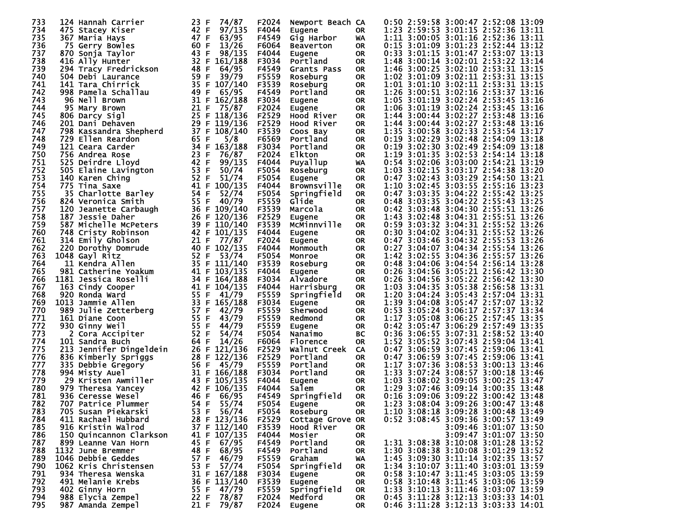| 733 | 124 Hannah Carrier      | 23 F<br>74/87   | F2024 | Newport Beach CA   |           | 0:50 2:59:58 3:00:47 2:52:08 13:09 |
|-----|-------------------------|-----------------|-------|--------------------|-----------|------------------------------------|
| 734 | 475 Stacey Kiser        | 42 F<br>97/135  | F4044 | Eugene             | <b>OR</b> | 1:23 2:59:53 3:01:15 2:52:36 13:11 |
| 735 | 367 Maria Hays          | 47 F<br>63/95   | F4549 | Gig Harbor         | WA        | 1:11 3:00:05 3:01:16 2:52:36 13:11 |
| 736 | 75 Gerry Bowles         | 60 F<br>13/26   | F6064 | <b>Beaverton</b>   | <b>OR</b> | 0:15 3:01:09 3:01:23 2:52:44 13:12 |
| 737 | 870 Sonja Taylor        | 43 F<br>98/135  | F4044 | Eugene             | <b>OR</b> | 0:33 3:01:15 3:01:47 2:53:07 13:13 |
| 738 | 416 Ally Hunter         | 32 F<br>161/188 | F3034 | Portland           | <b>OR</b> | 1:48 3:00:14 3:02:01 2:53:22 13:14 |
| 739 | 294 Tracy Fredrickson   | 48 F<br>64/95   | F4549 | Grants Pass        | <b>OR</b> | 1:46 3:00:25 3:02:10 2:53:31 13:15 |
| 740 | 504 Debi Laurance       | 59 F<br>39/79   | F5559 | Roseburg           | <b>OR</b> | 1:02 3:01:09 3:02:11 2:53:31 13:15 |
| 741 | 141 Tara Chirrick       | 35 F<br>107/140 | F3539 | Roseburg           | <b>OR</b> | 1:01 3:01:10 3:02:11 2:53:31 13:15 |
| 742 | 998 Pamela Schallau     | 49 F<br>65/95   | F4549 | Portland           | <b>OR</b> | 1:26 3:00:51 3:02:16 2:53:37 13:16 |
| 743 | 96 Nell Brown           | 31 F<br>162/188 | F3034 | Eugene             | <b>OR</b> | 1:05 3:01:19 3:02:24 2:53:45 13:16 |
| 744 | 95 Mary Brown           | 21 F<br>75/87   | F2024 | Eugene             | <b>OR</b> | 1:06 3:01:19 3:02:24 2:53:45 13:16 |
| 745 | 806 Darcy Sigl          | 25 F<br>118/136 | F2529 | Hood River         | <b>OR</b> | 1:44 3:00:44 3:02:27 2:53:48 13:16 |
| 746 | 201 Dani Dehaven        | 29 F 119/136    | F2529 | Hood River         | <b>OR</b> | 1:44 3:00:44 3:02:27 2:53:48 13:16 |
| 747 | 798 Kassandra Shepherd  | 37 F<br>108/140 | F3539 | Coos Bay           | <b>OR</b> | 1:35 3:00:58 3:02:33 2:53:54 13:17 |
| 748 | 729 Ellen Reardon       | 65 F<br>5/8     | F6569 | Portland           | <b>OR</b> | 0:19 3:02:29 3:02:48 2:54:09 13:18 |
| 749 | 121 Ceara Carder        | 34 F<br>163/188 | F3034 | Portland           | <b>OR</b> | 0:19 3:02:30 3:02:49 2:54:09 13:18 |
| 750 | 756 Andrea Rose         | 23 F<br>76/87   | F2024 | <b>Elkton</b>      | <b>OR</b> | 1:19 3:01:35 3:02:53 2:54:14 13:18 |
| 751 | 525 Deirdre Lloyd       | 42 F<br>99/135  | F4044 | Puyallup           | WA        | 0:54 3:02:06 3:03:00 2:54:21 13:19 |
| 752 | 505 Elaine Lavington    | 53 F<br>50/74   | F5054 | Roseburg           | <b>OR</b> | 1:03 3:02:15 3:03:17 2:54:38 13:20 |
| 753 | 140 Karen Ching         | 52 F<br>51/74   | F5054 | Eugene             | <b>OR</b> | 0:47 3:02:43 3:03:29 2:54:50 13:21 |
| 754 | 775 Tina Saxe           | 41 F<br>100/135 | F4044 | <b>Brownsville</b> | <b>OR</b> | 1:10 3:02:45 3:03:55 2:55:16 13:23 |
| 755 | 35 Charlotte Barley     | 54 F<br>52/74   | F5054 | Springfield        | <b>OR</b> | 0:47 3:03:35 3:04:22 2:55:42 13:25 |
| 756 | 824 Veronica Smith      | 55 F<br>40/79   | F5559 | Glide              | <b>OR</b> | 0:48 3:03:35 3:04:22 2:55:43 13:25 |
| 757 | 120 Jeanette Carbaugh   | 36 F 109/140    | F3539 | Marcola            | <b>OR</b> | 0:42 3:03:48 3:04:30 2:55:51 13:26 |
| 758 | 187 Jessie Daher        | 26 F 120/136    | F2529 | Eugene             | <b>OR</b> | 1:43 3:02:48 3:04:31 2:55:51 13:26 |
| 759 | 587 Michelle McPeters   | 39 F 110/140    | F3539 | McMinnville        | <b>OR</b> | 0:59 3:03:32 3:04:31 2:55:52 13:26 |
| 760 | 748 Cristy Robinson     | 42 F 101/135    | F4044 | Eugene             | <b>OR</b> | 0:30 3:04:02 3:04:31 2:55:52 13:26 |
| 761 | 314 Emily Gholson       | 21 F<br>77/87   | F2024 | Eugene             | OR        | 0:47 3:03:46 3:04:32 2:55:53 13:26 |
| 762 | 220 Dorothy Domrude     | 40 F 102/135    | F4044 | Monmouth           | <b>OR</b> | 0:27 3:04:07 3:04:34 2:55:54 13:26 |
| 763 | 1048 Gayl Ritz          | 52 F<br>53/74   | F5054 | Monroe             | <b>OR</b> | 1:42 3:02:55 3:04:36 2:55:57 13:26 |
| 764 | 11 Kendra Allen         | 35 F 111/140    | F3539 | Roseburg           | <b>OR</b> | 0:48 3:04:06 3:04:54 2:56:14 13:28 |
| 765 | 981 Catherine Yoakum    | 41 F<br>103/135 | F4044 | Eugene             | <b>OR</b> | 0:26 3:04:56 3:05:21 2:56:42 13:30 |
| 766 | 1181 Jessica Roselli    | 34 F 164/188    | F3034 | Alvadore           | <b>OR</b> | 0:26 3:04:56 3:05:22 2:56:42 13:30 |
| 767 | 163 Cindy Cooper        | 41 F<br>104/135 | F4044 | Harrisburg         | <b>OR</b> | 1:03 3:04:35 3:05:38 2:56:58 13:31 |
| 768 | 920 Ronda Ward          | 55 F 41/79      | F5559 | Springfield        | <b>OR</b> | 1:20 3:04:24 3:05:43 2:57:04 13:31 |
| 769 | 1013 Jammie Allen       | 33 F<br>165/188 | F3034 | Eugene             | <b>OR</b> | 1:39 3:04:08 3:05:47 2:57:07 13:32 |
| 770 | 989 Julie Zetterberg    | 57 F<br>42/79   | F5559 | Sherwood           | <b>OR</b> | 0:53 3:05:24 3:06:17 2:57:37 13:34 |
| 771 | 161 Diane Coon          | 55 F<br>43/79   | F5559 | Redmond            | <b>OR</b> | 1:17 3:05:08 3:06:25 2:57:45 13:35 |
| 772 | 930 Ginny Weil          | 55 F<br>44/79   | F5559 | Eugene             | <b>OR</b> | 0:42 3:05:47 3:06:29 2:57:49 13:35 |
| 773 | 2 Cora Accipiter        | 52 F<br>54/74   | F5054 | Nanaimo            | BC        | 0:36 3:06:55 3:07:31 2:58:52 13:40 |
| 774 | 101 Sandra Buch         | 64 F<br>14/26   | F6064 | Florence           | <b>OR</b> | 1:52 3:05:52 3:07:43 2:59:04 13:41 |
| 775 | 213 Jennifer Dingeldein | 26 F<br>121/136 | F2529 | Walnut Creek       | <b>CA</b> | 0:47 3:06:59 3:07:45 2:59:06 13:41 |
| 776 | 836 Kimberly Spriggs    | 122/136<br>28 F | F2529 | Portland           | <b>OR</b> | 0:47 3:06:59 3:07:45 2:59:06 13:41 |
| 777 | 335 Debbie Gregory      | 56 F<br>45/79   | F5559 | Portland           | <b>OR</b> | 1:17 3:07:36 3:08:53 3:00:13 13:46 |
| 778 | 994 Misty Auel          | 31 F<br>166/188 | F3034 | Portland           | <b>OR</b> | 1:33 3:07:24 3:08:57 3:00:18 13:46 |
| 779 | 29 Kristen Awmiller     | 43 F<br>105/135 | F4044 | <b>Eugene</b>      | <b>OR</b> | 1:03 3:08:02 3:09:05 3:00:25 13:47 |
| 780 | 979 Theresa Yancey      | 42 F 106/135    | F4044 | Salem              | <b>OR</b> | 1:29 3:07:46 3:09:14 3:00:35 13:48 |
| 781 | 936 Ceresse Wesel       | 46 F<br>66/95   | F4549 | Springfield        | <b>OR</b> | 0:16 3:09:06 3:09:22 3:00:42 13:48 |
| 782 | 707 Patrice Plummer     | 54 F<br>55/74   | F5054 | Eugene             | <b>OR</b> | 1:23 3:08:04 3:09:26 3:00:47 13:48 |
| 783 | 705 Susan Piekarski     | 53 F 56/74      | F5054 | Roseburg           | <b>OR</b> | 1:10 3:08:18 3:09:28 3:00:48 13:49 |
| 784 | 411 Rachael Hubbard     | 28 F 123/136    | F2529 | Cottage Grove OR   |           | 0:52 3:08:45 3:09:36 3:00:57 13:49 |
| 785 | 916 Kristin Walrod      | F 112/140<br>37 | F3539 | Hood River         | OR.       | 3:09:46 3:01:07 13:50              |
| 786 | 150 Quincannon Clarkson | 41 F 107/135    | F4044 | Mosier             | 0R        | 3:09:47 3:01:07 13:50              |
| 787 | 899 Leanne Van Horn     | 45 F<br>67/95   | F4549 | Portland           | 0R        | 1:31 3:08:38 3:10:08 3:01:28 13:52 |
| 788 | 1132 June Bremmer       | 68/95<br>48 F   | F4549 | Portland           | 0R        | 1:30 3:08:38 3:10:08 3:01:29 13:52 |
| 789 | 1046 Debbie Geddes      | 57 F<br>46/79   | F5559 | Graham             | WA        | 1:45 3:09:30 3:11:14 3:02:35 13:57 |
| 790 | 1062 Kris Christensen   | 57/74<br>53 F   | F5054 | Springfield        | OR.       | 1:34 3:10:07 3:11:40 3:03:01 13:59 |
| 791 | 934 Theresa Wenska      | 31 F 167/188    | F3034 | Eugene             | OR.       | 0:58 3:10:47 3:11:45 3:03:05 13:59 |
| 792 | 491 Melanie Krebs       | 36 F 113/140    | F3539 | Eugene             | 0R        | 0:58 3:10:48 3:11:45 3:03:06 13:59 |
| 793 | 402 Ginny Horn          | 55 F<br>47/79   | F5559 | Springfield        | <b>OR</b> | 1:33 3:10:13 3:11:46 3:03:07 13:59 |
| 794 | 988 Elycia Zempel       | 22 F<br>78/87   | F2024 | Medford            | 0R        | 0:45 3:11:28 3:12:13 3:03:33 14:01 |
| 795 | 987 Amanda Zempel       | 21 F<br>79/87   | F2024 | Eugene             | OR        | 0:46 3:11:28 3:12:13 3:03:33 14:01 |
|     |                         |                 |       |                    |           |                                    |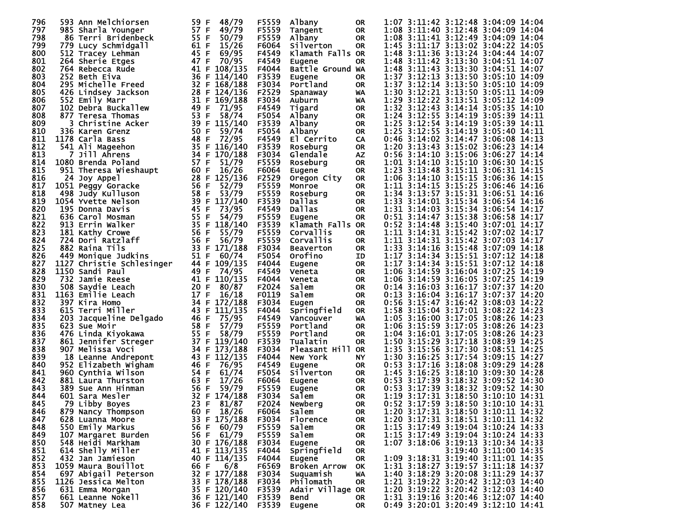| 796 | 593 Ann Melchiorsen                   | 59 F<br>48/79               | F5559 | Albany               | <b>OR</b>       | 1:07 3:11:42 3:12:48 3:04:09 14:04                                 |                       |       |
|-----|---------------------------------------|-----------------------------|-------|----------------------|-----------------|--------------------------------------------------------------------|-----------------------|-------|
| 797 | 985 Sharla Younger                    | 57 F<br>49/79               | F5559 | Tangent              | <b>OR</b>       | 1:08 3:11:40 3:12:48 3:04:09 14:04                                 |                       |       |
| 798 | 86 Terri Bridenbeck                   | 55 F<br>50/79               | F5559 | Albany               | <b>OR</b>       | 1:08 3:11:41 3:12:49 3:04:09 14:04                                 |                       |       |
| 799 | 779 Lucy Schmidgall                   | 15/26<br>61 F               | F6064 | Silverton            | <b>OR</b>       | 1:45 3:11:17 3:13:02 3:04:22 14:05                                 |                       |       |
| 800 | 512 Tracey Lehman                     | 45 F<br>69/95               | F4549 | Klamath Falls OR     |                 | 1:48 3:11:36 3:13:24 3:04:44 14:07                                 |                       |       |
| 801 | 264 Sherie Etges                      | 70/95<br>47 F               | F4549 | Eugene               | 0R              | 1:48 3:11:42 3:13:30 3:04:51 14:07                                 |                       |       |
| 802 | 764 Rebecca Rude                      | 41 F<br>108/135             | F4044 | Battle Ground WA     |                 | 1:48 3:11:43 3:13:30 3:04:51 14:07                                 |                       |       |
| 803 | 252 Beth Eiva                         | 36 F<br>114/140             | F3539 | Eugene               | <b>OR</b>       | 1:37 3:12:13 3:13:50 3:05:10 14:09                                 |                       |       |
| 804 | 295 Michelle Freed                    | 32 F<br>168/188             | F3034 | Portland             | <b>OR</b>       | 1:37 3:12:14 3:13:50 3:05:10 14:09                                 |                       |       |
| 805 | 426 Lindsey Jackson                   | 28 F 124/136                | F2529 | Spanaway             | WA              | 1:30 3:12:21 3:13:50 3:05:11 14:09                                 |                       |       |
| 806 | 552 Emily Marr                        | 31 F<br>169/188             | F3034 | Auburn               | WA              | 1:29 3:12:22 3:13:51 3:05:12 14:09                                 |                       |       |
| 807 | 102 Debra Buckallew                   | 49 F<br>71/95               | F4549 | Tigard               | <b>OR</b>       | 1:32 3:12:43 3:14:14 3:05:35 14:10                                 |                       |       |
| 808 | 877 Teresa Thomas                     | 53 F<br>58/74               | F5054 | Albany               | <b>OR</b>       | 1:24 3:12:55 3:14:19 3:05:39                                       |                       | 14:11 |
| 809 | 3 Christine Acker                     | 39 F 115/140                | F3539 | Albany               | <b>OR</b>       | 1:25 3:12:54 3:14:19 3:05:39 14:11                                 |                       |       |
| 810 | 336 Karen Grenz                       | 50 F<br>59/74               | F5054 | Albany               | <b>OR</b>       | 1:25 3:12:55 3:14:19 3:05:40                                       |                       | 14:11 |
| 811 | 1178 Carla Bass                       | 48 F<br>72/95               | F4549 | El Cerrito           | CA              | 0:46 3:14:02 3:14:47 3:06:08 14:13                                 |                       |       |
| 812 | 541 Ali Mageehon                      | 35 F<br>116/140             | F3539 | Roseburg             | <b>OR</b>       | 1:20 3:13:43 3:15:02 3:06:23 14:14                                 |                       |       |
| 813 | <b>7 Jill Ahrens</b>                  | 34 F<br>170/188             | F3034 | Glendale             | <b>AZ</b>       | 0:56 3:14:10 3:15:06 3:06:27 14:14                                 |                       |       |
| 814 | 1080 Brenda Poland                    | 57 F<br>51/79               | F5559 | Roseburg             | <b>OR</b>       | 1:01 3:14:10 3:15:10 3:06:30 14:15                                 |                       |       |
| 815 | 951 Theresa Wieshaupt                 | 60 F<br>16/26               | F6064 | Eugene               | <b>OR</b>       | 1:23 3:13:48 3:15:11 3:06:31 14:15                                 |                       |       |
| 816 | 24 Joy Appel                          | 28 F<br>125/136             | F2529 | Oregon City          | <b>OR</b>       | 1:06 3:14:10 3:15:15 3:06:36 14:15                                 |                       |       |
| 817 | 1051 Peggy Goracke                    | 52/79<br>56 F               | F5559 | Monroe               | <b>OR</b>       | 1:11 3:14:15 3:15:25 3:06:46 14:16                                 |                       |       |
| 818 | 498 Judy Kulluson                     | 58 F<br>53/79               | F5559 | Roseburg             | <b>OR</b>       | 1:34 3:13:57 3:15:31 3:06:51 14:16                                 |                       |       |
| 819 | 1054 Yvette Nelson                    | 39 F<br>117/140             | F3539 | Dallas               | <b>OR</b>       | 1:33 3:14:01 3:15:34 3:06:54 14:16                                 |                       |       |
| 820 | 195 Donna Davis                       | 45 F<br>73/95               | F4549 | <b>Dallas</b>        | <b>OR</b>       | 1:31 3:14:03 3:15:34 3:06:54 14:17                                 |                       |       |
| 821 | 636 Carol Mosman                      | 55 F<br>54/79               | F5559 | Eugene               | <b>OR</b>       | 0:51 3:14:47 3:15:38 3:06:58 14:17                                 |                       |       |
| 822 | 913 Errin Walker                      | 35 F<br>118/140             | F3539 | Klamath Falls OR     |                 | 0:52 3:14:48 3:15:40 3:07:01 14:17                                 |                       |       |
| 823 | 181 Kathy Crowe                       | 56 F<br>55/79               | F5559 | Corvallis            | <b>OR</b>       | 1:11 3:14:31 3:15:42 3:07:02 14:17                                 |                       |       |
| 824 | 724 Dori Ratzlaff                     | 56 F<br>56/79               | F5559 | Corvallis            | <b>OR</b>       | 1:11 3:14:31 3:15:42 3:07:03 14:17                                 |                       |       |
| 825 | 882 Raina Tils                        | 33 F 171/188                | F3034 | <b>Beaverton</b>     | <b>OR</b>       | 1:33 3:14:16 3:15:48 3:07:09 14:18                                 |                       |       |
| 826 | 449 Monique Judkins                   | 51 F<br>60/74               | F5054 | Orofino              | ID              | 1:17 3:14:34 3:15:51 3:07:12 14:18                                 |                       |       |
| 827 | 1127 Christie Schlesinger             | 44 F<br>109/135             | F4044 |                      | <b>OR</b>       | 1:17 3:14:34 3:15:51 3:07:12 14:18                                 |                       |       |
| 828 | 1150 Sandi Paul                       | 49 F<br>74/95               | F4549 | Eugene<br>Veneta     | 0R              | 1:06 3:14:59 3:16:04 3:07:25 14:19                                 |                       |       |
| 829 | 732 Jamie Reese                       | 41 F 110/135                | F4044 | Veneta               | <b>OR</b>       | 1:06 3:14:59 3:16:05 3:07:25 14:19                                 |                       |       |
| 830 |                                       | 20 F<br>80/87               | F2024 | Salem                | <b>OR</b>       | 0:14 3:16:03 3:16:17 3:07:37 14:20                                 |                       |       |
| 831 | 508 Saydie Leach<br>1163 Emilie Leach | 17 F<br>16/18               | F0119 | Salem                |                 | 0:13 3:16:04 3:16:17 3:07:37 14:20                                 |                       |       |
| 832 | 397 Kira Homo                         | 34 F<br>172/188             | F3034 |                      | 0R<br><b>OR</b> | 0:56 3:15:47 3:16:42 3:08:03 14:22                                 |                       |       |
| 833 | 615 Terri Miller                      | 43 F<br>111/135             | F4044 | Eugen<br>Springfield | <b>OR</b>       | 1:58 3:15:04 3:17:01 3:08:22 14:23                                 |                       |       |
| 834 |                                       | 46 F                        |       |                      |                 |                                                                    |                       |       |
| 835 | 203<br>Jacqueline Delgado             | 75/95<br>58 F<br>57/79      | F4549 | Vancouver            | <b>WA</b>       | 1:05 3:16:00 3:17:05 3:08:26<br>1:06 3:15:59 3:17:05 3:08:26 14:23 |                       | 14:23 |
| 836 | 623 Sue Moir                          | 55                          | F5559 | Portland             | <b>OR</b>       |                                                                    |                       |       |
|     | 476 Linda Kiyokawa                    | 58/79<br>-F<br>37 F 119/140 | F5559 | Portland             | <b>OR</b>       | 1:04 3:16:01 3:17:05 3:08:26                                       |                       | 14:23 |
| 837 | 861 Jennifer Streger                  |                             | F3539 | Tualatin             | <b>OR</b>       | 1:50 3:15:29 3:17:18 3:08:39 14:25                                 |                       |       |
| 838 | 907 Melissa Voci                      | 34<br>173/188<br>F          | F3034 | Pleasant Hill OR     |                 | 1:35 3:15:56 3:17:30 3:08:51 14:25                                 |                       |       |
| 839 | 18 Leanne Andrepont                   | 43 F<br>112/135             | F4044 | New York             | <b>NY</b>       | 1:30 3:16:25 3:17:54 3:09:15 14:27                                 |                       |       |
| 840 | 952 Elizabeth Wigham                  | 46 F<br>76/95               | F4549 | Eugene               | <b>OR</b>       | 0:53 3:17:16 3:18:08 3:09:29                                       |                       | 14:28 |
| 841 | 960 Cynthia Wilson                    | 54 F<br>61/74               | F5054 | Silverton            | <b>OR</b>       | 1:45 3:16:25 3:18:10 3:09:30 14:28                                 |                       |       |
| 842 | 881 Laura Thurston                    | 63 F<br>17/26               | F6064 | Eugene               | <b>OR</b>       | 0:53 3:17:39 3:18:32 3:09:52                                       |                       | 14:30 |
| 843 | 389 Sue Ann Hinman                    | 56 F<br>59/79               | F5559 | Eugene               | <b>OR</b>       | 0:53 3:17:39 3:18:32 3:09:52 14:30                                 |                       |       |
| 844 | 601 Sara Mesler                       | 32 F<br>174/188             | F3034 | Salem                | <b>OR</b>       | 1:19 3:17:31 3:18:50 3:10:10                                       |                       | 14:31 |
| 845 | 79 Libby Boyes                        | 23 F 81/87                  | F2024 | Newberg              | <b>OR</b>       | 0:52 3:17:59 3:18:50 3:10:10 14:31                                 |                       |       |
| 846 | 879 Nancy Thompson                    | 60 F 18/26                  | F6064 | Salem                | OR.             | 1:20 3:17:31 3:18:50 3:10:11 14:32                                 |                       |       |
| 847 | 628 Luanna Moore                      | 33 F 175/188                | F3034 | Florence             | OR.             | 1:20 3:17:31 3:18:51 3:10:11 14:32                                 |                       |       |
| 848 | 550 Emily Markus                      | 56 F<br>60/79               | F5559 | Salem                | OR.             | 1:15 3:17:49 3:19:04 3:10:24 14:33                                 |                       |       |
| 849 | 107 Margaret Burden                   | 56 F 61/79                  | F5559 | Salem                | 0R              | 1:15 3:17:49 3:19:04 3:10:24 14:33                                 |                       |       |
| 850 | 548 Heidi Markham                     | 30 F 176/188                | F3034 | Eugene               | OR              | 1:07 3:18:06 3:19:13 3:10:34 14:33                                 |                       |       |
| 851 | 614 Shelly Miller                     | 41 F 113/135                | F4044 | Springfield          | 0R              |                                                                    | 3:19:40 3:11:00 14:35 |       |
| 852 | 432 Jan Jamieson                      | 40 F 114/135                | F4044 | Eugene               | 0R              | 1:09 3:18:31 3:19:40 3:11:01 14:35                                 |                       |       |
| 853 | 1059 Maura Bouillot                   | 6/8<br>66 F                 | F6569 | <b>Broken Arrow</b>  | OK              | 1:31 3:18:27 3:19:57 3:11:18 14:37                                 |                       |       |
| 854 | 697 Abigail Peterson                  | 32 F 177/188                | F3034 | Suquamish            | WA              | 1:40 3:18:29 3:20:08 3:11:29 14:37                                 |                       |       |
| 855 | 1126 Jessica Melton                   | 33 F 178/188                | F3034 | Philomath            | OR.             | 1:21 3:19:22 3:20:42 3:12:03 14:40                                 |                       |       |
| 856 | 631 Emma Morgan                       | 35 F 120/140                | F3539 | Adair Village OR     |                 | 1:20 3:19:22 3:20:42 3:12:03 14:40                                 |                       |       |
| 857 | 661 Leanne Nokell                     | 36 F 121/140                | F3539 | Bend                 | OR.             | 1:31 3:19:16 3:20:46 3:12:07 14:40                                 |                       |       |
| 858 | 507 Matney Lea                        | 36 F 122/140                | F3539 | Eugene               | OR.             | 0:49 3:20:01 3:20:49 3:12:10 14:41                                 |                       |       |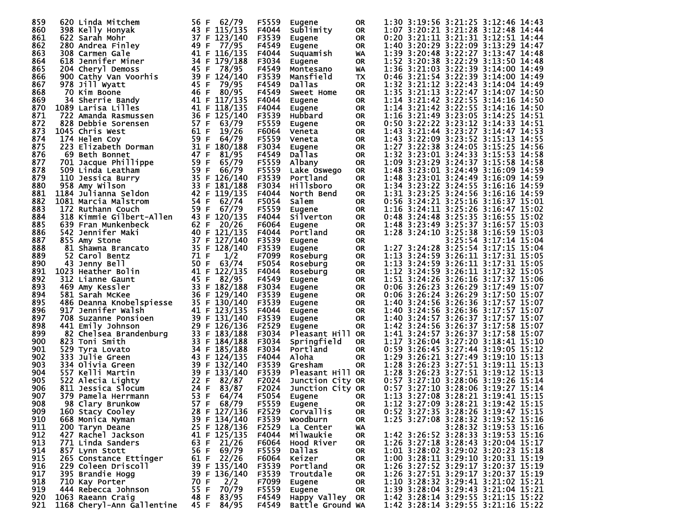| 859        | 620 Linda Mitchem          | 56 F<br>62/79   | F5559 | Eugene            | <b>OR</b> | 1:30 3:19:56 3:21:25 3:12:46 14:43 |       |
|------------|----------------------------|-----------------|-------|-------------------|-----------|------------------------------------|-------|
| 860        | 398 Kelly Honyak           | 43 F 115/135    | F4044 | Sublimity         | <b>OR</b> | 1:07 3:20:21 3:21:28 3:12:48 14:44 |       |
| 861        | 622 Sarah Mohr             | 37 F<br>123/140 | F3539 | Eugene            | <b>OR</b> | 0:20 3:21:11 3:21:31 3:12:51 14:44 |       |
| 862        | 280 Andrea Finley          | 49 F 77/95      | F4549 | Eugene            | <b>OR</b> | 1:40 3:20:29 3:22:09 3:13:29 14:47 |       |
| 863        | 308 Carmen Gale            | 41 F 116/135    | F4044 | Suquamish         | WA        | 1:39 3:20:48 3:22:27 3:13:47 14:48 |       |
| 864        | 618 Jennifer Miner         | 34 F 179/188    | F3034 | Eugene            | <b>OR</b> | 1:52 3:20:38 3:22:29 3:13:50 14:48 |       |
| 865        | 204 Cheryl Demoss          | 45 F<br>78/95   | F4549 | Montesano         | WA        | 1:36 3:21:03 3:22:39 3:14:00 14:49 |       |
| 866        | 900 Cathy Van Voorhis      | 39 F 124/140    | F3539 | Mansfield         | <b>TX</b> | 0:46 3:21:54 3:22:39 3:14:00 14:49 |       |
| 867        | 978 Jill Wyatt             | 45 F<br>79/95   | F4549 | Dallas            | <b>OR</b> | 1:32 3:21:12 3:22:43 3:14:04 14:49 |       |
|            |                            |                 | F4549 |                   |           | 1:35 3:21:13 3:22:47 3:14:07 14:50 |       |
| 868        | 70 Kim Boone               | 46 F<br>80/95   |       | <b>Sweet Home</b> | <b>OR</b> |                                    |       |
| 869        | 34 Sherrie Bandy           | 41 F<br>117/135 | F4044 | Eugene            | <b>OR</b> | 1:14 3:21:42 3:22:55 3:14:16 14:50 |       |
| 870        | 1089 Larisa Lilles         | 41 F<br>118/135 | F4044 | Eugene            | <b>OR</b> | 1:14 3:21:42 3:22:55 3:14:16 14:50 |       |
| 871        | 722 Amanda Rasmussen       | 36 F<br>125/140 | F3539 | Hubbard           | <b>OR</b> | 1:16 3:21:49 3:23:05 3:14:25 14:51 |       |
| 872        | 828 Debbie Sorensen        | 57 F<br>63/79   | F5559 | Eugene            | <b>OR</b> | 0:50 3:22:22 3:23:12 3:14:33 14:51 |       |
| 873        | 1045 Chris West            | 61 F<br>19/26   | F6064 | Veneta            | <b>OR</b> | 1:43 3:21:44 3:23:27 3:14:47 14:53 |       |
| 874        | 174 Helen Coy              | 59 F<br>64/79   | F5559 | Veneta            | <b>OR</b> | 1:43 3:22:09 3:23:52 3:15:13 14:55 |       |
| 875        | 223 Elizabeth Dorman       | 31 F<br>180/188 | F3034 | Eugene            | 0R        | 1:27 3:22:38 3:24:05 3:15:25 14:56 |       |
| 876        | 69 Beth Bonnet             | 47 F<br>81/95   | F4549 | Dallas            | <b>OR</b> | 1:32 3:23:01 3:24:33 3:15:53 14:58 |       |
| 877        | 701 Jacque Phillippe       | 59 F<br>65/79   | F5559 | Albany            | <b>OR</b> | 1:09 3:23:29 3:24:37 3:15:58       | 14:58 |
| 878        | 509 Linda Leatham          | 66/79<br>59 F   | F5559 | Lake Oswego       | <b>OR</b> | 1:48 3:23:01 3:24:49 3:16:09 14:59 |       |
| 879        | 110 Jessica Burry          | 35 F<br>126/140 | F3539 | Portland          | <b>OR</b> | 1:48 3:23:01 3:24:49 3:16:09 14:59 |       |
| 880        | 958 Amy Wilson             | 33 F<br>181/188 | F3034 | <b>Hillsboro</b>  | <b>OR</b> | 1:34 3:23:22 3:24:55 3:16:16 14:59 |       |
| 881        | 1184 Julianna Seldon       | 42 F<br>119/135 | F4044 | North Bend        | <b>OR</b> | 1:31 3:23:25 3:24:56 3:16:16 14:59 |       |
| 882        | 1081 Marcia Malstrom       | 54 F<br>62/74   | F5054 | Salem             | <b>OR</b> | 0:56 3:24:21 3:25:16 3:16:37 15:01 |       |
| 883        | 172 Ruthann Couch          | 59 F<br>67/79   | F5559 | Eugene            | <b>OR</b> | 1:16 3:24:11 3:25:26 3:16:47 15:02 |       |
| 884        | 318 Kimmie Gilbert-Allen   | 43 F 120/135    | F4044 | Silverton         | <b>OR</b> | 0:48 3:24:48 3:25:35 3:16:55 15:02 |       |
| 885        | 639 Fran Munkenbeck        | 62 F<br>20/26   | F6064 | <b>Eugene</b>     | <b>OR</b> | 1:48 3:23:49 3:25:37 3:16:57 15:03 |       |
| 886        | 542 Jennifer Maki          | 40 F 121/135    | F4044 | Portland          | <b>OR</b> | 1:28 3:24:10 3:25:38 3:16:59 15:03 |       |
| 887        | 855 Amy Stone              | 37 F<br>127/140 | F3539 | Eugene            | <b>OR</b> | 3:25:54 3:17:14 15:04              |       |
| 888        | 81 Shawna Brancato         | 35 F 128/140    | F3539 | Eugene            | <b>OR</b> | 1:27 3:24:28 3:25:54 3:17:15 15:04 |       |
| 889        | 52 Carol Bentz             | 71 F<br>1/2     | F7099 | Roseburg          | <b>OR</b> | 1:13 3:24:59 3:26:11 3:17:31 15:05 |       |
| 890        | 43 Jenny Bell              | 50 F<br>63/74   | F5054 | Roseburg          | <b>OR</b> | 1:13 3:24:59 3:26:11 3:17:31 15:05 |       |
| 891        | 1023 Heather Bolin         | 41 F<br>122/135 | F4044 |                   |           | 1:12 3:24:59 3:26:11 3:17:32 15:05 |       |
|            |                            | 45 F<br>82/95   |       | Roseburg          | OR        | 1:51 3:24:26 3:26:16 3:17:37 15:06 |       |
| 892<br>893 | 312 Lianne Gaunt           | 33 F            | F4549 | Eugene            | <b>OR</b> |                                    |       |
|            | 469 Amy Kessler            | 182/188         | F3034 | Eugene            | <b>OR</b> | 0:06 3:26:23 3:26:29 3:17:49 15:07 |       |
| 894        | 581 Sarah McKee            | 36 F 129/140    | F3539 | Eugene            | <b>OR</b> | 0:06 3:26:24 3:26:29 3:17:50 15:07 |       |
| 895        | 486 Deanna Knobelspiesse   | 35 F<br>130/140 | F3539 | Eugene            | <b>OR</b> | 1:40 3:24:56 3:26:36 3:17:57 15:07 |       |
| 896        | 917 Jennifer Walsh         | 41 F 123/135    | F4044 | Eugene            | <b>OR</b> | 1:40 3:24:56 3:26:36 3:17:57 15:07 |       |
| 897        | 708 Suzanne Ponsioen       | 39 F<br>131/140 | F3539 | Eugene            | <b>OR</b> | 1:40 3:24:57 3:26:37 3:17:57 15:07 |       |
| 898        | 441 Emily Johnson          | 29 F 126/136    | F2529 | Eugene            | <b>OR</b> | 1:42 3:24:56 3:26:37 3:17:58 15:07 |       |
| 899        | 82 Chelsea Brandenburg     | 33 F<br>183/188 | F3034 | Pleasant Hill OR  |           | 1:41 3:24:57 3:26:37 3:17:58       | 15:07 |
| 900        | 823 Toni Smith             | 33 F 184/188    | F3034 | Springfield       | <b>OR</b> | 1:17 3:26:04 3:27:20 3:18:41 15:10 |       |
| 901        | 529 Tyra Lovato            | 34 F<br>185/188 | F3034 | Portland          | <b>OR</b> | 0:59 3:26:45 3:27:44 3:19:05 15:12 |       |
| 902        | 333 Julie Green            | 43 F 124/135    | F4044 | Aloha             | <b>OR</b> | 1:29 3:26:21 3:27:49 3:19:10 15:13 |       |
| 903        | 334 Olivia Green           | 39 F<br>132/140 | F3539 | Gresham           | <b>OR</b> | 1:28 3:26:23 3:27:51 3:19:11 15:13 |       |
| 904        | 557 Kelli Martin           | 39 F<br>133/140 | F3539 | Pleasant Hill OR  |           | 1:28 3:26:23 3:27:51 3:19:12 15:13 |       |
| 905        | 522 Alecia Lighty          | 22 F<br>82/87   | F2024 | Junction City OR  |           | 0:57 3:27:10 3:28:06 3:19:26       | 15:14 |
| 906        | 811 Jessica Slocum         | 24 F<br>83/87   | F2024 | Junction City OR  |           | 0:57 3:27:10 3:28:06 3:19:27 15:14 |       |
| 907        | 379 Pamela Herrmann        | 53 F<br>64/74   | F5054 | Eugene            | <b>OR</b> | 1:13 3:27:08 3:28:21 3:19:41 15:15 |       |
| 908        | 98 Clary Brunkow           | 57 F<br>68/79   | F5559 | Eugene            | <b>OR</b> | 1:12 3:27:09 3:28:21 3:19:42 15:15 |       |
| 909        | 160 Stacy Cooley           | 28 F 127/136    | F2529 | <b>Corvallis</b>  | 0R        | 0:52 3:27:35 3:28:26 3:19:47 15:15 |       |
| 910        | 668 Monica Nyman           | 39 F 134/140    | F3539 | Woodburn          | OR.       | 1:25 3:27:08 3:28:32 3:19:52 15:16 |       |
| 911        | 200 Taryn Deane            | 25 F 128/136    | F2529 | La Center         | WA        | 3:28:32 3:19:53 15:16              |       |
| 912        | 427 Rachel Jackson         | 41 F 125/135    | F4044 | Milwaukie         | OR        | 1:42 3:26:52 3:28:33 3:19:53 15:16 |       |
| 913        | 771 Linda Sanders          | 63 F<br>21/26   | F6064 | Hood River        | 0R        | 1:26 3:27:18 3:28:43 3:20:04 15:17 |       |
| 914        | 857 Lynn Stott             | 69/79<br>56 F   | F5559 | Dallas            | 0R        | 1:01 3:28:02 3:29:02 3:20:23 15:18 |       |
| 915        | 265 Constance Ettinger     | 22/26<br>61 F   | F6064 | Keizer            | 0R        | 1:00 3:28:11 3:29:10 3:20:31 15:19 |       |
| 916        | 229 Coleen Driscoll        | 39 F 135/140    | F3539 | Portland          | <b>OR</b> | 1:26 3:27:52 3:29:17 3:20:37 15:19 |       |
| 917        | 395 Brandie Hogg           | 39 F 136/140    | F3539 | Troutdale         | 0R        | 1:26 3:27:51 3:29:17 3:20:37 15:19 |       |
| 918        | 710 Kay Porter             | 70 F            | F7099 |                   |           | 1:10 3:28:32 3:29:41 3:21:02 15:21 |       |
| 919        |                            | 2/2<br>70/79    |       | Eugene            | OR.       | 1:39 3:28:04 3:29:43 3:21:04 15:21 |       |
|            | 444 Rebecca Johnson        | 55 F            | F5559 | Eugene            | 0R        |                                    |       |
| 920        | 1063 Raeann Craig          | 83/95<br>48 F   | F4549 | Happy Valley OR   |           | 1:42 3:28:14 3:29:55 3:21:15 15:22 |       |
| 921        | 1168 Cheryl-Ann Gallentine | 45 F<br>84/95   | F4549 | Battle Ground WA  |           | 1:42 3:28:14 3:29:55 3:21:16 15:22 |       |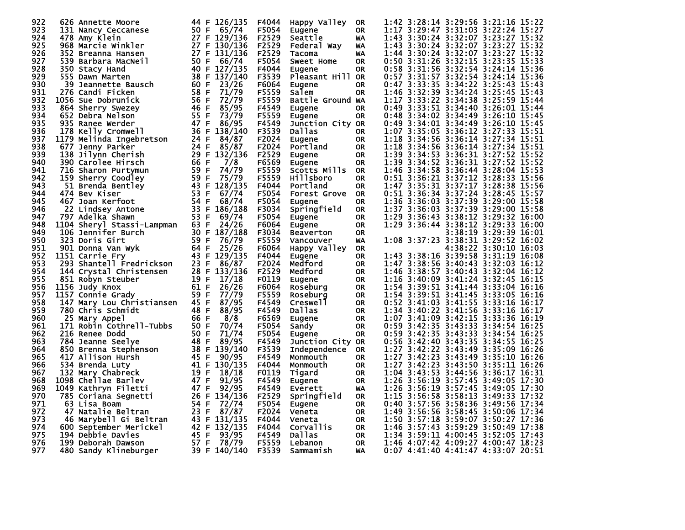| 922 | 626 Annette Moore          | 126/135<br>44 F   | F4044             | Happy Valley        | <b>OR</b>              | 1:42 3:28:14 3:29:56 3:21:16 15:22                                  |  |
|-----|----------------------------|-------------------|-------------------|---------------------|------------------------|---------------------------------------------------------------------|--|
| 923 | 131 Nancy Ceccanese        | 50 F<br>65/74     | F5054             | Eugene              | <b>OR</b>              | 1:17<br>3:29:47 3:31:03 3:22:24 15:27                               |  |
| 924 | 478 Amy Klein              | 27 F 129/136      | F2529             | Seattle             | WA                     | 3:30:24 3:32:07 3:23:27 15:32<br>1:43                               |  |
| 925 | 968 Marcie Winkler         | 27 F<br>130/136   | F2529             | Federal Way         | WA                     | 3:30:24 3:32:07 3:23:27 15:32<br>1:43                               |  |
| 926 | 352 Breanna Hansen         | 27 F<br>131/136   | F2529             | Tacoma              | WA                     | 1:44 3:30:24 3:32:07 3:23:27 15:32                                  |  |
| 927 | 539.<br>Barbara MacNeil    | 50 F<br>66/74     | F5054             | <b>Sweet Home</b>   | 0R                     | 0:50 3:31:26 3:32:15 3:23:35 15:33                                  |  |
| 928 | 350 Stacy Hand             | 40 F 127/135      | F4044             | Eugene              | <b>OR</b>              | 0:58 3:31:56 3:32:54 3:24:14 15:36                                  |  |
| 929 | 555 Dawn Marten            | 38 F<br>137/140   | F3539             | Pleasant Hill OR    |                        | 0:57 3:31:57 3:32:54 3:24:14 15:36                                  |  |
| 930 | 39<br>Jeannette Bausch     | 60 F<br>23/26     | F6064             | Eugene              | 0R                     | 0:47 3:33:35 3:34:22 3:25:43 15:43                                  |  |
| 931 | 276 Candi Ficken           | 58 F<br>71/79     | F5559             | Salem               | <b>OR</b>              | 1:46 3:32:39 3:34:24 3:25:45 15:43                                  |  |
| 932 | 1056 Sue Dobrunick         | 56 F<br>72/79     | F5559             | Battle Ground WA    |                        | 1:17 3:33:22 3:34:38 3:25:59 15:44                                  |  |
| 933 | 864 Sherry Swezey          | 46 F<br>85/95     | F4549             | Eugene              | <b>OR</b>              | 0:49 3:33:51 3:34:40 3:26:01 15:44                                  |  |
| 934 | 652 Debra Nelson           | 55 F<br>73/79     | F5559             | Eugene              | 0R                     | 0:48 3:34:02 3:34:49 3:26:10 15:45                                  |  |
| 935 | 935 Ranee Werder           | 47 F<br>86/95     | F4549             | Junction City OR    |                        | 0:49 3:34:01 3:34:49 3:26:10 15:45                                  |  |
| 936 | 178 Kelly Cromwell         | 36 F<br>138/140   | F3539             | Dallas              | 0R                     | 1:07 3:35:05 3:36:12 3:27:33 15:51                                  |  |
| 937 |                            | 24 F<br>84/87     |                   |                     |                        | 1:18 3:34:56 3:36:14 3:27:34 15:51                                  |  |
| 938 | 1179 Melinda Ingebretson   | 85/87             | F2024             | Eugene              | <b>OR</b><br><b>OR</b> | 1:18<br>3:34:56 3:36:14 3:27:34 15:51                               |  |
| 939 | 677 Jenny Parker           | 24 F<br>29 F      | F2024<br>F2529    | Portland            |                        | 1:39                                                                |  |
|     | 138 Jilynn Cherish         | 132/136           |                   | Eugene              | <b>OR</b>              | 3:34:53 3:36:31 3:27:52 15:52<br>1:39 3:34:52 3:36:31 3:27:52 15:52 |  |
| 940 | 390 Carolee Hirsch         | 7/8<br>66 F       | F6569             | <b>Eugene</b>       | <b>OR</b>              |                                                                     |  |
| 941 | 716 Sharon Purtymun        | 59 F<br>74/79     | F5559             | Scotts Mills OR     |                        | 1:46 3:34:58 3:36:44 3:28:04 15:53                                  |  |
| 942 | 159 Sherry Coodley         | 59 F<br>75/79     | F5559             | Hillsboro           | <b>OR</b>              | 0:51 3:36:21 3:37:12 3:28:33 15:56                                  |  |
| 943 | 51 Brenda Bentley          | 128/135<br>43 F   | F4044             | Portland            | <b>OR</b>              | 1:47 3:35:31 3:37:17 3:28:38 15:56                                  |  |
| 944 | 474 Bev Kiser              | 53 F<br>67/74     | F5054             | <b>Forest Grove</b> | <b>OR</b>              | 0:51 3:36:34 3:37:24 3:28:45 15:57                                  |  |
| 945 | 467 Joan Kerfoot           | 54<br>68/74<br>F  | F5054             | Eugene              | <b>OR</b>              | 1:36 3:36:03 3:37:39 3:29:00 15:58                                  |  |
| 946 | 22 Lindsey Antone          | 33 F<br>186/188   | F3034             | Springfield         | <b>OR</b>              | 1:37 3:36:03 3:37:39 3:29:00 15:58                                  |  |
| 947 | 797 Adelka Shawn           | 53 F<br>69/74     | F5054             | Eugene              | <b>OR</b>              | 1:29 3:36:43 3:38:12 3:29:32 16:00                                  |  |
| 948 | 1104 Sheryl Stassi-Lampman | 24/26<br>63 F     | F6064             | Eugene              | <b>OR</b>              | 1:29 3:36:44 3:38:12 3:29:33 16:00                                  |  |
| 949 | 106 Jennifer Burch         | 30 F<br>187/188   | F3034             | Beaverton           | 0R                     | 3:38:19 3:29:39 16:01                                               |  |
| 950 | 323 Doris Girt             | 59 F<br>76/79     | F5559             | Vancouver           | WA                     | 1:08 3:37:23 3:38:31 3:29:52 16:02                                  |  |
| 951 | 901 Donna Van Wyk          | 64 F<br>25/26     | F6064             | Happy Valley        | <b>OR</b>              | 4:38:22 3:30:10 16:03                                               |  |
| 952 | 1151 Carrie Fry            | 43 F<br>129/135   | F4044             | <b>Eugene</b>       | 0R                     | 1:43 3:38:16 3:39:58 3:31:19 16:08                                  |  |
| 953 | 293 Shantell Fredrickson   | 23 F<br>86/87     | F2024             | Medford             | 0R                     | 1:47 3:38:56 3:40:43 3:32:03 16:12                                  |  |
| 954 | 144 Crystal Christensen    | 28 F<br>133/136   | F2529             | Medford             | <b>OR</b>              | 1:46 3:38:57 3:40:43 3:32:04 16:12                                  |  |
| 955 | 851 Robyn Steuber          | 19 F<br>17/18     | F0119             | Eugene              | <b>OR</b>              | 1:16 3:40:09 3:41:24 3:32:45 16:15                                  |  |
| 956 | 1156 Judy Knox             | 61 F<br>26/26     | F6064             | Roseburg            | <b>OR</b>              | 1:54 3:39:51 3:41:44 3:33:04 16:16                                  |  |
| 957 | 1157 Connie Grady          | 59 F<br>77/79     | F5559             | Roseburg            | <b>OR</b>              | 1:54 3:39:51 3:41:45 3:33:05 16:16                                  |  |
| 958 | 147 Mary Lou Christiansen  | 45 F<br>87/95     | F4549             | Creswell            | <b>OR</b>              | 0:52 3:41:03 3:41:55 3:33:16 16:17                                  |  |
| 959 | 780 Chris Schmidt          | 48 F<br>88/95     | F4549             | Dallas              | <b>OR</b>              | 1:34 3:40:22 3:41:56 3:33:16 16:17                                  |  |
| 960 | 25 Mary Appel              | 66 F<br>8/8       | F6569             | Eugene              | <b>OR</b>              | 1:07 3:41:09 3:42:15 3:33:36 16:19                                  |  |
| 961 | 171 Robin Cothrell-Tubbs   | 50 F<br>70/74     | F5054             | Sandy               | <b>OR</b>              | 0:59 3:42:35 3:43:33 3:34:54 16:25                                  |  |
| 962 | 216 Renee Dodd             | 50 F<br>71/74     | F5054             | Eugene              | <b>OR</b>              | $0:59$ $3:42:35$ $3:43:33$<br>3:34:54 16:25                         |  |
| 963 | 784 Jeanne Seelye          | 48 F<br>89/95     | F4549             | Junction City OR    |                        | $0:56$ 3:42:40 3:43:35<br>3:34:55 16:25                             |  |
| 964 | 850 Brenna Stephenson      | 38 F<br>139/140   | F3539             | Independence        | <b>OR</b>              | 1:27 3:42:22 3:43:49 3:35:09 16:26                                  |  |
| 965 | 417 Allison Hursh          | 45 F<br>90/95     | F4549             | Monmouth            | <b>OR</b>              | 1:27 3:42:23 3:43:49<br>3:35:10 16:26                               |  |
| 966 | 534 Brenda Luty            | 41 F<br>130/135   | F4044             | Monmouth            | <b>OR</b>              | 1:27 3:42:23 3:43:50 3:35:11 16:26                                  |  |
| 967 | 132 Mary Chabreck          | 19<br>18/18<br>-F | F0119             | Tigard              | <b>OR</b>              | 1:04 3:43:53 3:44:56<br>3:36:17 16:31                               |  |
| 968 | 1098 Chellae Barlev        | 47 F<br>91/95     | F4549             | Eugene              | <b>OR</b>              | 1:26 3:56:19 3:57:45 3:49:05 17:30                                  |  |
| 969 | 1049 Kathryn Filetti       | 47 F<br>92/95     | F4549             | <b>Everett</b>      | WA                     | 1:26 3:56:19 3:57:45 3:49:05 17:30                                  |  |
| 970 | 785 Coriana Segnetti       | 26 F<br>134/136   | F <sub>2529</sub> | Springfield         | <b>OR</b>              | 1:15 3:56:58 3:58:13 3:49:33 17:32                                  |  |
| 971 | 63 Lisa Boam               | 54 F<br>72/74     | F5054             | Eugene              | <b>OR</b>              | 0:40 3:57:56 3:58:36 3:49:56 17:34                                  |  |
| 972 | 47 Natalie Beltran         | 23 F<br>87/87     | F2024             | Veneta              | 0R                     | 1:49 3:56:56 3:58:45 3:50:06 17:34                                  |  |
| 973 | 46 Marybell Gi Beltran     | 43 F<br>131/135   | F4044             | Veneta              | <b>OR</b>              | 1:50 3:57:18 3:59:07 3:50:27 17:36                                  |  |
| 974 | 600 September Merickel     | 42 F<br>132/135   | F4044             | Corvallis           | <b>OR</b>              | 1:46 3:57:43 3:59:29<br>3:50:49 17:38                               |  |
| 975 | 194 Debbie Davies          | 45 F<br>93/95     | F4549             | Dallas              | <b>OR</b>              | 1:34 3:59:11 4:00:45 3:52:05 17:43                                  |  |
| 976 | 199 Deborah Dawson         | 57 F<br>78/79     | F5559             | Lebanon             | <b>OR</b>              | 1:46 4:07:42 4:09:27 4:00:47 18:23                                  |  |
| 977 | 480 Sandy Klineburger      | 39 F 140/140      | F3539             | Sammamish           | WA                     | 0:07 4:41:40 4:41:47 4:33:07 20:51                                  |  |
|     |                            |                   |                   |                     |                        |                                                                     |  |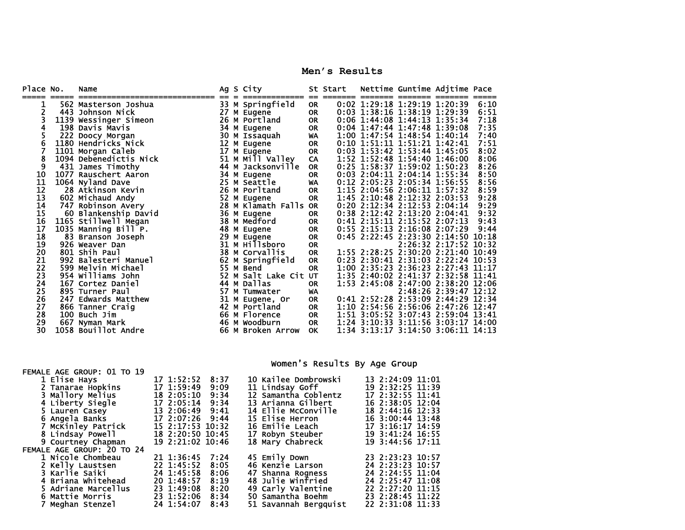**Men's Results** 

| Place No. | Name                   |    | Ag S City         |                  | St Start |                                | Nettime Guntime Adjtime Pace       |      |
|-----------|------------------------|----|-------------------|------------------|----------|--------------------------------|------------------------------------|------|
|           | 562 Masterson Joshua   |    | 33 M Springfield  | $=$<br><b>OR</b> |          | 0:02 1:29:18 1:29:19 1:20:39   |                                    | 6:10 |
|           | 443 Johnson Nick       | 27 | M Eugene          | <b>OR</b>        |          | 0:03 1:38:16 1:38:19 1:29:39   |                                    | 6:51 |
|           | 1139 Wessinger Simeon  |    | 26 M Portland     | <b>OR</b>        |          | 0:06 1:44:08 1:44:13 1:35:34   |                                    | 7:18 |
|           | 198 Davis Mavis        |    | 34 M Eugene       | <b>OR</b>        |          | $0:04$ 1:47:44 1:47:48 1:39:08 |                                    | 7:35 |
|           | 222 Doocy Morgan       | 30 | M Issaquah        | WA               |          | 1:00 1:47:54 1:48:54 1:40:14   |                                    | 7:40 |
| 6         | 1180 Hendricks Nick    | 12 | M Eugene          | <b>OR</b>        |          | 0:10 1:51:11 1:51:21 1:42:41   |                                    | 7:51 |
|           | 1101 Morgan Caleb      | 17 | M Eugene          | <b>OR</b>        |          | 0:03 1:53:42 1:53:44 1:45:05   |                                    | 8:02 |
| 8         | 1094 Debenedictis Nick |    | 51 M Mill Valley  | CA               |          | 1:52 1:52:48 1:54:40 1:46:00   |                                    | 8:06 |
| 9         | 431 James Timothy      | 44 | M Jacksonville    | <b>OR</b>        |          | 0:25 1:58:37 1:59:02 1:50:23   |                                    | 8:26 |
| 10        | 1077 Rauschert Aaron   | 34 | M Eugene          | <b>OR</b>        |          | 0:03 2:04:11 2:04:14 1:55:34   |                                    | 8:50 |
| 11        | 1064 Nyland Dave       |    | 25 M Seattle      | WA               |          | 0:12 2:05:23 2:05:34 1:56:55   |                                    | 8:56 |
| 12        | 28 Atkinson Kevin      |    | 26 M Porltand     | <b>OR</b>        |          | 1:15 2:04:56 2:06:11 1:57:32   |                                    | 8:59 |
| 13        | 602 Michaud Andy       | 52 | M Eugene          | <b>OR</b>        |          | 1:45 2:10:48 2:12:32 2:03:53   |                                    | 9:28 |
| 14        | 747 Robinson Avery     | 28 | M Klamath Falls   | <b>OR</b>        |          | 0:20 2:12:34 2:12:53 2:04:14   |                                    | 9:29 |
| 15        | 60 Blankenship David   |    | 36 M Eugene       | <b>OR</b>        |          | 0:38 2:12:42 2:13:20 2:04:41   |                                    | 9:32 |
| 16        | 1165 Stillwell Megan   | 38 | M Medford         | <b>OR</b>        |          | 0:41 2:15:11 2:15:52 2:07:13   |                                    | 9:43 |
| 17        | 1035 Manning Bill P.   | 48 | M Eugene          | <b>OR</b>        |          | 0:55 2:15:13 2:16:08 2:07:29   |                                    | 9:44 |
| 18        | 83 Branson Joseph      | 29 | M Eugene          | <b>OR</b>        |          |                                | 0:45 2:22:45 2:23:30 2:14:50 10:18 |      |
| 19        | 926 Weaver Dan         | 31 | м ніllsboro       | <b>OR</b>        |          |                                | 2:26:32 2:17:52 10:32              |      |
| 20        | 801 Shih Paul          | 38 | M Corvallis       | <b>OR</b>        |          |                                | 1:55 2:28:25 2:30:20 2:21:40 10:49 |      |
| 21        | 992 Balesteri Manuel   | 62 | M Springfield     | <b>OR</b>        |          |                                | 0:23 2:30:41 2:31:03 2:22:24 10:53 |      |
| 22        | 599 Melvin Michael     | 55 | M Bend            | <b>OR</b>        |          |                                | 1:00 2:35:23 2:36:23 2:27:43 11:17 |      |
| 23        | 954 Williams John      | 52 | M Salt Lake Cit   | <b>UT</b>        |          |                                | 1:35 2:40:02 2:41:37 2:32:58 11:41 |      |
| 24        | 167 Cortez Daniel      | 44 | M Dallas          | <b>OR</b>        |          |                                | 1:53 2:45:08 2:47:00 2:38:20 12:06 |      |
| 25        | 895 Turner Paul        | 57 | M Tumwater        | WA               |          |                                | 2:48:26 2:39:47 12:12              |      |
| 26        | 247 Edwards Matthew    | 31 | M Eugene, Or      | <b>OR</b>        |          |                                | 0:41 2:52:28 2:53:09 2:44:29 12:34 |      |
| 27        | 866 Tanner Craig       | 42 | M Portland        | <b>OR</b>        |          |                                | 1:10 2:54:56 2:56:06 2:47:26 12:47 |      |
| 28        | 100 Buch Jim           |    | 66 M Florence     | <b>OR</b>        |          |                                | 1:51 3:05:52 3:07:43 2:59:04 13:41 |      |
| 29        | 667 Nyman Mark         |    | 46 M Woodburn     | OR               |          |                                | 1:24 3:10:33 3:11:56 3:03:17 14:00 |      |
| 30        | 1058 Bouillot Andre    |    | 66 M Broken Arrow | <b>OK</b>        |          |                                | 1:34 3:13:17 3:14:50 3:06:11 14:13 |      |

Women's Results By Age Group

| 1 Elise Hays               | $17 \; 1:52:52$  | 8:37 | 10 Kailee Dombrowski     | 13 2:24:09 11:01 |
|----------------------------|------------------|------|--------------------------|------------------|
| 2 Tanarae Hopkins          | 17 1:59:49       | 9:09 | 11 Lindsay Goff          | 19 2:32:25 11:39 |
| 3 Mallory Melius           | 18 2:05:10       | 9:34 | 12 Samantha Coblentz     | 17 2:32:55 11:41 |
| 4 Liberty Siegle           | 17 2:05:14       | 9:34 | 13 Arianna Gilbert       | 16 2:38:05 12:04 |
| 5 Lauren Casey             | 13 2:06:49 9:41  |      | 14 Ellie McConville      | 18 2:44:16 12:33 |
| 6 Angela Banks             | 17 2:07:26 9:44  |      | 15 Elise Herron          | 16 3:00:44 13:48 |
| 7 McKinley Patrick         | 15 2:17:53 10:32 |      | <b>16 Emilie Leach</b>   | 17 3:16:17 14:59 |
| 8 Lindsay Powell           | 18 2:20:50 10:45 |      | 17 Robyn Steuber         | 19 3:41:24 16:55 |
| 9 Courtney Chapman         | 19 2:21:02 10:46 |      | 18 Mary Chabreck         | 19 3:44:56 17:11 |
| FEMALE AGE GROUP: 20 TO 24 |                  |      |                          |                  |
| 1 Nicole Chombeau          | 21 1:36:45       | 7:24 | 45 Emily Down            | 23 2:23:23 10:57 |
| 2 Kelly Laustsen           | 22 1:45:52       | 8:05 | 46 Kenzie Larson         | 24 2:23:23 10:57 |
| 3 Karlie Saiki             | 24 1:45:58       | 8:06 | 47 Shanna Rogness        | 24 2:24:55 11:04 |
| 4 Briana Whitehead         | 20 1:48:57       | 8:19 | <b>48 Julie Winfried</b> | 24 2:25:47 11:08 |
| 5 Adriane Marcellus        | 23 1:49:08       | 8:20 | 49 Carly Valentine       | 22 2:27:20 11:15 |
| 6 Mattie Morris            | 23 1:52:06       | 8:34 | 50 Samantha Boehm        | 23 2:28:45 11:22 |
| 7 Meahan Stenzel           | 24 1:54:07       | 8:43 | 51 Savannah Bergguist    | 22 2:31:08 11:33 |
|                            |                  |      |                          |                  |

FEMALE AGE GROUP: 01 TO 19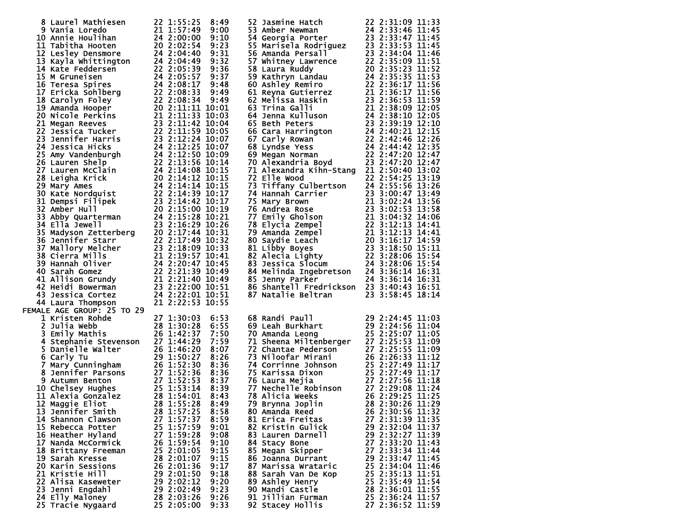| 8 Laurel Mathiesen                                                                                                                                                                                                                                                  | 22 1:55:25       | 8:49         |                                                                                                                                                                                                                                                        |                  |
|---------------------------------------------------------------------------------------------------------------------------------------------------------------------------------------------------------------------------------------------------------------------|------------------|--------------|--------------------------------------------------------------------------------------------------------------------------------------------------------------------------------------------------------------------------------------------------------|------------------|
| 8 Laurel Mathiesen 22 1:55:25 8:49<br>9 Vania Loredo 21 1:57:49 9:00<br>10 Annie Houlihan 24 2:00:00 9:10<br>11 Tabitha Hooten 20 2:02:54 9:23                                                                                                                      |                  |              | 52 Jasmine Hatch 22 2:31:09 11:33<br>53 Amber Newman 24 2:33:46 11:45<br>54 Georgia Porter 23 2:33:46 11:45<br>55 Marisela Rodriguez 23 2:33:53 11:45<br>56 Amanda Persall 23 2:33:53 11:45<br>57 Whitney Lawrence 22 2:35:09 11:51<br>58              |                  |
|                                                                                                                                                                                                                                                                     |                  |              |                                                                                                                                                                                                                                                        |                  |
|                                                                                                                                                                                                                                                                     |                  |              |                                                                                                                                                                                                                                                        |                  |
| 11 Tabitha Hooten<br>12 Lesley Densmore<br>13 Kayla Whittington<br>13 Kayla Whittington<br>24 2:04:40 9:31<br>14 Kate Feddersen<br>22 2:05:39 9:37<br>15 M Gruneisen<br>24 2:05:37 9:37<br>15 Teresa Spires<br>24 2:05:37 9:48<br>17 Ericka Sohlberg                |                  |              |                                                                                                                                                                                                                                                        |                  |
|                                                                                                                                                                                                                                                                     |                  |              |                                                                                                                                                                                                                                                        |                  |
|                                                                                                                                                                                                                                                                     |                  |              |                                                                                                                                                                                                                                                        |                  |
|                                                                                                                                                                                                                                                                     |                  |              |                                                                                                                                                                                                                                                        |                  |
|                                                                                                                                                                                                                                                                     |                  |              |                                                                                                                                                                                                                                                        |                  |
|                                                                                                                                                                                                                                                                     |                  |              |                                                                                                                                                                                                                                                        |                  |
|                                                                                                                                                                                                                                                                     |                  |              |                                                                                                                                                                                                                                                        |                  |
|                                                                                                                                                                                                                                                                     |                  |              |                                                                                                                                                                                                                                                        |                  |
|                                                                                                                                                                                                                                                                     |                  |              |                                                                                                                                                                                                                                                        |                  |
|                                                                                                                                                                                                                                                                     |                  |              |                                                                                                                                                                                                                                                        |                  |
|                                                                                                                                                                                                                                                                     |                  |              |                                                                                                                                                                                                                                                        |                  |
|                                                                                                                                                                                                                                                                     |                  |              |                                                                                                                                                                                                                                                        |                  |
|                                                                                                                                                                                                                                                                     |                  |              |                                                                                                                                                                                                                                                        |                  |
|                                                                                                                                                                                                                                                                     |                  |              |                                                                                                                                                                                                                                                        |                  |
|                                                                                                                                                                                                                                                                     |                  |              |                                                                                                                                                                                                                                                        |                  |
|                                                                                                                                                                                                                                                                     |                  |              |                                                                                                                                                                                                                                                        |                  |
|                                                                                                                                                                                                                                                                     |                  |              |                                                                                                                                                                                                                                                        |                  |
|                                                                                                                                                                                                                                                                     |                  |              |                                                                                                                                                                                                                                                        |                  |
|                                                                                                                                                                                                                                                                     |                  |              | 71 Alexandra Kihn-Stang 21 2:50:40 13:02                                                                                                                                                                                                               |                  |
|                                                                                                                                                                                                                                                                     |                  |              |                                                                                                                                                                                                                                                        |                  |
|                                                                                                                                                                                                                                                                     |                  |              | 72 Elle Wood                                                                                                                                                                                                                                           | 22 2:54:25 13:19 |
|                                                                                                                                                                                                                                                                     |                  |              |                                                                                                                                                                                                                                                        |                  |
|                                                                                                                                                                                                                                                                     |                  |              |                                                                                                                                                                                                                                                        |                  |
|                                                                                                                                                                                                                                                                     |                  |              |                                                                                                                                                                                                                                                        |                  |
|                                                                                                                                                                                                                                                                     |                  |              |                                                                                                                                                                                                                                                        |                  |
|                                                                                                                                                                                                                                                                     |                  |              |                                                                                                                                                                                                                                                        |                  |
|                                                                                                                                                                                                                                                                     |                  |              |                                                                                                                                                                                                                                                        |                  |
|                                                                                                                                                                                                                                                                     |                  |              |                                                                                                                                                                                                                                                        |                  |
|                                                                                                                                                                                                                                                                     |                  |              |                                                                                                                                                                                                                                                        |                  |
|                                                                                                                                                                                                                                                                     |                  |              |                                                                                                                                                                                                                                                        |                  |
|                                                                                                                                                                                                                                                                     |                  |              |                                                                                                                                                                                                                                                        |                  |
|                                                                                                                                                                                                                                                                     |                  |              | 72 Elle Wood<br>73 Tiffany Culbertson<br>73 Tiffany Culbertson<br>74 Hannah Carrier<br>74 Hannah Carrier<br>75 Mary Brown<br>75 Mary Brown<br>75 Mary Brown<br>75 Mary Brown<br>75 Mary Brown<br>75 Emily Gholson<br>76 Elycia Zempel<br>77 Emily Ghol |                  |
|                                                                                                                                                                                                                                                                     |                  |              |                                                                                                                                                                                                                                                        |                  |
|                                                                                                                                                                                                                                                                     |                  |              |                                                                                                                                                                                                                                                        |                  |
|                                                                                                                                                                                                                                                                     |                  |              |                                                                                                                                                                                                                                                        |                  |
|                                                                                                                                                                                                                                                                     |                  |              |                                                                                                                                                                                                                                                        |                  |
|                                                                                                                                                                                                                                                                     |                  |              | 86 Shantell Fredrickson 23 3:40:43 16:51                                                                                                                                                                                                               |                  |
|                                                                                                                                                                                                                                                                     |                  |              |                                                                                                                                                                                                                                                        |                  |
|                                                                                                                                                                                                                                                                     |                  |              | 87 Natalie Beltran                                                                                                                                                                                                                                     | 23 3:58:45 18:14 |
| 23 Jennifer Harris 23 2:12:24 10:07<br>24 Jessica Hicks 24 2:12:25 10:07<br>25 Amy Vandenburgh 24 2:12:25 10:07<br>26 Lauren Melp<br>26 Lauren McClain<br>24 2:14:08 10:15<br>27 Lauren McClain<br>24 2:14:08 10:15<br>28 Leigha Krick 20 2:14<br>44 Laura Thompson | 21 2:22:53 10:55 |              |                                                                                                                                                                                                                                                        |                  |
| FEMALE AGE GROUP: 25 TO 29                                                                                                                                                                                                                                          |                  |              |                                                                                                                                                                                                                                                        |                  |
| 1 Kristen Rohde                                                                                                                                                                                                                                                     | 27 1:30:03       | 6:53         |                                                                                                                                                                                                                                                        |                  |
|                                                                                                                                                                                                                                                                     |                  | 6:55         |                                                                                                                                                                                                                                                        |                  |
|                                                                                                                                                                                                                                                                     |                  | 7:50         |                                                                                                                                                                                                                                                        |                  |
|                                                                                                                                                                                                                                                                     |                  |              |                                                                                                                                                                                                                                                        |                  |
|                                                                                                                                                                                                                                                                     |                  | 7:59         |                                                                                                                                                                                                                                                        |                  |
|                                                                                                                                                                                                                                                                     |                  | 8:07         |                                                                                                                                                                                                                                                        |                  |
|                                                                                                                                                                                                                                                                     |                  | 8:26         |                                                                                                                                                                                                                                                        |                  |
| 5 Danielle Walter<br>5 Danielle Walter<br>6 Carly Tu<br>7 Mary Cunningham<br>8 Jennifer Parsons<br>8 Jennifer Parsons<br>8 Autumn Benton<br>27 1:52:38<br>9 Autumn Benton<br>27 1:52:33<br>10 Chelsey Hughes<br>25 1:53:14<br>11 Alexia Gonzalez<br>28 1            |                  | 8:36         | 68 Randi Paull<br>69 Leah Burkhart<br>70 Amanda Leong<br>71 Sheena Miltenberger<br>25 2:25:07 11:05<br>71 Sheena Miltenberger<br>27 2:25:53 11:09<br>72 Chantae Pederson<br>27 2:25:55 11:09<br>73 Niloofar Mirani<br>26 2:26:33 11:12<br>74 Corrinn   |                  |
|                                                                                                                                                                                                                                                                     |                  | 8:36         |                                                                                                                                                                                                                                                        |                  |
|                                                                                                                                                                                                                                                                     |                  |              |                                                                                                                                                                                                                                                        |                  |
|                                                                                                                                                                                                                                                                     |                  | 8:37<br>8:39 |                                                                                                                                                                                                                                                        |                  |
|                                                                                                                                                                                                                                                                     |                  |              |                                                                                                                                                                                                                                                        |                  |
|                                                                                                                                                                                                                                                                     |                  | 8:43         |                                                                                                                                                                                                                                                        |                  |
| 12 Maggie Eliot 28 1:55:28 8:49 79 Brynna Joplin 28 2:30:26 11:29                                                                                                                                                                                                   |                  |              |                                                                                                                                                                                                                                                        |                  |
| 13 Jennifer Smith                                                                                                                                                                                                                                                   | 28 1:57:25       | 8:58         | 80 Amanda Reed                                                                                                                                                                                                                                         | 26 2:30:56 11:32 |
| 14 Shannon Clawson                                                                                                                                                                                                                                                  | 27 1:57:37       | 8:59         | 81 Erica Freitas                                                                                                                                                                                                                                       | 27 2:31:39 11:35 |
|                                                                                                                                                                                                                                                                     |                  |              |                                                                                                                                                                                                                                                        |                  |
| 15 Rebecca Potter                                                                                                                                                                                                                                                   | 25 1:57:59       | 9:01         | 82 Kristin Gulick                                                                                                                                                                                                                                      | 29 2:32:04 11:37 |
| 16 Heather Hyland                                                                                                                                                                                                                                                   | 27 1:59:28       | 9:08         | 83 Lauren Darnell                                                                                                                                                                                                                                      | 29 2:32:27 11:39 |
| 17 Nanda McCormick                                                                                                                                                                                                                                                  | 26 1:59:54       | 9:10         | 84 Stacy Bone                                                                                                                                                                                                                                          | 27 2:33:20 11:43 |
| 18 Brittany Freeman                                                                                                                                                                                                                                                 | 25 2:01:05       | 9:15         | 85 Megan Skipper                                                                                                                                                                                                                                       | 27 2:33:34 11:44 |
| 19 Sarah Kresse                                                                                                                                                                                                                                                     | 28 2:01:07       | 9:15         | 86 Joanna Durrant                                                                                                                                                                                                                                      | 29 2:33:47 11:45 |
| 20 Karin Sessions                                                                                                                                                                                                                                                   | 26 2:01:36       | 9:17         | 87 Marissa Wrataric                                                                                                                                                                                                                                    | 25 2:34:04 11:46 |
|                                                                                                                                                                                                                                                                     |                  |              |                                                                                                                                                                                                                                                        |                  |
| 21 Kristie Hill                                                                                                                                                                                                                                                     | 29 2:01:50       | 9:18         | 88 Sarah Van De Kop                                                                                                                                                                                                                                    | 25 2:35:13 11:51 |
| 22 Alisa Kaseweter                                                                                                                                                                                                                                                  | 29 2:02:12       | 9:20         | 89 Ashley Henry                                                                                                                                                                                                                                        | 25 2:35:49 11:54 |
| 23 Jenni Engdahl                                                                                                                                                                                                                                                    | 29 2:02:49       | 9:23         | 90 Mandi Castle                                                                                                                                                                                                                                        | 28 2:36:01 11:55 |
| 24 Elly Maloney                                                                                                                                                                                                                                                     | 28 2:03:26       | 9:26         | 91 Jillian Furman                                                                                                                                                                                                                                      | 25 2:36:24 11:57 |
| 25 Tracie Nygaard                                                                                                                                                                                                                                                   | 25 2:05:00       | 9:33         | 92 Stacey Hollis                                                                                                                                                                                                                                       | 27 2:36:52 11:59 |
|                                                                                                                                                                                                                                                                     |                  |              |                                                                                                                                                                                                                                                        |                  |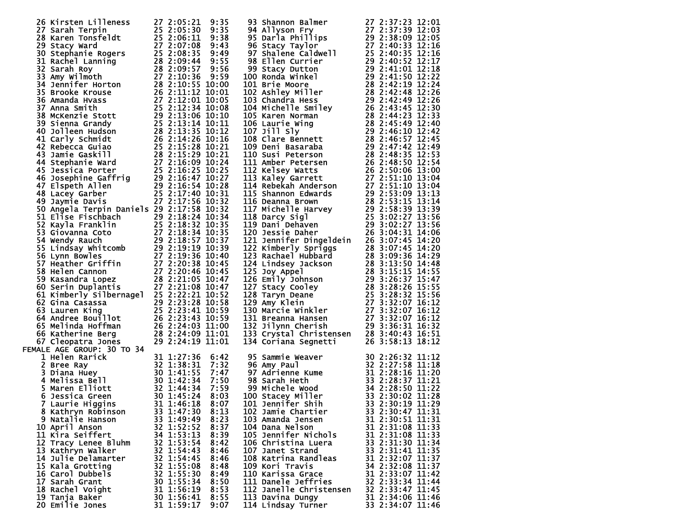| 26 Kirsten Lilleness<br>27 2:05:21 9:35<br>28 Karen Tonsfeldt<br>25 2:05:30 9:35<br>28 Karen Tonsfeldt<br>25 2:06:30 9:35<br>29 Stacy ward<br>27 2:07:08 9:44<br>30 Stephanie Rogers<br>27 2:07:08 9:44<br>31 Rachel Lanning<br>28 2:09:44 9:55<br>32 |            |              |                                                                                                                                                                                                                                                     |                  |
|-------------------------------------------------------------------------------------------------------------------------------------------------------------------------------------------------------------------------------------------------------|------------|--------------|-----------------------------------------------------------------------------------------------------------------------------------------------------------------------------------------------------------------------------------------------------|------------------|
|                                                                                                                                                                                                                                                       |            |              |                                                                                                                                                                                                                                                     |                  |
|                                                                                                                                                                                                                                                       |            | 9:38<br>9:43 |                                                                                                                                                                                                                                                     |                  |
|                                                                                                                                                                                                                                                       |            |              |                                                                                                                                                                                                                                                     |                  |
|                                                                                                                                                                                                                                                       |            |              |                                                                                                                                                                                                                                                     |                  |
|                                                                                                                                                                                                                                                       |            | 9:49<br>9:55 |                                                                                                                                                                                                                                                     |                  |
|                                                                                                                                                                                                                                                       |            |              |                                                                                                                                                                                                                                                     |                  |
|                                                                                                                                                                                                                                                       |            |              |                                                                                                                                                                                                                                                     |                  |
|                                                                                                                                                                                                                                                       |            |              |                                                                                                                                                                                                                                                     |                  |
|                                                                                                                                                                                                                                                       |            |              |                                                                                                                                                                                                                                                     |                  |
|                                                                                                                                                                                                                                                       |            |              |                                                                                                                                                                                                                                                     |                  |
|                                                                                                                                                                                                                                                       |            |              |                                                                                                                                                                                                                                                     |                  |
|                                                                                                                                                                                                                                                       |            |              |                                                                                                                                                                                                                                                     |                  |
|                                                                                                                                                                                                                                                       |            |              |                                                                                                                                                                                                                                                     |                  |
|                                                                                                                                                                                                                                                       |            |              |                                                                                                                                                                                                                                                     |                  |
|                                                                                                                                                                                                                                                       |            |              |                                                                                                                                                                                                                                                     |                  |
|                                                                                                                                                                                                                                                       |            |              |                                                                                                                                                                                                                                                     |                  |
|                                                                                                                                                                                                                                                       |            |              |                                                                                                                                                                                                                                                     |                  |
|                                                                                                                                                                                                                                                       |            |              |                                                                                                                                                                                                                                                     |                  |
|                                                                                                                                                                                                                                                       |            |              |                                                                                                                                                                                                                                                     |                  |
|                                                                                                                                                                                                                                                       |            |              |                                                                                                                                                                                                                                                     |                  |
|                                                                                                                                                                                                                                                       |            |              |                                                                                                                                                                                                                                                     |                  |
|                                                                                                                                                                                                                                                       |            |              |                                                                                                                                                                                                                                                     |                  |
|                                                                                                                                                                                                                                                       |            |              |                                                                                                                                                                                                                                                     |                  |
|                                                                                                                                                                                                                                                       |            |              |                                                                                                                                                                                                                                                     |                  |
|                                                                                                                                                                                                                                                       |            |              |                                                                                                                                                                                                                                                     |                  |
|                                                                                                                                                                                                                                                       |            |              |                                                                                                                                                                                                                                                     |                  |
|                                                                                                                                                                                                                                                       |            |              |                                                                                                                                                                                                                                                     |                  |
|                                                                                                                                                                                                                                                       |            |              |                                                                                                                                                                                                                                                     |                  |
|                                                                                                                                                                                                                                                       |            |              |                                                                                                                                                                                                                                                     |                  |
| 50 Angela Terpin Daniels 29 2:17:58 10:32                                                                                                                                                                                                             |            |              |                                                                                                                                                                                                                                                     |                  |
|                                                                                                                                                                                                                                                       |            |              |                                                                                                                                                                                                                                                     |                  |
|                                                                                                                                                                                                                                                       |            |              |                                                                                                                                                                                                                                                     |                  |
|                                                                                                                                                                                                                                                       |            |              |                                                                                                                                                                                                                                                     |                  |
|                                                                                                                                                                                                                                                       |            |              |                                                                                                                                                                                                                                                     |                  |
|                                                                                                                                                                                                                                                       |            |              |                                                                                                                                                                                                                                                     |                  |
|                                                                                                                                                                                                                                                       |            |              |                                                                                                                                                                                                                                                     |                  |
|                                                                                                                                                                                                                                                       |            |              |                                                                                                                                                                                                                                                     |                  |
|                                                                                                                                                                                                                                                       |            |              |                                                                                                                                                                                                                                                     |                  |
|                                                                                                                                                                                                                                                       |            |              |                                                                                                                                                                                                                                                     |                  |
|                                                                                                                                                                                                                                                       |            |              |                                                                                                                                                                                                                                                     |                  |
|                                                                                                                                                                                                                                                       |            |              |                                                                                                                                                                                                                                                     |                  |
|                                                                                                                                                                                                                                                       |            |              |                                                                                                                                                                                                                                                     |                  |
|                                                                                                                                                                                                                                                       |            |              |                                                                                                                                                                                                                                                     |                  |
|                                                                                                                                                                                                                                                       |            |              |                                                                                                                                                                                                                                                     |                  |
|                                                                                                                                                                                                                                                       |            |              |                                                                                                                                                                                                                                                     |                  |
|                                                                                                                                                                                                                                                       |            |              |                                                                                                                                                                                                                                                     |                  |
|                                                                                                                                                                                                                                                       |            |              |                                                                                                                                                                                                                                                     |                  |
|                                                                                                                                                                                                                                                       |            |              |                                                                                                                                                                                                                                                     |                  |
|                                                                                                                                                                                                                                                       |            |              |                                                                                                                                                                                                                                                     |                  |
|                                                                                                                                                                                                                                                       |            |              |                                                                                                                                                                                                                                                     |                  |
| 50 Angela Terpin Daniels 29 2:17:58 10:32<br>51 Elise Fischbach<br>52 Kayla Franklin 25 2:18:24 10:34<br>52 Kayla Franklin 25 2:18:32 10:35<br>53 Giovanna Coto 27 2:18:34 10:35<br>54 Wendy Rauch<br>52 Lindsay Whitcomb 29 2:18:19 10:37            |            |              |                                                                                                                                                                                                                                                     |                  |
|                                                                                                                                                                                                                                                       |            |              |                                                                                                                                                                                                                                                     |                  |
| FEMALE AGE GROUP: 30 TO 34                                                                                                                                                                                                                            |            |              |                                                                                                                                                                                                                                                     |                  |
|                                                                                                                                                                                                                                                       |            |              |                                                                                                                                                                                                                                                     |                  |
|                                                                                                                                                                                                                                                       |            |              | 93 Shannon Balmer<br>27 2:37:23 12:01<br>95 Darla Phillips<br>27 2:37:23 12:01<br>96 Stach Phillips<br>27 2:38:09 12:05<br>96 Stach Phillips<br>22 2:38:09 12:05<br>96 Stach Phillips<br>22 2:440:33 12:16<br>97 Shalene Caldwell<br>22 2:440:33 12 |                  |
|                                                                                                                                                                                                                                                       |            |              |                                                                                                                                                                                                                                                     |                  |
|                                                                                                                                                                                                                                                       |            |              |                                                                                                                                                                                                                                                     |                  |
|                                                                                                                                                                                                                                                       |            |              |                                                                                                                                                                                                                                                     |                  |
|                                                                                                                                                                                                                                                       |            |              |                                                                                                                                                                                                                                                     |                  |
|                                                                                                                                                                                                                                                       |            |              |                                                                                                                                                                                                                                                     |                  |
|                                                                                                                                                                                                                                                       |            |              |                                                                                                                                                                                                                                                     |                  |
| MALE AGE GROUP: 30 10 34<br>1 Helen Rarick 32 1:38:31 7:32 96 Amy Paul<br>3 Diana Huey 30 1:41:55 7:47 97 Adrienne Kume<br>4 Melissa Bell 30 1:42:34 7:50 98 Sarah Heth 31 2:28:16 11:20<br>5 Maren Elliott 32 1:44:34 7:59 99 Michele                |            |              |                                                                                                                                                                                                                                                     |                  |
| 8 Kathryn Robinson                                                                                                                                                                                                                                    | 33 1:47:30 | 8:13         | 102 Jamie Chartier                                                                                                                                                                                                                                  | 33 2:30:47 11:31 |
| 9 Natalie Hanson                                                                                                                                                                                                                                      | 33 1:49:49 | 8:23         | 103 Amanda Jensen                                                                                                                                                                                                                                   | 31 2:30:51 11:31 |
|                                                                                                                                                                                                                                                       |            |              |                                                                                                                                                                                                                                                     |                  |
| 10 April Anson                                                                                                                                                                                                                                        | 32 1:52:52 | 8:37         | 104 Dana Nelson                                                                                                                                                                                                                                     | 31 2:31:08 11:33 |
| 11 Kira Seiffert                                                                                                                                                                                                                                      | 34 1:53:13 | 8:39         | 105 Jennifer Nichols                                                                                                                                                                                                                                | 31 2:31:08 11:33 |
| 12 Tracy Lenee Bluhm                                                                                                                                                                                                                                  | 32 1:53:54 | 8:42         | 106 Christina Luera                                                                                                                                                                                                                                 | 33 2:31:30 11:34 |
| 13 Kathryn Walker                                                                                                                                                                                                                                     | 32 1:54:43 | 8:46         | 107 Janet Strand                                                                                                                                                                                                                                    | 33 2:31:41 11:35 |
|                                                                                                                                                                                                                                                       |            |              |                                                                                                                                                                                                                                                     |                  |
| 14 Julie Delamarter                                                                                                                                                                                                                                   | 32 1:54:45 | 8:46         | 108 Katrina Randleas                                                                                                                                                                                                                                | 31 2:32:07 11:37 |
| 15 Kala Grotting                                                                                                                                                                                                                                      | 32 1:55:08 | 8:48         | 109 Kori Travis                                                                                                                                                                                                                                     | 34 2:32:08 11:37 |
| 16 Carol Dubbels                                                                                                                                                                                                                                      | 32 1:55:30 | 8:49         | 110 Karissa Grace                                                                                                                                                                                                                                   | 31 2:33:07 11:42 |
| 17 Sarah Grant                                                                                                                                                                                                                                        | 30 1:55:34 | 8:50         | 111 Danele Jeffries                                                                                                                                                                                                                                 | 32 2:33:34 11:44 |
|                                                                                                                                                                                                                                                       |            |              |                                                                                                                                                                                                                                                     |                  |
| 18 Rachel Voight                                                                                                                                                                                                                                      | 31 1:56:19 | 8:53         | 112 Janelle Christensen                                                                                                                                                                                                                             | 32 2:33:47 11:45 |
| 19 Tanja Baker                                                                                                                                                                                                                                        | 30 1:56:41 | 8:55         | 113 Davina Dungy                                                                                                                                                                                                                                    | 31 2:34:06 11:46 |
| 20 Emilie Jones                                                                                                                                                                                                                                       | 31 1:59:17 | 9:07         | 114 Lindsay Turner                                                                                                                                                                                                                                  | 33 2:34:07 11:46 |
|                                                                                                                                                                                                                                                       |            |              |                                                                                                                                                                                                                                                     |                  |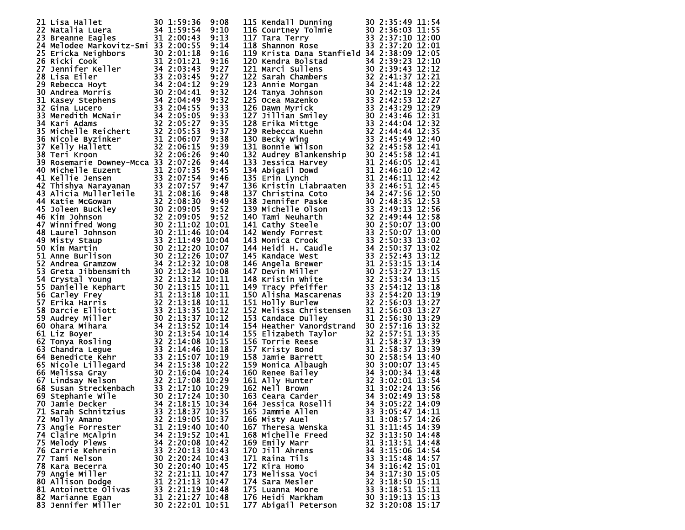| 21 Lisa Hallet 30 1:59:36 9:08<br>22 Natalia Luera 34 1:59:54 9:10<br>23 Breanne Eagles 31 2:00:43 9:13<br>24 Melodee Markovitz-Smi 33 2:00:55 9:14                                                                                               |                  |  | 115 Kendall Dunning<br>116 Courtney Tolmie<br>117 Tara Terry<br>117 Tara Terry<br>118 Shannon Rose<br>118 Shannon Rose<br>118 Shannon Rose<br>118 Shannon Rose                                                                                      |                  |
|---------------------------------------------------------------------------------------------------------------------------------------------------------------------------------------------------------------------------------------------------|------------------|--|-----------------------------------------------------------------------------------------------------------------------------------------------------------------------------------------------------------------------------------------------------|------------------|
|                                                                                                                                                                                                                                                   |                  |  |                                                                                                                                                                                                                                                     |                  |
|                                                                                                                                                                                                                                                   |                  |  |                                                                                                                                                                                                                                                     |                  |
|                                                                                                                                                                                                                                                   |                  |  | 119 Krista Dana Stanfield 34 2:38:09 12:05                                                                                                                                                                                                          |                  |
|                                                                                                                                                                                                                                                   |                  |  |                                                                                                                                                                                                                                                     |                  |
|                                                                                                                                                                                                                                                   |                  |  |                                                                                                                                                                                                                                                     |                  |
|                                                                                                                                                                                                                                                   |                  |  |                                                                                                                                                                                                                                                     |                  |
|                                                                                                                                                                                                                                                   |                  |  |                                                                                                                                                                                                                                                     |                  |
|                                                                                                                                                                                                                                                   |                  |  |                                                                                                                                                                                                                                                     |                  |
|                                                                                                                                                                                                                                                   |                  |  |                                                                                                                                                                                                                                                     |                  |
|                                                                                                                                                                                                                                                   |                  |  |                                                                                                                                                                                                                                                     |                  |
|                                                                                                                                                                                                                                                   |                  |  |                                                                                                                                                                                                                                                     |                  |
|                                                                                                                                                                                                                                                   |                  |  |                                                                                                                                                                                                                                                     |                  |
|                                                                                                                                                                                                                                                   |                  |  |                                                                                                                                                                                                                                                     |                  |
|                                                                                                                                                                                                                                                   |                  |  |                                                                                                                                                                                                                                                     |                  |
|                                                                                                                                                                                                                                                   |                  |  |                                                                                                                                                                                                                                                     |                  |
|                                                                                                                                                                                                                                                   |                  |  |                                                                                                                                                                                                                                                     |                  |
|                                                                                                                                                                                                                                                   |                  |  |                                                                                                                                                                                                                                                     |                  |
|                                                                                                                                                                                                                                                   |                  |  |                                                                                                                                                                                                                                                     |                  |
|                                                                                                                                                                                                                                                   |                  |  |                                                                                                                                                                                                                                                     |                  |
|                                                                                                                                                                                                                                                   |                  |  |                                                                                                                                                                                                                                                     |                  |
|                                                                                                                                                                                                                                                   |                  |  |                                                                                                                                                                                                                                                     |                  |
|                                                                                                                                                                                                                                                   |                  |  |                                                                                                                                                                                                                                                     |                  |
|                                                                                                                                                                                                                                                   |                  |  |                                                                                                                                                                                                                                                     |                  |
|                                                                                                                                                                                                                                                   |                  |  |                                                                                                                                                                                                                                                     |                  |
|                                                                                                                                                                                                                                                   |                  |  |                                                                                                                                                                                                                                                     |                  |
|                                                                                                                                                                                                                                                   |                  |  |                                                                                                                                                                                                                                                     |                  |
|                                                                                                                                                                                                                                                   |                  |  |                                                                                                                                                                                                                                                     |                  |
|                                                                                                                                                                                                                                                   |                  |  |                                                                                                                                                                                                                                                     |                  |
|                                                                                                                                                                                                                                                   |                  |  |                                                                                                                                                                                                                                                     |                  |
|                                                                                                                                                                                                                                                   |                  |  |                                                                                                                                                                                                                                                     |                  |
|                                                                                                                                                                                                                                                   |                  |  |                                                                                                                                                                                                                                                     |                  |
|                                                                                                                                                                                                                                                   |                  |  |                                                                                                                                                                                                                                                     |                  |
|                                                                                                                                                                                                                                                   |                  |  |                                                                                                                                                                                                                                                     |                  |
|                                                                                                                                                                                                                                                   |                  |  |                                                                                                                                                                                                                                                     |                  |
|                                                                                                                                                                                                                                                   |                  |  |                                                                                                                                                                                                                                                     |                  |
|                                                                                                                                                                                                                                                   |                  |  |                                                                                                                                                                                                                                                     |                  |
|                                                                                                                                                                                                                                                   |                  |  |                                                                                                                                                                                                                                                     |                  |
|                                                                                                                                                                                                                                                   |                  |  |                                                                                                                                                                                                                                                     |                  |
|                                                                                                                                                                                                                                                   |                  |  |                                                                                                                                                                                                                                                     |                  |
|                                                                                                                                                                                                                                                   |                  |  |                                                                                                                                                                                                                                                     |                  |
|                                                                                                                                                                                                                                                   |                  |  |                                                                                                                                                                                                                                                     |                  |
|                                                                                                                                                                                                                                                   |                  |  |                                                                                                                                                                                                                                                     |                  |
|                                                                                                                                                                                                                                                   |                  |  |                                                                                                                                                                                                                                                     |                  |
|                                                                                                                                                                                                                                                   |                  |  |                                                                                                                                                                                                                                                     |                  |
|                                                                                                                                                                                                                                                   |                  |  |                                                                                                                                                                                                                                                     |                  |
|                                                                                                                                                                                                                                                   |                  |  |                                                                                                                                                                                                                                                     |                  |
|                                                                                                                                                                                                                                                   |                  |  |                                                                                                                                                                                                                                                     |                  |
|                                                                                                                                                                                                                                                   |                  |  |                                                                                                                                                                                                                                                     |                  |
|                                                                                                                                                                                                                                                   |                  |  |                                                                                                                                                                                                                                                     |                  |
|                                                                                                                                                                                                                                                   |                  |  |                                                                                                                                                                                                                                                     |                  |
|                                                                                                                                                                                                                                                   |                  |  |                                                                                                                                                                                                                                                     |                  |
|                                                                                                                                                                                                                                                   |                  |  |                                                                                                                                                                                                                                                     |                  |
|                                                                                                                                                                                                                                                   |                  |  |                                                                                                                                                                                                                                                     |                  |
|                                                                                                                                                                                                                                                   |                  |  |                                                                                                                                                                                                                                                     |                  |
|                                                                                                                                                                                                                                                   |                  |  |                                                                                                                                                                                                                                                     |                  |
|                                                                                                                                                                                                                                                   |                  |  |                                                                                                                                                                                                                                                     |                  |
| 22 Natalia Luera<br>23 Breanne Eagles<br>13 21:00:43 91:13<br>24 Melode Markovitz-5mi 33 2:00:53 9:14<br>25 Erricka Neighbors<br>25 Erricka Neighbors<br>26 Ricki Cook<br>27 Jennifer Keller<br>34 2:03:43 9:27<br>29 Lisa Eiler<br>27 Jennifer K |                  |  | 117 Tara Terry<br>1118 Shannon Rose<br>1118 Shannon Rose<br>1118 Shannon Rose<br>1120 Kendra Bolstad<br>120 Kendra Bolstad<br>120 Kendra Bolstad<br>121 Marci Sullin Smannon<br>122 Sarah Chambers<br>122 Sarah Chambers<br>122 Sarah Chambers<br>1 |                  |
|                                                                                                                                                                                                                                                   |                  |  |                                                                                                                                                                                                                                                     |                  |
|                                                                                                                                                                                                                                                   |                  |  |                                                                                                                                                                                                                                                     |                  |
|                                                                                                                                                                                                                                                   |                  |  |                                                                                                                                                                                                                                                     |                  |
|                                                                                                                                                                                                                                                   |                  |  |                                                                                                                                                                                                                                                     |                  |
|                                                                                                                                                                                                                                                   |                  |  |                                                                                                                                                                                                                                                     |                  |
|                                                                                                                                                                                                                                                   |                  |  |                                                                                                                                                                                                                                                     |                  |
|                                                                                                                                                                                                                                                   |                  |  |                                                                                                                                                                                                                                                     |                  |
|                                                                                                                                                                                                                                                   |                  |  |                                                                                                                                                                                                                                                     |                  |
|                                                                                                                                                                                                                                                   |                  |  |                                                                                                                                                                                                                                                     |                  |
|                                                                                                                                                                                                                                                   |                  |  |                                                                                                                                                                                                                                                     |                  |
| 71 Sarah Schnitzius                                                                                                                                                                                                                               | 33 2:18:37 10:35 |  | 165 Jammie Allen                                                                                                                                                                                                                                    | 33 3:05:47 14:11 |
| 72 Molly Amano                                                                                                                                                                                                                                    | 32 2:19:05 10:37 |  | 166 Misty Auel                                                                                                                                                                                                                                      | 31 3:08:57 14:26 |
|                                                                                                                                                                                                                                                   |                  |  |                                                                                                                                                                                                                                                     |                  |
| 73 Angie Forrester                                                                                                                                                                                                                                | 31 2:19:40 10:40 |  | 167 Theresa Wenska                                                                                                                                                                                                                                  | 31 3:11:45 14:39 |
| 74 Claire McAlpin                                                                                                                                                                                                                                 | 34 2:19:52 10:41 |  | 168 Michelle Freed                                                                                                                                                                                                                                  | 32 3:13:50 14:48 |
|                                                                                                                                                                                                                                                   | 34 2:20:08 10:42 |  |                                                                                                                                                                                                                                                     | 31 3:13:51 14:48 |
| 75 Melody Plews                                                                                                                                                                                                                                   |                  |  | 169 Emily Marr                                                                                                                                                                                                                                      |                  |
| 76 Carrie Kehrein                                                                                                                                                                                                                                 | 33 2:20:13 10:43 |  | 170 Jill Ahrens                                                                                                                                                                                                                                     | 34 3:15:06 14:54 |
| 77 Tami Nelson                                                                                                                                                                                                                                    | 30 2:20:24 10:43 |  | 171 Raina Tils                                                                                                                                                                                                                                      | 33 3:15:48 14:57 |
|                                                                                                                                                                                                                                                   | 30 2:20:40 10:45 |  |                                                                                                                                                                                                                                                     |                  |
| 78 Kara Becerra                                                                                                                                                                                                                                   |                  |  | 172 Kira Homo                                                                                                                                                                                                                                       | 34 3:16:42 15:01 |
| 79 Angie Miller                                                                                                                                                                                                                                   | 32 2:21:11 10:47 |  | 173 Melissa Voci                                                                                                                                                                                                                                    | 34 3:17:30 15:05 |
| 80 Allison Dodge                                                                                                                                                                                                                                  | 31 2:21:13 10:47 |  | 174 Sara Mesler                                                                                                                                                                                                                                     | 32 3:18:50 15:11 |
|                                                                                                                                                                                                                                                   |                  |  |                                                                                                                                                                                                                                                     |                  |
| 81 Antoinette Olivas                                                                                                                                                                                                                              | 33 2:21:19 10:48 |  | 175 Luanna Moore                                                                                                                                                                                                                                    | 33 3:18:51 15:11 |
| 82 Marianne Egan                                                                                                                                                                                                                                  | 31 2:21:27 10:48 |  | 176 Heidi Markham                                                                                                                                                                                                                                   | 30 3:19:13 15:13 |
|                                                                                                                                                                                                                                                   |                  |  |                                                                                                                                                                                                                                                     |                  |
| 83 Jennifer Miller                                                                                                                                                                                                                                | 30 2:22:01 10:51 |  | 177 Abigail Peterson                                                                                                                                                                                                                                | 32 3:20:08 15:17 |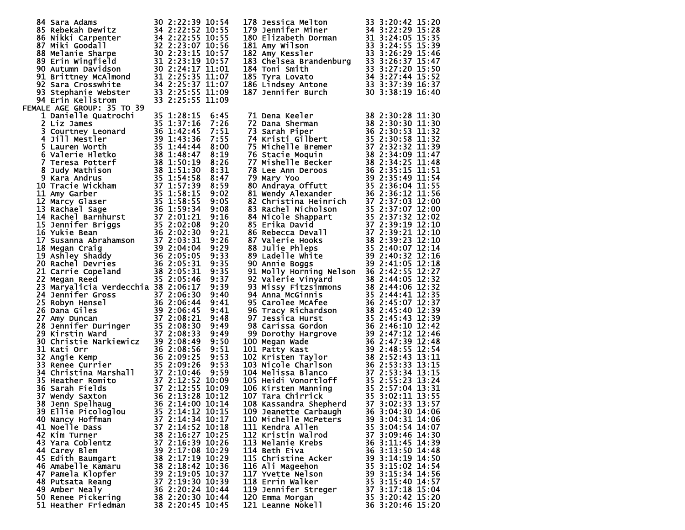| 84 Sara Adams<br>85 Rebekah Dewitz<br>85 Rebekah Dewitz<br>34 2:22:52 10:55<br>86 Nikki Carpenter<br>34 2:22:52 10:55<br>87 Miki Goodall<br>32 2:23:07 10:56<br>88 Melanie Sharpe<br>30 2:23:15 10:57<br>89 Erin Wingfield<br>31 2:23:19 10:57<br>90 A     |                                                          |      | 178 Jessica Melton<br>179 Jennifer Miner<br>180 Elizabeth Dorman<br>181 Amy Wilson<br>182 Amy Kessler<br>183 Chelsea Brandenburg<br>183 Chelsea Brandenburg<br>183 Chelsea Brandenburg<br>183 Chelsea Brandenburg<br>183 3:26:29 15:46<br>183 Chel     |                  |  |
|------------------------------------------------------------------------------------------------------------------------------------------------------------------------------------------------------------------------------------------------------------|----------------------------------------------------------|------|--------------------------------------------------------------------------------------------------------------------------------------------------------------------------------------------------------------------------------------------------------|------------------|--|
|                                                                                                                                                                                                                                                            |                                                          |      |                                                                                                                                                                                                                                                        |                  |  |
|                                                                                                                                                                                                                                                            |                                                          |      |                                                                                                                                                                                                                                                        |                  |  |
|                                                                                                                                                                                                                                                            |                                                          |      |                                                                                                                                                                                                                                                        |                  |  |
|                                                                                                                                                                                                                                                            |                                                          |      |                                                                                                                                                                                                                                                        |                  |  |
|                                                                                                                                                                                                                                                            |                                                          |      |                                                                                                                                                                                                                                                        |                  |  |
|                                                                                                                                                                                                                                                            | 30 2:24:17 11:01<br>31 2:25:35 11:01<br>34 2:25:35 11:07 |      |                                                                                                                                                                                                                                                        |                  |  |
| 91 Brittney McAlmond                                                                                                                                                                                                                                       |                                                          |      | 104 1001 Smith<br>185 Tyra Lovato<br>186 Lindsey Antone<br>186 Lindsey Antone<br>187 Jennifer Burch<br>187 Jennifer Burch<br>187 Jennifer Burch<br>187 30 3:38:19<br>16:40                                                                             |                  |  |
|                                                                                                                                                                                                                                                            |                                                          |      |                                                                                                                                                                                                                                                        |                  |  |
| 92 Sara Crosswhite                                                                                                                                                                                                                                         | 34 2:25:37 11:07                                         |      |                                                                                                                                                                                                                                                        |                  |  |
| 93 Stephanie Webster                                                                                                                                                                                                                                       | 33 2:25:55 11:09                                         |      |                                                                                                                                                                                                                                                        |                  |  |
| 94 Erin Kellstrom                                                                                                                                                                                                                                          | 33 2:25:55 11:09                                         |      |                                                                                                                                                                                                                                                        |                  |  |
| FEMALE AGE GROUP: 35 TO 39                                                                                                                                                                                                                                 |                                                          |      |                                                                                                                                                                                                                                                        |                  |  |
| 1 Danielle Quatrochi                                                                                                                                                                                                                                       | 35 1:28:15                                               | 6:45 | 71 Dena Keeler                                                                                                                                                                                                                                         | 38 2:30:28 11:30 |  |
| 2 Liz James                                                                                                                                                                                                                                                | 35 1:37:16                                               | 7:26 |                                                                                                                                                                                                                                                        |                  |  |
| 3 Courtney Leonard                                                                                                                                                                                                                                         |                                                          | 7:51 |                                                                                                                                                                                                                                                        |                  |  |
|                                                                                                                                                                                                                                                            |                                                          | 7:55 |                                                                                                                                                                                                                                                        |                  |  |
| 3 Courtney Leonaru<br>4 Jill Mestler<br>5 Lauren Worth<br>6 Valerie Hletko<br>7 Teresa Potterf<br>8 Judy Mathison<br>8 Judy Mathison<br>9 Kara Andrus<br>138 1:51:30<br>9 Kara Andrus<br>135 1:44:44<br>135 1:48:47<br>135 1:50:19<br>157 1:57:30          | 36 1:42:45<br>39 1:43:36<br>35 1:44:44                   | 8:00 |                                                                                                                                                                                                                                                        |                  |  |
|                                                                                                                                                                                                                                                            |                                                          | 8:19 |                                                                                                                                                                                                                                                        |                  |  |
|                                                                                                                                                                                                                                                            |                                                          | 8:26 |                                                                                                                                                                                                                                                        |                  |  |
|                                                                                                                                                                                                                                                            |                                                          | 8:31 |                                                                                                                                                                                                                                                        |                  |  |
|                                                                                                                                                                                                                                                            |                                                          | 8:47 |                                                                                                                                                                                                                                                        |                  |  |
|                                                                                                                                                                                                                                                            |                                                          | 8:59 |                                                                                                                                                                                                                                                        |                  |  |
|                                                                                                                                                                                                                                                            |                                                          | 9:02 |                                                                                                                                                                                                                                                        |                  |  |
|                                                                                                                                                                                                                                                            |                                                          | 9:05 |                                                                                                                                                                                                                                                        |                  |  |
|                                                                                                                                                                                                                                                            |                                                          | 9:08 |                                                                                                                                                                                                                                                        |                  |  |
|                                                                                                                                                                                                                                                            |                                                          | 9:16 |                                                                                                                                                                                                                                                        |                  |  |
|                                                                                                                                                                                                                                                            |                                                          | 9:20 |                                                                                                                                                                                                                                                        |                  |  |
|                                                                                                                                                                                                                                                            |                                                          | 9:21 |                                                                                                                                                                                                                                                        |                  |  |
| 9 Kara Andrus<br>10 Tracie Wickham<br>11 Amy Garber<br>11 Amy Garber<br>12 Marcy Glaser<br>13 Rachael Sage<br>14 Rachael Sage<br>14 Rachael Sage<br>14 Sennifer Briggs<br>15 31:58:55<br>15 1:58:15<br>15 1:58:15<br>15 1:58:15<br>15 1:58:15<br>15 1:58:1 |                                                          |      | 71 Dena Keeler<br>72 Dana Sherman<br>73 Sarah Piper<br>73 Sarah Piper<br>74 Kristi Gilbert<br>75 Sarah Piper<br>75 Michelle Bremer<br>37 2:30:58 11:32<br>75 Michelle Bremer<br>37 2:32:32 11:32<br>75 Michelle Bremer<br>37 2:32:32 11:39<br>76 Staci |                  |  |
|                                                                                                                                                                                                                                                            |                                                          | 9:26 |                                                                                                                                                                                                                                                        |                  |  |
|                                                                                                                                                                                                                                                            |                                                          | 9:29 |                                                                                                                                                                                                                                                        |                  |  |
|                                                                                                                                                                                                                                                            |                                                          | 9:33 |                                                                                                                                                                                                                                                        |                  |  |
|                                                                                                                                                                                                                                                            |                                                          | 9:35 | 90 Annie Boggs                                                                                                                                                                                                                                         | 39 2:41:05 12:18 |  |
|                                                                                                                                                                                                                                                            |                                                          | 9:35 | 91 Molly Horning Nelson 36 2:42:55 12:27                                                                                                                                                                                                               |                  |  |
|                                                                                                                                                                                                                                                            |                                                          | 9:37 | 92 Valerie Vinyard                                                                                                                                                                                                                                     | 38 2:44:05 12:32 |  |
| 23 Maryalicia Verdecchia 38 2:06:17                                                                                                                                                                                                                        |                                                          | 9:39 |                                                                                                                                                                                                                                                        | 38 2:44:06 12:32 |  |
| 24 Jennifer Gross                                                                                                                                                                                                                                          |                                                          | 9:40 |                                                                                                                                                                                                                                                        | 35 2:44:41 12:35 |  |
| $\begin{array}{r} 37\,2:06:30\ 36\,2:06:44\ 39\,2:06:45\ 37\,2:08:21\ 41\ 52\,2:08:21\ \end{array}$<br>25 Robyn Hensel                                                                                                                                     |                                                          | 9:41 | 92 Valerie Vinyard<br>93 Missy Fitzsimmons<br>94 Anna McGinnis<br>95 Carolee McAfee<br>96 Tracy Richardson<br>97 Jessica Hurst                                                                                                                         | 36 2:45:07 12:37 |  |
| 26 Dana Giles                                                                                                                                                                                                                                              |                                                          | 9:41 |                                                                                                                                                                                                                                                        | 38 2:45:40 12:39 |  |
|                                                                                                                                                                                                                                                            |                                                          | 9:48 |                                                                                                                                                                                                                                                        | 35 2:45:43 12:39 |  |
|                                                                                                                                                                                                                                                            |                                                          | 9:49 |                                                                                                                                                                                                                                                        |                  |  |
| 27 Amy Duncan<br>28 Jennifer Duringer 35 2:08:30<br>28 Vinctin Ward 37 2:08:33                                                                                                                                                                             |                                                          | 9:49 |                                                                                                                                                                                                                                                        |                  |  |
|                                                                                                                                                                                                                                                            |                                                          |      |                                                                                                                                                                                                                                                        |                  |  |
|                                                                                                                                                                                                                                                            |                                                          |      |                                                                                                                                                                                                                                                        |                  |  |
|                                                                                                                                                                                                                                                            |                                                          |      |                                                                                                                                                                                                                                                        |                  |  |
|                                                                                                                                                                                                                                                            |                                                          |      |                                                                                                                                                                                                                                                        |                  |  |
| 29 Kirstin Ward<br>30 Christie Narkiewicz<br>30 Christie Narkiewicz<br>30 2:08:49 9:50<br>31 Angie Kemp<br>36 2:09:25 9:53<br>33 Renee Currier<br>35 2:09:26 9:53<br>34 Christina Marshall<br>37 2:10:46 9:59<br>35 Heather Romito<br>37 2:12:52 10:       |                                                          |      | 97 Jessica Hurst<br>98 Carissa Gordon<br>98 Carissa Gordon<br>99 Dorothy Hargrove<br>99 Dorothy Hargrove<br>99 Dorothy Hargrove<br>99 2:46:10 12:42<br>99 Dorothy Hargrove<br>93 2:46:10 12:42<br>100 Megan Wade<br>93 2:47:12 12:46<br>99 2:47:12 1   |                  |  |
|                                                                                                                                                                                                                                                            |                                                          |      |                                                                                                                                                                                                                                                        |                  |  |
|                                                                                                                                                                                                                                                            |                                                          |      |                                                                                                                                                                                                                                                        |                  |  |
|                                                                                                                                                                                                                                                            |                                                          |      |                                                                                                                                                                                                                                                        |                  |  |
|                                                                                                                                                                                                                                                            |                                                          |      | 108 Kassandra Shepherd 37 3:02:33 13:57                                                                                                                                                                                                                |                  |  |
| 39 Ellie Picologlou                                                                                                                                                                                                                                        | 35 2:14:12 10:15                                         |      | 109 Jeanette Carbaugh                                                                                                                                                                                                                                  | 36 3:04:30 14:06 |  |
| 40 Nancy Hoffman                                                                                                                                                                                                                                           | 37 2:14:34 10:17                                         |      | 110 Michelle McPeters                                                                                                                                                                                                                                  | 39 3:04:31 14:06 |  |
| 41 Noelle Dass                                                                                                                                                                                                                                             | 37 2:14:52 10:18                                         |      | 111 Kendra Allen                                                                                                                                                                                                                                       | 35 3:04:54 14:07 |  |
| 42 Kim Turner                                                                                                                                                                                                                                              | 38 2:16:27 10:25                                         |      | 112 Kristin Walrod                                                                                                                                                                                                                                     | 37 3:09:46 14:30 |  |
|                                                                                                                                                                                                                                                            | 37 2:16:39 10:26                                         |      | 113 Melanie Krebs                                                                                                                                                                                                                                      | 36 3:11:45 14:39 |  |
| 43 Yara Coblentz                                                                                                                                                                                                                                           |                                                          |      |                                                                                                                                                                                                                                                        |                  |  |
| 44 Carey Blem                                                                                                                                                                                                                                              | 39 2:17:08 10:29                                         |      | 114 Beth Eiva                                                                                                                                                                                                                                          | 36 3:13:50 14:48 |  |
| 45 Edith Baumgart                                                                                                                                                                                                                                          | 38 2:17:19 10:29                                         |      | 115 Christine Acker                                                                                                                                                                                                                                    | 39 3:14:19 14:50 |  |
| 46 Amabelle Kamaru                                                                                                                                                                                                                                         | 38 2:18:42 10:36                                         |      | 116 Ali Mageehon                                                                                                                                                                                                                                       | 35 3:15:02 14:54 |  |
| 47 Pamela Klopfer                                                                                                                                                                                                                                          | 39 2:19:05 10:37                                         |      | 117 Yvette Nelson                                                                                                                                                                                                                                      | 39 3:15:34 14:56 |  |
| 48 Putsata Reang                                                                                                                                                                                                                                           | 37 2:19:30 10:39                                         |      | 118 Errin Walker                                                                                                                                                                                                                                       | 35 3:15:40 14:57 |  |
| 49 Amber Nealy                                                                                                                                                                                                                                             | 36 2:20:24 10:44                                         |      | 119 Jennifer Streger                                                                                                                                                                                                                                   | 37 3:17:18 15:04 |  |
| 50 Renee Pickering                                                                                                                                                                                                                                         | 38 2:20:30 10:44                                         |      | 120 Emma Morgan                                                                                                                                                                                                                                        | 35 3:20:42 15:20 |  |
| 51 Heather Friedman                                                                                                                                                                                                                                        | 38 2:20:45 10:45                                         |      | 121 Leanne Nokell                                                                                                                                                                                                                                      | 36 3:20:46 15:20 |  |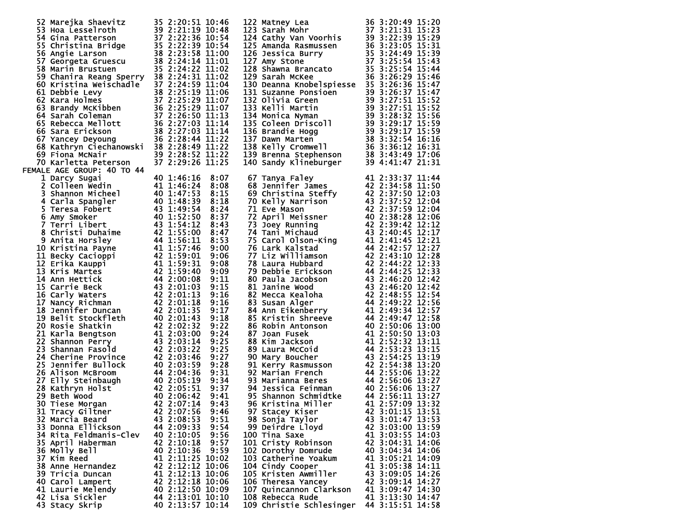| 52 Marejka Shaevitz                                                                                                                                                                                                                                  | 35 2:20:51 10:46 |      |                                                                                                                                                                                                                                                        |                  |
|------------------------------------------------------------------------------------------------------------------------------------------------------------------------------------------------------------------------------------------------------|------------------|------|--------------------------------------------------------------------------------------------------------------------------------------------------------------------------------------------------------------------------------------------------------|------------------|
|                                                                                                                                                                                                                                                      |                  |      | 122 Matney Lea 36 3:20:49 15:20<br>123 Sarah Mohr 37 3:21:31 15:23<br>124 Cathy Van Voorhis 39 3:22:39 15:29<br>125 Amanda Rasmussen 36 3:23:05 15:31<br>126 Jessica Burry 35 3:24:49 15:39<br>127 Amy Stone 37 3:25:54 15:43<br>128 Shawn             |                  |
|                                                                                                                                                                                                                                                      |                  |      |                                                                                                                                                                                                                                                        |                  |
|                                                                                                                                                                                                                                                      |                  |      |                                                                                                                                                                                                                                                        |                  |
|                                                                                                                                                                                                                                                      |                  |      |                                                                                                                                                                                                                                                        |                  |
|                                                                                                                                                                                                                                                      |                  |      |                                                                                                                                                                                                                                                        |                  |
|                                                                                                                                                                                                                                                      |                  |      |                                                                                                                                                                                                                                                        |                  |
|                                                                                                                                                                                                                                                      |                  |      |                                                                                                                                                                                                                                                        |                  |
|                                                                                                                                                                                                                                                      |                  |      |                                                                                                                                                                                                                                                        |                  |
|                                                                                                                                                                                                                                                      |                  |      | 129 Sarah McKee                                                                                                                                                                                                                                        |                  |
|                                                                                                                                                                                                                                                      |                  |      |                                                                                                                                                                                                                                                        |                  |
|                                                                                                                                                                                                                                                      |                  |      |                                                                                                                                                                                                                                                        |                  |
|                                                                                                                                                                                                                                                      |                  |      |                                                                                                                                                                                                                                                        |                  |
|                                                                                                                                                                                                                                                      |                  |      |                                                                                                                                                                                                                                                        |                  |
|                                                                                                                                                                                                                                                      |                  |      |                                                                                                                                                                                                                                                        |                  |
|                                                                                                                                                                                                                                                      |                  |      |                                                                                                                                                                                                                                                        |                  |
| 52 Marejka Shaevitz<br>53 Hoa Lesselroth<br>53 Hoa Lesselroth<br>54 Gina Patterson<br>54 Gina Patterson<br>57 2:22:36 10:54<br>55 Christina Bridge<br>57 2:22:39 10:54<br>55 Christina Bridge<br>57 2:22:39 10:54<br>57 Georgeta Gruescu<br>38 2:22: |                  |      | 129 Sarah McKee 36 3:26:29 15:46<br>130 Deanna Knobelspiesse 35 3:26:36 15:47<br>131 Suzanne Ponsioen 39 3:26:37 15:47<br>132 Olivia Green 39 3:26:37 15:47<br>132 Olivia Green 39 3:26:37 15:47<br>133 Kelli Martin 39 3:27:51 15:52<br>1             |                  |
|                                                                                                                                                                                                                                                      |                  |      |                                                                                                                                                                                                                                                        |                  |
|                                                                                                                                                                                                                                                      |                  |      |                                                                                                                                                                                                                                                        |                  |
|                                                                                                                                                                                                                                                      |                  |      |                                                                                                                                                                                                                                                        |                  |
|                                                                                                                                                                                                                                                      |                  |      |                                                                                                                                                                                                                                                        |                  |
|                                                                                                                                                                                                                                                      |                  |      |                                                                                                                                                                                                                                                        |                  |
|                                                                                                                                                                                                                                                      |                  |      |                                                                                                                                                                                                                                                        |                  |
|                                                                                                                                                                                                                                                      |                  |      |                                                                                                                                                                                                                                                        |                  |
| 70 Karletta Peterson                                                                                                                                                                                                                                 | 37 2:29:26 11:25 |      |                                                                                                                                                                                                                                                        |                  |
| FEMALE AGE GROUP: 40 TO 44                                                                                                                                                                                                                           |                  |      |                                                                                                                                                                                                                                                        |                  |
|                                                                                                                                                                                                                                                      |                  |      |                                                                                                                                                                                                                                                        |                  |
| 1 Darcy Sugai                                                                                                                                                                                                                                        | 40 1:46:16       | 8:07 | 67 Tanya Faley                                                                                                                                                                                                                                         | 41 2:33:37 11:44 |
|                                                                                                                                                                                                                                                      |                  | 8:08 | 68 Jennifer James                                                                                                                                                                                                                                      | 42 2:34:58 11:50 |
|                                                                                                                                                                                                                                                      |                  | 8:15 |                                                                                                                                                                                                                                                        |                  |
|                                                                                                                                                                                                                                                      |                  |      |                                                                                                                                                                                                                                                        |                  |
|                                                                                                                                                                                                                                                      |                  | 8:18 |                                                                                                                                                                                                                                                        |                  |
|                                                                                                                                                                                                                                                      |                  | 8:24 |                                                                                                                                                                                                                                                        |                  |
|                                                                                                                                                                                                                                                      |                  | 8:37 |                                                                                                                                                                                                                                                        |                  |
|                                                                                                                                                                                                                                                      |                  |      |                                                                                                                                                                                                                                                        |                  |
|                                                                                                                                                                                                                                                      |                  | 8:43 |                                                                                                                                                                                                                                                        |                  |
|                                                                                                                                                                                                                                                      |                  | 8:47 |                                                                                                                                                                                                                                                        |                  |
|                                                                                                                                                                                                                                                      |                  | 8:53 |                                                                                                                                                                                                                                                        |                  |
|                                                                                                                                                                                                                                                      |                  |      |                                                                                                                                                                                                                                                        |                  |
|                                                                                                                                                                                                                                                      |                  | 9:00 |                                                                                                                                                                                                                                                        |                  |
|                                                                                                                                                                                                                                                      |                  | 9:06 |                                                                                                                                                                                                                                                        |                  |
|                                                                                                                                                                                                                                                      |                  | 9:08 |                                                                                                                                                                                                                                                        |                  |
|                                                                                                                                                                                                                                                      |                  |      |                                                                                                                                                                                                                                                        |                  |
|                                                                                                                                                                                                                                                      |                  | 9:09 |                                                                                                                                                                                                                                                        |                  |
|                                                                                                                                                                                                                                                      |                  | 9:11 |                                                                                                                                                                                                                                                        |                  |
|                                                                                                                                                                                                                                                      |                  | 9:15 |                                                                                                                                                                                                                                                        |                  |
|                                                                                                                                                                                                                                                      |                  |      |                                                                                                                                                                                                                                                        |                  |
|                                                                                                                                                                                                                                                      |                  | 9:16 |                                                                                                                                                                                                                                                        |                  |
|                                                                                                                                                                                                                                                      |                  | 9:16 |                                                                                                                                                                                                                                                        |                  |
|                                                                                                                                                                                                                                                      |                  | 9:17 |                                                                                                                                                                                                                                                        |                  |
|                                                                                                                                                                                                                                                      |                  |      |                                                                                                                                                                                                                                                        |                  |
|                                                                                                                                                                                                                                                      |                  | 9:18 |                                                                                                                                                                                                                                                        |                  |
|                                                                                                                                                                                                                                                      |                  | 9:22 |                                                                                                                                                                                                                                                        |                  |
|                                                                                                                                                                                                                                                      |                  | 9:24 |                                                                                                                                                                                                                                                        |                  |
|                                                                                                                                                                                                                                                      |                  |      |                                                                                                                                                                                                                                                        |                  |
|                                                                                                                                                                                                                                                      |                  | 9:25 |                                                                                                                                                                                                                                                        |                  |
|                                                                                                                                                                                                                                                      |                  | 9:25 |                                                                                                                                                                                                                                                        |                  |
|                                                                                                                                                                                                                                                      |                  | 9:27 |                                                                                                                                                                                                                                                        |                  |
| 1 Darcy Sugai 40 1:46:16 to 2011<br>2 Colleen wedin 41 1:46:24 8<br>3 Shannon Micheel 40 1:47:53 8<br>5 Teresa Fobert 43 1:49:53 8<br>6 Amy Smoker 44 1:48:39 8<br>6 Amy Smoker 44 1:52:50 1<br>7 Terri Libert 40 1:52:50 1<br>7 Terri Liber         |                  | 9:28 | 67 Tanya Faley<br>41 2:33:37 11:44<br>69 Christina Steffy<br>42 2:34:58 11:50<br>70 Kelly Narrison<br>43 2:37:52 12:04<br>71 Eve Mason<br>71 Neissner<br>42 2:37:52 12:04<br>72 April Meissner<br>42 2:38:28 12:06<br>73 Joey Running<br>42 2:38:28 12 |                  |
|                                                                                                                                                                                                                                                      |                  |      |                                                                                                                                                                                                                                                        |                  |
|                                                                                                                                                                                                                                                      |                  | 9:31 |                                                                                                                                                                                                                                                        |                  |
|                                                                                                                                                                                                                                                      |                  | 9:34 |                                                                                                                                                                                                                                                        |                  |
|                                                                                                                                                                                                                                                      |                  | 9:37 |                                                                                                                                                                                                                                                        |                  |
|                                                                                                                                                                                                                                                      |                  |      |                                                                                                                                                                                                                                                        |                  |
|                                                                                                                                                                                                                                                      |                  | 9:41 |                                                                                                                                                                                                                                                        |                  |
|                                                                                                                                                                                                                                                      |                  | 9:43 |                                                                                                                                                                                                                                                        |                  |
| 31 Tracy Giltner                                                                                                                                                                                                                                     | 42 2:07:56       | 9:46 | 97 Stacey Kiser                                                                                                                                                                                                                                        | 42 3:01:15 13:51 |
|                                                                                                                                                                                                                                                      |                  |      |                                                                                                                                                                                                                                                        |                  |
| 32 Marcia Beard                                                                                                                                                                                                                                      | 43 2:08:53       | 9:51 | 98 Sonja Taylor                                                                                                                                                                                                                                        | 43 3:01:47 13:53 |
| 33 Donna Ellickson                                                                                                                                                                                                                                   | 44 2:09:33       | 9:54 | 99 Deirdre Lloyd                                                                                                                                                                                                                                       | 42 3:03:00 13:59 |
| 34 Rita Feldmanis-Clev                                                                                                                                                                                                                               | 40 2:10:05       | 9:56 | 100 Tina Saxe                                                                                                                                                                                                                                          | 41 3:03:55 14:03 |
|                                                                                                                                                                                                                                                      |                  |      |                                                                                                                                                                                                                                                        |                  |
| 35 April Haberman                                                                                                                                                                                                                                    | 42 2:10:18       | 9:57 | 101 Cristy Robinson                                                                                                                                                                                                                                    | 42 3:04:31 14:06 |
| 36 Molly Bell                                                                                                                                                                                                                                        | 40 2:10:36       | 9:59 | 102 Dorothy Domrude                                                                                                                                                                                                                                    | 40 3:04:34 14:06 |
| 37 Kim Reed                                                                                                                                                                                                                                          | 41 2:11:25 10:02 |      | 103 Catherine Yoakum                                                                                                                                                                                                                                   | 41 3:05:21 14:09 |
|                                                                                                                                                                                                                                                      |                  |      |                                                                                                                                                                                                                                                        | 41 3:05:38 14:11 |
| 38 Anne Hernandez                                                                                                                                                                                                                                    | 42 2:12:12 10:06 |      | 104 Cindy Cooper                                                                                                                                                                                                                                       |                  |
| 39 Tricia Duncan                                                                                                                                                                                                                                     | 41 2:12:13 10:06 |      | 105 Kristen Awmiller                                                                                                                                                                                                                                   | 43 3:09:05 14:26 |
| 40 Carol Lampert                                                                                                                                                                                                                                     | 42 2:12:18 10:06 |      | 106 Theresa Yancey                                                                                                                                                                                                                                     | 42 3:09:14 14:27 |
| 41 Laurie Melendy                                                                                                                                                                                                                                    | 40 2:12:50 10:09 |      | 107 Quincannon Clarkson                                                                                                                                                                                                                                | 41 3:09:47 14:30 |
|                                                                                                                                                                                                                                                      |                  |      |                                                                                                                                                                                                                                                        |                  |
| 42 Lisa Sickler                                                                                                                                                                                                                                      | 44 2:13:01 10:10 |      | 108 Rebecca Rude                                                                                                                                                                                                                                       | 41 3:13:30 14:47 |
| 43 Stacy Skrip                                                                                                                                                                                                                                       | 40 2:13:57 10:14 |      | 109 Christie Schlesinger 44 3:15:51 14:58                                                                                                                                                                                                              |                  |
|                                                                                                                                                                                                                                                      |                  |      |                                                                                                                                                                                                                                                        |                  |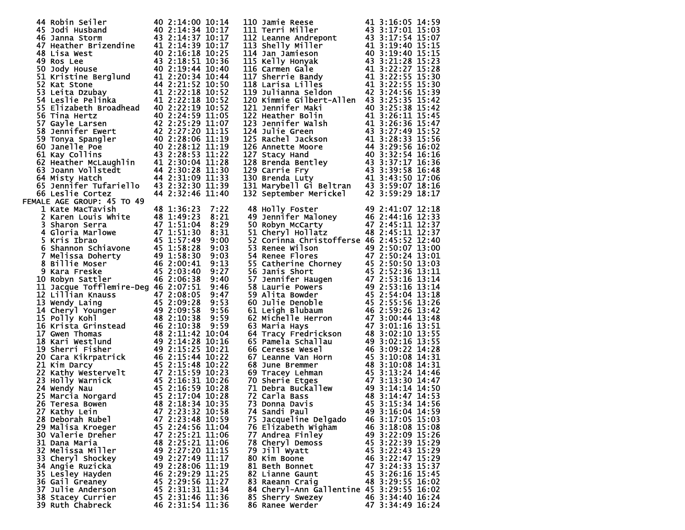| 44 Robin Seiler                                                                                                                                                                                                                                            | 40 2:14:00 10:14                     |      |                                                                                                                                                                                                                                                       |                                      |
|------------------------------------------------------------------------------------------------------------------------------------------------------------------------------------------------------------------------------------------------------------|--------------------------------------|------|-------------------------------------------------------------------------------------------------------------------------------------------------------------------------------------------------------------------------------------------------------|--------------------------------------|
|                                                                                                                                                                                                                                                            |                                      |      |                                                                                                                                                                                                                                                       |                                      |
|                                                                                                                                                                                                                                                            |                                      |      |                                                                                                                                                                                                                                                       |                                      |
|                                                                                                                                                                                                                                                            |                                      |      |                                                                                                                                                                                                                                                       |                                      |
|                                                                                                                                                                                                                                                            |                                      |      |                                                                                                                                                                                                                                                       |                                      |
|                                                                                                                                                                                                                                                            |                                      |      |                                                                                                                                                                                                                                                       |                                      |
|                                                                                                                                                                                                                                                            |                                      |      |                                                                                                                                                                                                                                                       |                                      |
|                                                                                                                                                                                                                                                            |                                      |      |                                                                                                                                                                                                                                                       |                                      |
|                                                                                                                                                                                                                                                            |                                      |      |                                                                                                                                                                                                                                                       |                                      |
|                                                                                                                                                                                                                                                            |                                      |      |                                                                                                                                                                                                                                                       |                                      |
|                                                                                                                                                                                                                                                            |                                      |      |                                                                                                                                                                                                                                                       |                                      |
|                                                                                                                                                                                                                                                            |                                      |      |                                                                                                                                                                                                                                                       |                                      |
|                                                                                                                                                                                                                                                            |                                      |      |                                                                                                                                                                                                                                                       |                                      |
|                                                                                                                                                                                                                                                            |                                      |      | 110 Jamie Reese<br>111 Terri Miller<br>12 Leanne Andrepont<br>13 Shelly Miller<br>14 Jan Jamieson<br>43 3:17:54 15:07<br>113 Shelly Miller<br>14 3:19:40 15:15<br>114 Jan Jamieson<br>40 3:19:40 15:15<br>115 Kelly Honyak<br>43 3:21:28 15:23<br>116 |                                      |
|                                                                                                                                                                                                                                                            |                                      |      |                                                                                                                                                                                                                                                       |                                      |
|                                                                                                                                                                                                                                                            |                                      |      | 120 Kimmie Gilbert-Allen 43 3:25:35 15:42                                                                                                                                                                                                             |                                      |
|                                                                                                                                                                                                                                                            |                                      |      | 121 Jennifer Maki                                                                                                                                                                                                                                     | 40 3:25:38 15:42                     |
| 44 Robin Seiler<br>40 2:14:00 10:14<br>45 Jodi Husband<br>40 2:14:34 10:17<br>46 Janna Storm<br>43 2:14:37 10:17<br>47 Heather Brizendine<br>41 2:14:39 10:17<br>48 Lisa West<br>40 2:16:18 10:25<br>49 Ros Lee<br>43 2:18:51 10:36<br>50 Jody House<br>   |                                      |      |                                                                                                                                                                                                                                                       |                                      |
|                                                                                                                                                                                                                                                            |                                      |      |                                                                                                                                                                                                                                                       |                                      |
|                                                                                                                                                                                                                                                            |                                      |      |                                                                                                                                                                                                                                                       |                                      |
|                                                                                                                                                                                                                                                            |                                      |      |                                                                                                                                                                                                                                                       |                                      |
|                                                                                                                                                                                                                                                            |                                      |      |                                                                                                                                                                                                                                                       |                                      |
|                                                                                                                                                                                                                                                            |                                      |      |                                                                                                                                                                                                                                                       |                                      |
|                                                                                                                                                                                                                                                            |                                      |      |                                                                                                                                                                                                                                                       |                                      |
|                                                                                                                                                                                                                                                            |                                      |      |                                                                                                                                                                                                                                                       |                                      |
|                                                                                                                                                                                                                                                            |                                      |      |                                                                                                                                                                                                                                                       |                                      |
|                                                                                                                                                                                                                                                            |                                      |      |                                                                                                                                                                                                                                                       |                                      |
|                                                                                                                                                                                                                                                            |                                      |      |                                                                                                                                                                                                                                                       |                                      |
| 35 EITZapeth Broadnead<br>56 Tina Hertz<br>57 Gayle Larsen<br>57 Bennifer Ewert<br>42 2:25:29 11:07<br>58 Jennifer Ewert<br>42 2:25:20 11:15<br>59 Tonya Spangler<br>40 2:28:10 11:15<br>60 Janelle Poe<br>40 2:28:12 11:19<br>60 Janelle Poe<br>40 2:     |                                      |      | 121 Jennifer Maki 40 3:25:38 15:42<br>122 Heather Bolin 41 3:26:11 15:45<br>123 Jennifer Walsh 41 3:26:11 15:45<br>123 Jennifer Walsh 41 3:26:36 15:47<br>124 Julie Green 43 3:27:49 15:52<br>125 Rachel Jackson 41 3:28:33 15:56<br>126 A            |                                      |
|                                                                                                                                                                                                                                                            |                                      |      |                                                                                                                                                                                                                                                       |                                      |
|                                                                                                                                                                                                                                                            |                                      |      |                                                                                                                                                                                                                                                       |                                      |
|                                                                                                                                                                                                                                                            |                                      |      |                                                                                                                                                                                                                                                       |                                      |
| 66 Leslie Cortez                                                                                                                                                                                                                                           | 44 2:32:46 11:40                     |      |                                                                                                                                                                                                                                                       | 42 3:59:29 18:17                     |
|                                                                                                                                                                                                                                                            |                                      |      | 132 September Merickel                                                                                                                                                                                                                                |                                      |
| FEMALE AGE GROUP: 45 TO 49                                                                                                                                                                                                                                 |                                      |      |                                                                                                                                                                                                                                                       |                                      |
| 1 Kate MacTavish                                                                                                                                                                                                                                           | 48 1:36:23                           | 7:22 | 49 2:41:07 12:18<br>49 Jennifer Maloney<br>50 Robyn McCarty<br>51 Cheryl Hollatz<br>52 Corinnal Cartial (1994)<br>52 Corinnal Cartial (1994)<br>52 Corinnal Cartial (1994)<br>52 Corinnal Cartial (1994)<br>53 Corinnal Cartial (1994)                |                                      |
|                                                                                                                                                                                                                                                            |                                      |      |                                                                                                                                                                                                                                                       |                                      |
|                                                                                                                                                                                                                                                            |                                      | 8:21 |                                                                                                                                                                                                                                                       |                                      |
|                                                                                                                                                                                                                                                            |                                      | 8:29 |                                                                                                                                                                                                                                                       |                                      |
|                                                                                                                                                                                                                                                            |                                      | 8:31 |                                                                                                                                                                                                                                                       |                                      |
|                                                                                                                                                                                                                                                            |                                      |      |                                                                                                                                                                                                                                                       |                                      |
|                                                                                                                                                                                                                                                            |                                      | 9:00 | 52 Corinna Christofferse 46 2:45:52 12:40                                                                                                                                                                                                             |                                      |
|                                                                                                                                                                                                                                                            |                                      | 9:03 |                                                                                                                                                                                                                                                       |                                      |
|                                                                                                                                                                                                                                                            |                                      |      |                                                                                                                                                                                                                                                       |                                      |
|                                                                                                                                                                                                                                                            |                                      | 9:03 |                                                                                                                                                                                                                                                       |                                      |
|                                                                                                                                                                                                                                                            |                                      | 9:13 |                                                                                                                                                                                                                                                       |                                      |
|                                                                                                                                                                                                                                                            |                                      | 9:27 |                                                                                                                                                                                                                                                       |                                      |
|                                                                                                                                                                                                                                                            |                                      |      |                                                                                                                                                                                                                                                       |                                      |
|                                                                                                                                                                                                                                                            |                                      | 9:40 |                                                                                                                                                                                                                                                       |                                      |
| 1 Kate MacTavish 48 1:36:23<br>2 Karen Louis White 48 1:49:23<br>3 Sharon Serra 47 1:51:04<br>4 Gloria Marlowe 47 1:51:30<br>5 Kris Ibrao 45 1:57:49<br>6 Shannon Schiavone 45 1:58:28<br>7 Melissa Doherty 49 1:58:30<br>8 Billie Moser 46                |                                      | 9:46 |                                                                                                                                                                                                                                                       |                                      |
|                                                                                                                                                                                                                                                            |                                      |      |                                                                                                                                                                                                                                                       |                                      |
|                                                                                                                                                                                                                                                            |                                      |      |                                                                                                                                                                                                                                                       |                                      |
|                                                                                                                                                                                                                                                            |                                      |      |                                                                                                                                                                                                                                                       |                                      |
|                                                                                                                                                                                                                                                            |                                      |      |                                                                                                                                                                                                                                                       |                                      |
|                                                                                                                                                                                                                                                            |                                      |      |                                                                                                                                                                                                                                                       |                                      |
|                                                                                                                                                                                                                                                            |                                      |      |                                                                                                                                                                                                                                                       |                                      |
|                                                                                                                                                                                                                                                            |                                      |      |                                                                                                                                                                                                                                                       |                                      |
|                                                                                                                                                                                                                                                            |                                      |      |                                                                                                                                                                                                                                                       |                                      |
|                                                                                                                                                                                                                                                            |                                      |      |                                                                                                                                                                                                                                                       |                                      |
|                                                                                                                                                                                                                                                            |                                      |      |                                                                                                                                                                                                                                                       |                                      |
|                                                                                                                                                                                                                                                            |                                      |      |                                                                                                                                                                                                                                                       |                                      |
|                                                                                                                                                                                                                                                            |                                      |      |                                                                                                                                                                                                                                                       |                                      |
|                                                                                                                                                                                                                                                            |                                      |      |                                                                                                                                                                                                                                                       |                                      |
|                                                                                                                                                                                                                                                            |                                      |      | 32 Corinna Christofferse 46 2:45:52 12:40<br>53 Renee Wilson<br>49 2:50:07 13:00<br>54 Renee Flores<br>47 2:50:24 13:01<br>55 Catherine Chorney<br>56 Janis Short<br>56 Janis Short<br>57 Jennifer Haugen<br>47 2:52:36 13:11<br>57 Jennifer Hauge    |                                      |
|                                                                                                                                                                                                                                                            |                                      |      |                                                                                                                                                                                                                                                       |                                      |
|                                                                                                                                                                                                                                                            |                                      |      |                                                                                                                                                                                                                                                       |                                      |
|                                                                                                                                                                                                                                                            |                                      |      |                                                                                                                                                                                                                                                       |                                      |
|                                                                                                                                                                                                                                                            |                                      |      |                                                                                                                                                                                                                                                       |                                      |
|                                                                                                                                                                                                                                                            |                                      |      |                                                                                                                                                                                                                                                       |                                      |
|                                                                                                                                                                                                                                                            |                                      |      |                                                                                                                                                                                                                                                       |                                      |
|                                                                                                                                                                                                                                                            |                                      |      | 73 Donna Davis                                                                                                                                                                                                                                        | 45 3:15:34 14:56                     |
|                                                                                                                                                                                                                                                            |                                      |      |                                                                                                                                                                                                                                                       |                                      |
|                                                                                                                                                                                                                                                            |                                      |      |                                                                                                                                                                                                                                                       |                                      |
| 11 Jacque Tortlemire-Deg 46 2:07:51 9:46<br>12 Lillian Knauss 47 2:08:05 9:47<br>13 Wendy Laing 45 2:09:28 9:53<br>14 Cheryl Younger 49 2:09:28 9:56<br>15 Polly Kohl 48 2:10:38 9:59<br>16 Krista Grinstead 46 2:10:38 9:59<br>16 Krista<br>27 Kathy Lein | 47 2:23:32 10:58                     |      | 74 Sandi Paul                                                                                                                                                                                                                                         | 49 3:16:04 14:59                     |
|                                                                                                                                                                                                                                                            |                                      |      |                                                                                                                                                                                                                                                       |                                      |
| 28 Deborah Rubel                                                                                                                                                                                                                                           | 47 2:23:48 10:59                     |      | 75 Jacqueline Delgado                                                                                                                                                                                                                                 | 46 3:17:05 15:03                     |
| 29 Malisa Kroeger                                                                                                                                                                                                                                          | 45 2:24:56 11:04                     |      | 76 Elizabeth Wigham                                                                                                                                                                                                                                   | 46 3:18:08 15:08                     |
| 30 Valerie Dreher                                                                                                                                                                                                                                          |                                      |      |                                                                                                                                                                                                                                                       |                                      |
|                                                                                                                                                                                                                                                            | 47 2:25:21 11:06                     |      | 77 Andrea Finley                                                                                                                                                                                                                                      | 49 3:22:09 15:26                     |
| 31 Dana Maria                                                                                                                                                                                                                                              | 48 2:25:21 11:06                     |      | 78 Cheryl Demoss                                                                                                                                                                                                                                      | 45 3:22:39 15:29                     |
| 32 Melissa Miller                                                                                                                                                                                                                                          | 49 2:27:20 11:15                     |      | 79 Jill Wyatt                                                                                                                                                                                                                                         | 45 3:22:43 15:29                     |
|                                                                                                                                                                                                                                                            |                                      |      |                                                                                                                                                                                                                                                       |                                      |
| 33 Cheryl Shockey                                                                                                                                                                                                                                          | 49 2:27:49 11:17                     |      | 80 Kim Boone                                                                                                                                                                                                                                          | 46 3:22:47 15:29                     |
| 34 Angie Ruzicka                                                                                                                                                                                                                                           | 49 2:28:06 11:19                     |      | 81 Beth Bonnet                                                                                                                                                                                                                                        | 47 3:24:33 15:37                     |
|                                                                                                                                                                                                                                                            |                                      |      | 82 Lianne Gaunt                                                                                                                                                                                                                                       |                                      |
| 35 Lesley Hayden                                                                                                                                                                                                                                           | 46 2:29:29 11:25                     |      |                                                                                                                                                                                                                                                       | 45 3:26:16 15:45                     |
| 36 Gail Greaney                                                                                                                                                                                                                                            | 45 2:29:56 11:27                     |      | 83 Raeann Craig                                                                                                                                                                                                                                       | 48 3:29:55 16:02                     |
| 37 Julie Anderson                                                                                                                                                                                                                                          | 45 2:31:31 11:34                     |      | 84 Cheryl-Ann Gallentine 45 3:29:55 16:02                                                                                                                                                                                                             |                                      |
|                                                                                                                                                                                                                                                            |                                      |      |                                                                                                                                                                                                                                                       |                                      |
| 38 Stacey Currier<br>39 Ruth Chabreck                                                                                                                                                                                                                      | 45 2:31:46 11:36<br>46 2:31:54 11:36 |      | 85 Sherry Swezey<br>86 Ranee Werder                                                                                                                                                                                                                   | 46 3:34:40 16:24<br>47 3:34:49 16:24 |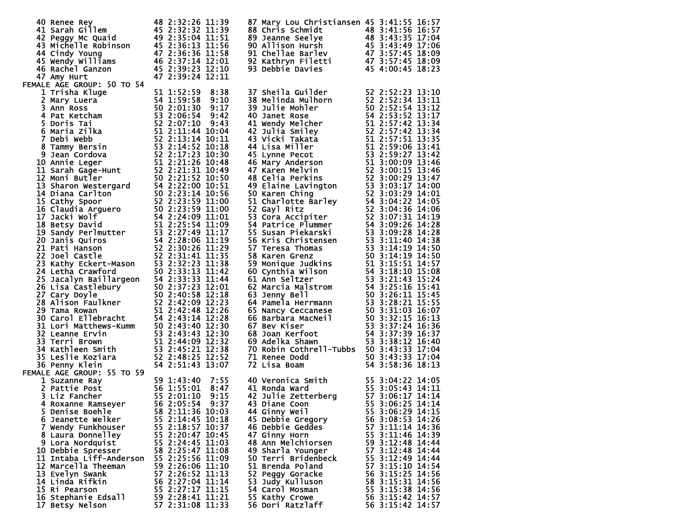| 40 Renee Rey<br>41 Sarah Gillem<br>45 2:32:32 11:39<br>42 Peggy Mc Quaid<br>49 2:35:04 11:51<br>43 Michelle Robinson<br>45 2:36:13 11:56<br>44 Cindy Young<br>47 2:36:36 11:58<br>45 Wendy Williams<br>46 2:37:14 12:01<br>46 Rachel Ganzon<br>47 2:39<br>47 Amy Hurt<br>FEMALE AGE GROUP: 50 TO 54 | 47 2:39:24 12:11                                                                                                                                                                                     | 87 Mary Lou Christiansen 45 3:41:55 16:57<br>88 Chris Schmidt<br>89 Jeanne Seelye<br>89 Jeanne Seelye<br>90 Allison Hursh<br>91 Chilae Barley<br>92 Kathryn Filetti<br>92 Kathryn Filetti<br>93 Debbie Davies<br>93 Debbie Davies<br>94 3:57:45 18:09<br>93 Debbie Davies<br>45 4:00:45 18:23 |                                                                                                                                                                                                      |
|-----------------------------------------------------------------------------------------------------------------------------------------------------------------------------------------------------------------------------------------------------------------------------------------------------|------------------------------------------------------------------------------------------------------------------------------------------------------------------------------------------------------|-----------------------------------------------------------------------------------------------------------------------------------------------------------------------------------------------------------------------------------------------------------------------------------------------|------------------------------------------------------------------------------------------------------------------------------------------------------------------------------------------------------|
| 47 Amy Hurt<br>1 AGE GROUP: 50 TO 54<br>1 2 Amy Hurt<br>1 AGE GROUP: 50 TO 54<br>1 2 39:24 12:11<br>1 Tirsha Kluge<br>2 Mary Luera<br>2 3 3:38 9:38<br>2 Amy Luera<br>47 2:39:38 9:30<br>4 Patical S5 2:01:30 9:17<br>4 Patical S5 2:01:30 9:17<br>4 P                                              |                                                                                                                                                                                                      | 37 Sheila Guilder<br>138 Melinda Mulhorn<br>152 2:52:23 13:10<br>139 Julie Mohler<br>160 Janet Rose<br>160 Janet Rose<br>160 Succes 154 2:53:52 13:12<br>40 Janet Rose<br>14 Vendy Melcher<br>16 Succes 154 2:53:42 13:34<br>42 Julia Smiley<br>16 S                                          |                                                                                                                                                                                                      |
|                                                                                                                                                                                                                                                                                                     |                                                                                                                                                                                                      |                                                                                                                                                                                                                                                                                               |                                                                                                                                                                                                      |
|                                                                                                                                                                                                                                                                                                     |                                                                                                                                                                                                      |                                                                                                                                                                                                                                                                                               |                                                                                                                                                                                                      |
|                                                                                                                                                                                                                                                                                                     |                                                                                                                                                                                                      |                                                                                                                                                                                                                                                                                               |                                                                                                                                                                                                      |
| FEMALE AGE GROUP: 55 TO 59                                                                                                                                                                                                                                                                          |                                                                                                                                                                                                      | 70 Robin Cothrell-Tubbs 50 3:43:33 17:04<br>71 Renee Dodd 50 3:43:33 17:04<br>72 Lisa Boam 54 3:58:36 18:13                                                                                                                                                                                   |                                                                                                                                                                                                      |
| 1 Suzanne Ray<br>1 Suzanne Ray<br>2 Pattie Post<br>3 Liz Fancher<br>4 Roxanne Ramseyer<br>5 2:01:10<br>4 Roxanne Ramseyer<br>5 2:05:54<br>5 Denise Boehle<br>6 Jeanette Welker<br>7 Wendy Funkhouser                                                                                                | 9:37<br>58 2:11:36 10:03<br>55 2:14:45 10:18<br>55 2:18:57 10:37                                                                                                                                     | 40 Veronica Smith<br>41 Ronda Ward<br>42 Julie Zetterberg<br>43 Diane Coon<br>43 Diane Coon<br>55 3:06:25 14:14<br>7:55    40 Veronica Sm<br>8:47    41 Ronda Ward<br>9:15    42 Julie Zette<br>44 Ginny Weil<br>45 Debbie Gregory<br>46 Debbie Geddes                                        | 55 3:06:29 14:15<br>56 3:08:53 14:26<br>57 3:11:14 14:36                                                                                                                                             |
| 8 Laura Donnelley<br>9 Lora Nordquist<br>10 Debbie Spresser<br>11 Intaba Liff-Anderson<br>12 Marcella Theeman<br>13 Evelyn Swank<br>14 Linda Rifkin<br>15 Ri Pearson<br>16 Stephanie Edsall<br>17 Betsy Nelson                                                                                      | 55 2:20:47 10:45<br>55 2:24:45 11:03<br>58 2:25:47 11:08<br>55 2:25:56 11:09<br>59 2:26:06 11:10<br>57 2:26:52 11:13<br>56 2:27:04 11:14<br>55 2:27:17 11:15<br>59 2:28:41 11:21<br>57 2:31:08 11:33 | 47 Ginny Horn<br>48 Ann Melchiorsen<br>49 Sharla Younger<br>50 Terri Bridenbeck<br>51 Brenda Poland<br>52 Peggy Goracke<br>53 Judy Kulluson<br>54 Carol Mosman<br>55 Kathy Crowe<br>56 Dori Ratzlaff                                                                                          | 55 3:11:46 14:39<br>59 3:12:48 14:44<br>57 3:12:48 14:44<br>55 3:12:49 14:44<br>57 3:15:10 14:54<br>56 3:15:25 14:56<br>58 3:15:31 14:56<br>55 3:15:38 14:56<br>56 3:15:42 14:57<br>56 3:15:42 14:57 |